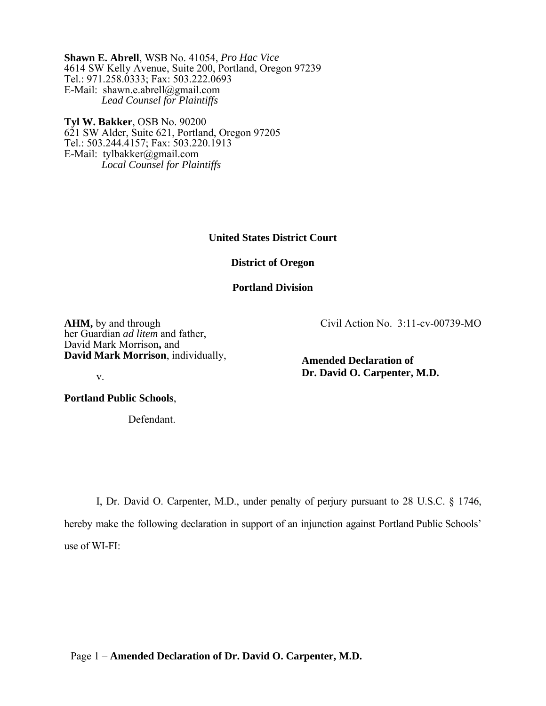**Shawn E. Abrell**, WSB No. 41054, *Pro Hac Vice* 4614 SW Kelly Avenue, Suite 200, Portland, Oregon 97239 Tel.: 971.258.0333; Fax: 503.222.0693 E-Mail: shawn.e.abrell@gmail.com *Lead Counsel for Plaintiffs* 

**Tyl W. Bakker**, OSB No. 90200 621 SW Alder, Suite 621, Portland, Oregon 97205 Tel.: 503.244.4157; Fax: 503.220.1913 E-Mail: tylbakker@gmail.com *Local Counsel for Plaintiffs* 

**United States District Court** 

**District of Oregon** 

**Portland Division** 

**AHM,** by and through her Guardian *ad litem* and father, David Mark Morrison**,** and **David Mark Morrison**, individually, Civil Action No. 3:11-cv-00739-MO

**Amended Declaration of Dr. David O. Carpenter, M.D.** 

**Portland Public Schools**,

v.

Defendant.

I, Dr. David O. Carpenter, M.D., under penalty of perjury pursuant to 28 U.S.C. § 1746, hereby make the following declaration in support of an injunction against Portland Public Schools' use of WI-FI:

Page 1 – **Amended Declaration of Dr. David O. Carpenter, M.D.**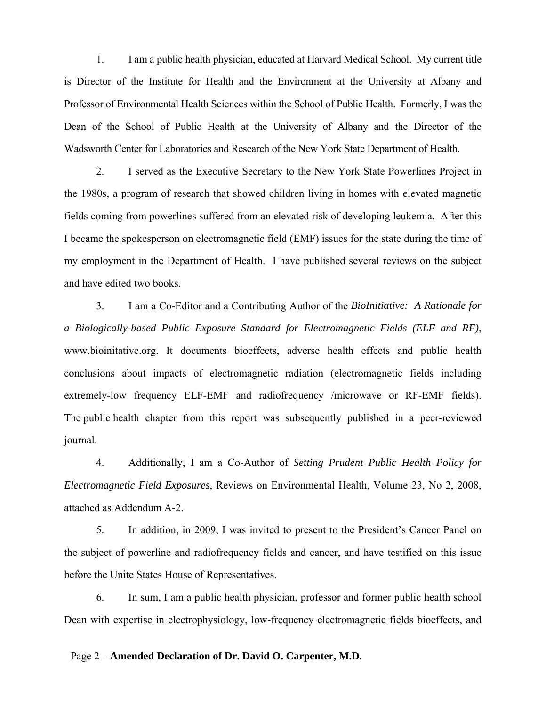1. I am a public health physician, educated at Harvard Medical School. My current title is Director of the Institute for Health and the Environment at the University at Albany and Professor of Environmental Health Sciences within the School of Public Health. Formerly, I was the Dean of the School of Public Health at the University of Albany and the Director of the Wadsworth Center for Laboratories and Research of the New York State Department of Health.

2. I served as the Executive Secretary to the New York State Powerlines Project in the 1980s, a program of research that showed children living in homes with elevated magnetic fields coming from powerlines suffered from an elevated risk of developing leukemia. After this I became the spokesperson on electromagnetic field (EMF) issues for the state during the time of my employment in the Department of Health. I have published several reviews on the subject and have edited two books.

3. I am a Co-Editor and a Contributing Author of the *BioInitiative: A Rationale for a Biologically-based Public Exposure Standard for Electromagnetic Fields (ELF and RF)*, www.bioinitative.org. It documents bioeffects, adverse health effects and public health conclusions about impacts of electromagnetic radiation (electromagnetic fields including extremely-low frequency ELF-EMF and radiofrequency /microwave or RF-EMF fields). The public health chapter from this report was subsequently published in a peer-reviewed journal.

4. Additionally, I am a Co-Author of *Setting Prudent Public Health Policy for Electromagnetic Field Exposures*, Reviews on Environmental Health, Volume 23, No 2, 2008, attached as Addendum A-2.

5. In addition, in 2009, I was invited to present to the President's Cancer Panel on the subject of powerline and radiofrequency fields and cancer, and have testified on this issue before the Unite States House of Representatives.

6. In sum, I am a public health physician, professor and former public health school Dean with expertise in electrophysiology, low-frequency electromagnetic fields bioeffects, and

#### Page 2 – **Amended Declaration of Dr. David O. Carpenter, M.D.**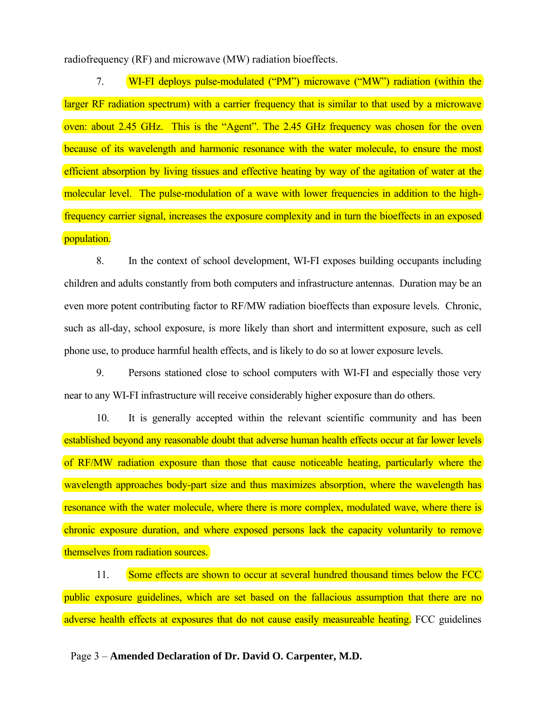radiofrequency (RF) and microwave (MW) radiation bioeffects.

7. WI-FI deploys pulse-modulated ("PM") microwave ("MW") radiation (within the larger RF radiation spectrum) with a carrier frequency that is similar to that used by a microwave oven: about 2.45 GHz. This is the "Agent". The 2.45 GHz frequency was chosen for the oven because of its wavelength and harmonic resonance with the water molecule, to ensure the most efficient absorption by living tissues and effective heating by way of the agitation of water at the molecular level. The pulse-modulation of a wave with lower frequencies in addition to the highfrequency carrier signal, increases the exposure complexity and in turn the bioeffects in an exposed population.

8. In the context of school development, WI-FI exposes building occupants including children and adults constantly from both computers and infrastructure antennas. Duration may be an even more potent contributing factor to RF/MW radiation bioeffects than exposure levels. Chronic, such as all-day, school exposure, is more likely than short and intermittent exposure, such as cell phone use, to produce harmful health effects, and is likely to do so at lower exposure levels.

9. Persons stationed close to school computers with WI-FI and especially those very near to any WI-FI infrastructure will receive considerably higher exposure than do others.

10. It is generally accepted within the relevant scientific community and has been established beyond any reasonable doubt that adverse human health effects occur at far lower levels of RF/MW radiation exposure than those that cause noticeable heating, particularly where the wavelength approaches body-part size and thus maximizes absorption, where the wavelength has resonance with the water molecule, where there is more complex, modulated wave, where there is chronic exposure duration, and where exposed persons lack the capacity voluntarily to remove themselves from radiation sources.

11. Some effects are shown to occur at several hundred thousand times below the FCC public exposure guidelines, which are set based on the fallacious assumption that there are no adverse health effects at exposures that do not cause easily measureable heating. FCC guidelines

Page 3 – **Amended Declaration of Dr. David O. Carpenter, M.D.**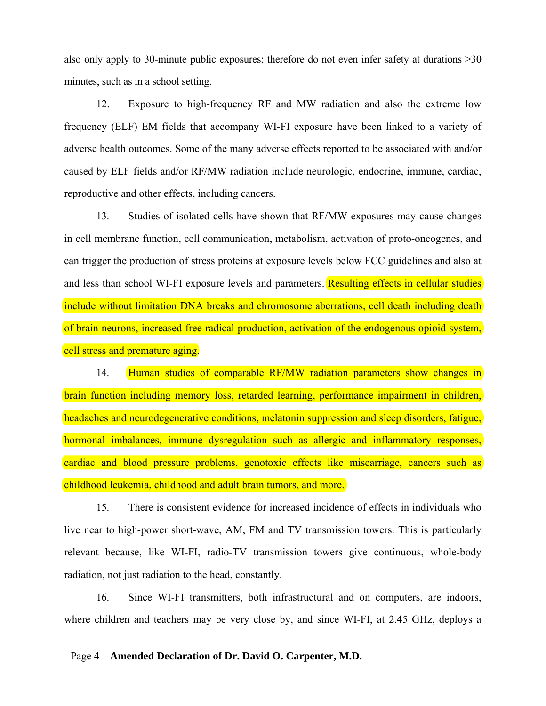also only apply to 30-minute public exposures; therefore do not even infer safety at durations >30 minutes, such as in a school setting.

12. Exposure to high-frequency RF and MW radiation and also the extreme low frequency (ELF) EM fields that accompany WI-FI exposure have been linked to a variety of adverse health outcomes. Some of the many adverse effects reported to be associated with and/or caused by ELF fields and/or RF/MW radiation include neurologic, endocrine, immune, cardiac, reproductive and other effects, including cancers.

13. Studies of isolated cells have shown that RF/MW exposures may cause changes in cell membrane function, cell communication, metabolism, activation of proto-oncogenes, and can trigger the production of stress proteins at exposure levels below FCC guidelines and also at and less than school WI-FI exposure levels and parameters. Resulting effects in cellular studies include without limitation DNA breaks and chromosome aberrations, cell death including death of brain neurons, increased free radical production, activation of the endogenous opioid system, cell stress and premature aging.

14. Human studies of comparable RF/MW radiation parameters show changes in brain function including memory loss, retarded learning, performance impairment in children, headaches and neurodegenerative conditions, melatonin suppression and sleep disorders, fatigue, hormonal imbalances, immune dysregulation such as allergic and inflammatory responses, cardiac and blood pressure problems, genotoxic effects like miscarriage, cancers such as childhood leukemia, childhood and adult brain tumors, and more.

15. There is consistent evidence for increased incidence of effects in individuals who live near to high-power short-wave, AM, FM and TV transmission towers. This is particularly relevant because, like WI-FI, radio-TV transmission towers give continuous, whole-body radiation, not just radiation to the head, constantly.

16. Since WI-FI transmitters, both infrastructural and on computers, are indoors, where children and teachers may be very close by, and since WI-FI, at 2.45 GHz, deploys a

#### Page 4 – **Amended Declaration of Dr. David O. Carpenter, M.D.**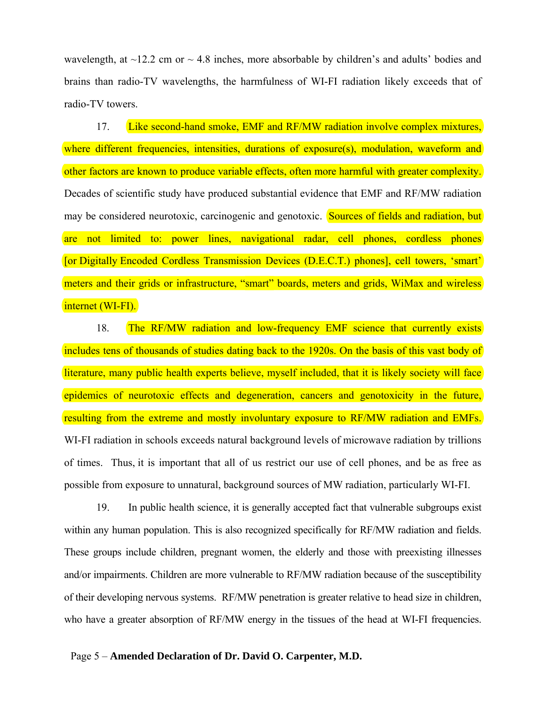wavelength, at  $\sim$ 12.2 cm or  $\sim$  4.8 inches, more absorbable by children's and adults' bodies and brains than radio-TV wavelengths, the harmfulness of WI-FI radiation likely exceeds that of radio-TV towers.

17. Like second-hand smoke, EMF and RF/MW radiation involve complex mixtures, where different frequencies, intensities, durations of exposure(s), modulation, waveform and other factors are known to produce variable effects, often more harmful with greater complexity. Decades of scientific study have produced substantial evidence that EMF and RF/MW radiation may be considered neurotoxic, carcinogenic and genotoxic. Sources of fields and radiation, but are not limited to: power lines, navigational radar, cell phones, cordless phones [or Digitally Encoded Cordless Transmission Devices (D.E.C.T.) phones], cell towers, 'smart' meters and their grids or infrastructure, "smart" boards, meters and grids, WiMax and wireless internet (WI-FI).

18. The RF/MW radiation and low-frequency EMF science that currently exists includes tens of thousands of studies dating back to the 1920s. On the basis of this vast body of literature, many public health experts believe, myself included, that it is likely society will face epidemics of neurotoxic effects and degeneration, cancers and genotoxicity in the future, resulting from the extreme and mostly involuntary exposure to RF/MW radiation and EMFs. WI-FI radiation in schools exceeds natural background levels of microwave radiation by trillions of times. Thus, it is important that all of us restrict our use of cell phones, and be as free as possible from exposure to unnatural, background sources of MW radiation, particularly WI-FI.

19. In public health science, it is generally accepted fact that vulnerable subgroups exist within any human population. This is also recognized specifically for RF/MW radiation and fields. These groups include children, pregnant women, the elderly and those with preexisting illnesses and/or impairments. Children are more vulnerable to RF/MW radiation because of the susceptibility of their developing nervous systems. RF/MW penetration is greater relative to head size in children, who have a greater absorption of RF/MW energy in the tissues of the head at WI-FI frequencies.

#### Page 5 – **Amended Declaration of Dr. David O. Carpenter, M.D.**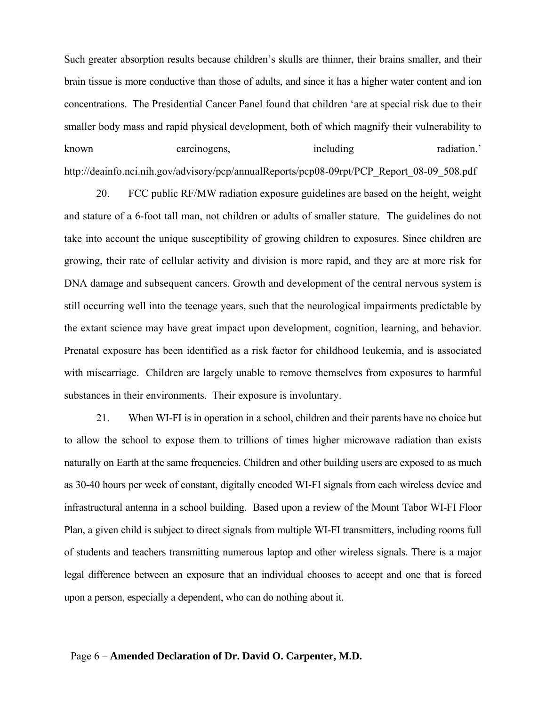Such greater absorption results because children's skulls are thinner, their brains smaller, and their brain tissue is more conductive than those of adults, and since it has a higher water content and ion concentrations. The Presidential Cancer Panel found that children 'are at special risk due to their smaller body mass and rapid physical development, both of which magnify their vulnerability to known carcinogens, including radiation.' http://deainfo.nci.nih.gov/advisory/pcp/annualReports/pcp08-09rpt/PCP\_Report\_08-09\_508.pdf

20. FCC public RF/MW radiation exposure guidelines are based on the height, weight and stature of a 6-foot tall man, not children or adults of smaller stature. The guidelines do not take into account the unique susceptibility of growing children to exposures. Since children are growing, their rate of cellular activity and division is more rapid, and they are at more risk for DNA damage and subsequent cancers. Growth and development of the central nervous system is still occurring well into the teenage years, such that the neurological impairments predictable by the extant science may have great impact upon development, cognition, learning, and behavior. Prenatal exposure has been identified as a risk factor for childhood leukemia, and is associated with miscarriage. Children are largely unable to remove themselves from exposures to harmful substances in their environments. Their exposure is involuntary.

21. When WI-FI is in operation in a school, children and their parents have no choice but to allow the school to expose them to trillions of times higher microwave radiation than exists naturally on Earth at the same frequencies. Children and other building users are exposed to as much as 30-40 hours per week of constant, digitally encoded WI-FI signals from each wireless device and infrastructural antenna in a school building. Based upon a review of the Mount Tabor WI-FI Floor Plan, a given child is subject to direct signals from multiple WI-FI transmitters, including rooms full of students and teachers transmitting numerous laptop and other wireless signals. There is a major legal difference between an exposure that an individual chooses to accept and one that is forced upon a person, especially a dependent, who can do nothing about it.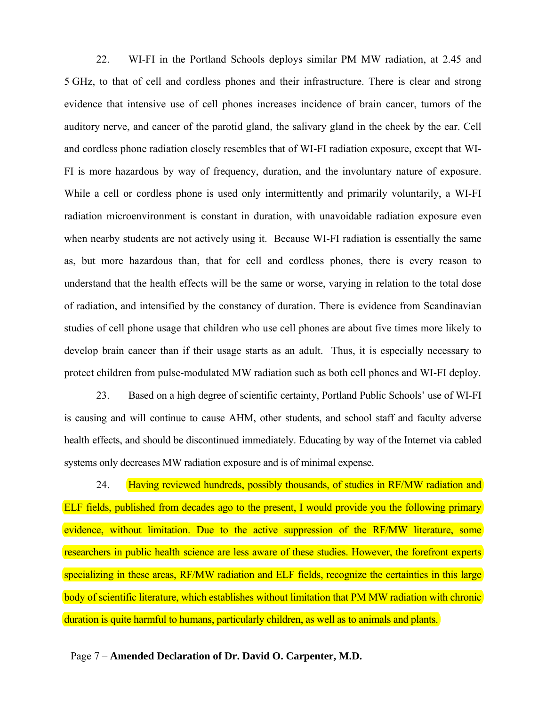22. WI-FI in the Portland Schools deploys similar PM MW radiation, at 2.45 and 5 GHz, to that of cell and cordless phones and their infrastructure. There is clear and strong evidence that intensive use of cell phones increases incidence of brain cancer, tumors of the auditory nerve, and cancer of the parotid gland, the salivary gland in the cheek by the ear. Cell and cordless phone radiation closely resembles that of WI-FI radiation exposure, except that WI-FI is more hazardous by way of frequency, duration, and the involuntary nature of exposure. While a cell or cordless phone is used only intermittently and primarily voluntarily, a WI-FI radiation microenvironment is constant in duration, with unavoidable radiation exposure even when nearby students are not actively using it. Because WI-FI radiation is essentially the same as, but more hazardous than, that for cell and cordless phones, there is every reason to understand that the health effects will be the same or worse, varying in relation to the total dose of radiation, and intensified by the constancy of duration. There is evidence from Scandinavian studies of cell phone usage that children who use cell phones are about five times more likely to develop brain cancer than if their usage starts as an adult. Thus, it is especially necessary to protect children from pulse-modulated MW radiation such as both cell phones and WI-FI deploy.

23. Based on a high degree of scientific certainty, Portland Public Schools' use of WI-FI is causing and will continue to cause AHM, other students, and school staff and faculty adverse health effects, and should be discontinued immediately. Educating by way of the Internet via cabled systems only decreases MW radiation exposure and is of minimal expense.

24. Having reviewed hundreds, possibly thousands, of studies in RF/MW radiation and ELF fields, published from decades ago to the present, I would provide you the following primary evidence, without limitation. Due to the active suppression of the RF/MW literature, some researchers in public health science are less aware of these studies. However, the forefront experts specializing in these areas, RF/MW radiation and ELF fields, recognize the certainties in this large body of scientific literature, which establishes without limitation that PM MW radiation with chronic duration is quite harmful to humans, particularly children, as well as to animals and plants.

Page 7 – **Amended Declaration of Dr. David O. Carpenter, M.D.**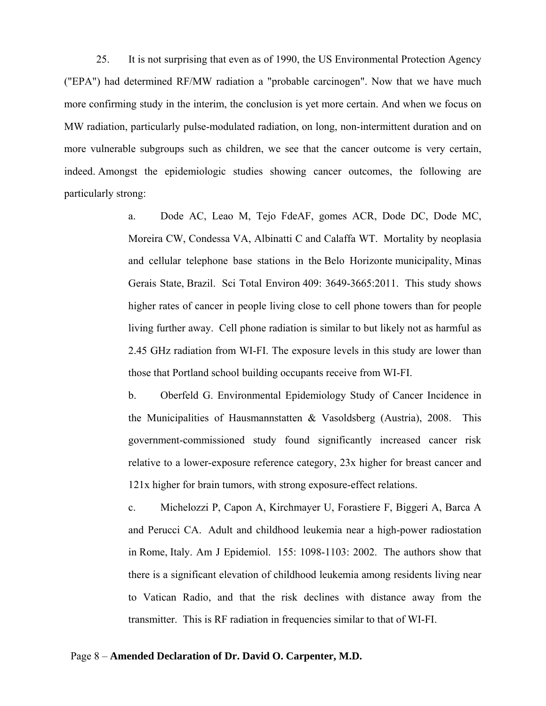25. It is not surprising that even as of 1990, the US Environmental Protection Agency ("EPA") had determined RF/MW radiation a "probable carcinogen". Now that we have much more confirming study in the interim, the conclusion is yet more certain. And when we focus on MW radiation, particularly pulse-modulated radiation, on long, non-intermittent duration and on more vulnerable subgroups such as children, we see that the cancer outcome is very certain, indeed. Amongst the epidemiologic studies showing cancer outcomes, the following are particularly strong:

> a. Dode AC, Leao M, Tejo FdeAF, gomes ACR, Dode DC, Dode MC, Moreira CW, Condessa VA, Albinatti C and Calaffa WT. Mortality by neoplasia and cellular telephone base stations in the Belo Horizonte municipality, Minas Gerais State, Brazil. Sci Total Environ 409: 3649-3665:2011. This study shows higher rates of cancer in people living close to cell phone towers than for people living further away. Cell phone radiation is similar to but likely not as harmful as 2.45 GHz radiation from WI-FI. The exposure levels in this study are lower than those that Portland school building occupants receive from WI-FI.

> b. Oberfeld G. Environmental Epidemiology Study of Cancer Incidence in the Municipalities of Hausmannstatten & Vasoldsberg (Austria), 2008. This government-commissioned study found significantly increased cancer risk relative to a lower-exposure reference category, 23x higher for breast cancer and 121x higher for brain tumors, with strong exposure-effect relations.

> c. Michelozzi P, Capon A, Kirchmayer U, Forastiere F, Biggeri A, Barca A and Perucci CA. Adult and childhood leukemia near a high-power radiostation in Rome, Italy. Am J Epidemiol. 155: 1098-1103: 2002. The authors show that there is a significant elevation of childhood leukemia among residents living near to Vatican Radio, and that the risk declines with distance away from the transmitter. This is RF radiation in frequencies similar to that of WI-FI.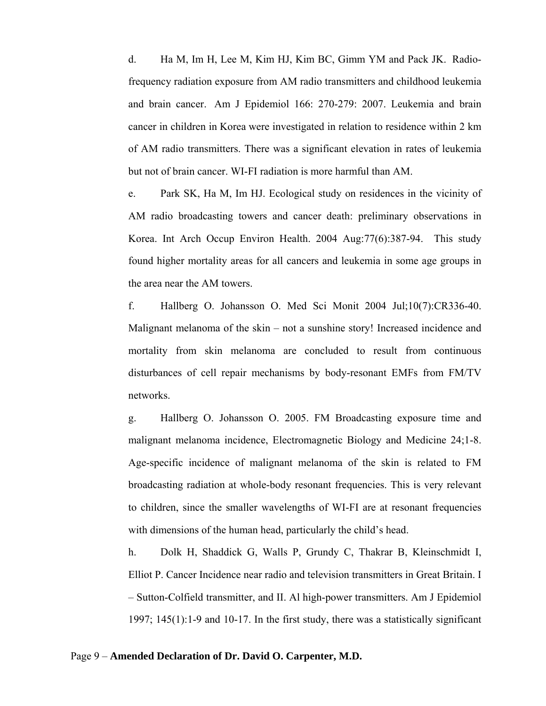d. Ha M, Im H, Lee M, Kim HJ, Kim BC, Gimm YM and Pack JK. Radiofrequency radiation exposure from AM radio transmitters and childhood leukemia and brain cancer. Am J Epidemiol 166: 270-279: 2007. Leukemia and brain cancer in children in Korea were investigated in relation to residence within 2 km of AM radio transmitters. There was a significant elevation in rates of leukemia but not of brain cancer. WI-FI radiation is more harmful than AM.

e. Park SK, Ha M, Im HJ. Ecological study on residences in the vicinity of AM radio broadcasting towers and cancer death: preliminary observations in Korea. Int Arch Occup Environ Health. 2004 Aug:77(6):387-94. This study found higher mortality areas for all cancers and leukemia in some age groups in the area near the AM towers.

f. Hallberg O. Johansson O. Med Sci Monit 2004 Jul;10(7):CR336-40. Malignant melanoma of the skin – not a sunshine story! Increased incidence and mortality from skin melanoma are concluded to result from continuous disturbances of cell repair mechanisms by body-resonant EMFs from FM/TV networks.

g. Hallberg O. Johansson O. 2005. FM Broadcasting exposure time and malignant melanoma incidence, Electromagnetic Biology and Medicine 24;1-8. Age-specific incidence of malignant melanoma of the skin is related to FM broadcasting radiation at whole-body resonant frequencies. This is very relevant to children, since the smaller wavelengths of WI-FI are at resonant frequencies with dimensions of the human head, particularly the child's head.

h. Dolk H, Shaddick G, Walls P, Grundy C, Thakrar B, Kleinschmidt I, Elliot P. Cancer Incidence near radio and television transmitters in Great Britain. I – Sutton-Colfield transmitter, and II. Al high-power transmitters. Am J Epidemiol 1997; 145(1):1-9 and 10-17. In the first study, there was a statistically significant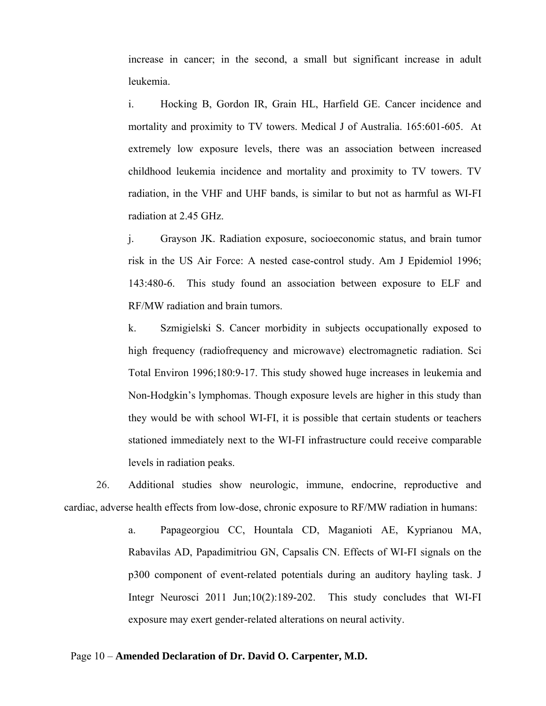increase in cancer; in the second, a small but significant increase in adult leukemia.

i. Hocking B, Gordon IR, Grain HL, Harfield GE. Cancer incidence and mortality and proximity to TV towers. Medical J of Australia. 165:601-605. At extremely low exposure levels, there was an association between increased childhood leukemia incidence and mortality and proximity to TV towers. TV radiation, in the VHF and UHF bands, is similar to but not as harmful as WI-FI radiation at 2.45 GHz.

j. Grayson JK. Radiation exposure, socioeconomic status, and brain tumor risk in the US Air Force: A nested case-control study. Am J Epidemiol 1996; 143:480-6. This study found an association between exposure to ELF and RF/MW radiation and brain tumors.

k. Szmigielski S. Cancer morbidity in subjects occupationally exposed to high frequency (radiofrequency and microwave) electromagnetic radiation. Sci Total Environ 1996;180:9-17. This study showed huge increases in leukemia and Non-Hodgkin's lymphomas. Though exposure levels are higher in this study than they would be with school WI-FI, it is possible that certain students or teachers stationed immediately next to the WI-FI infrastructure could receive comparable levels in radiation peaks.

26. Additional studies show neurologic, immune, endocrine, reproductive and cardiac, adverse health effects from low-dose, chronic exposure to RF/MW radiation in humans:

> a. Papageorgiou CC, Hountala CD, Maganioti AE, Kyprianou MA, Rabavilas AD, Papadimitriou GN, Capsalis CN. Effects of WI-FI signals on the p300 component of event-related potentials during an auditory hayling task. J Integr Neurosci 2011 Jun;10(2):189-202. This study concludes that WI-FI exposure may exert gender-related alterations on neural activity.

#### Page 10 – **Amended Declaration of Dr. David O. Carpenter, M.D.**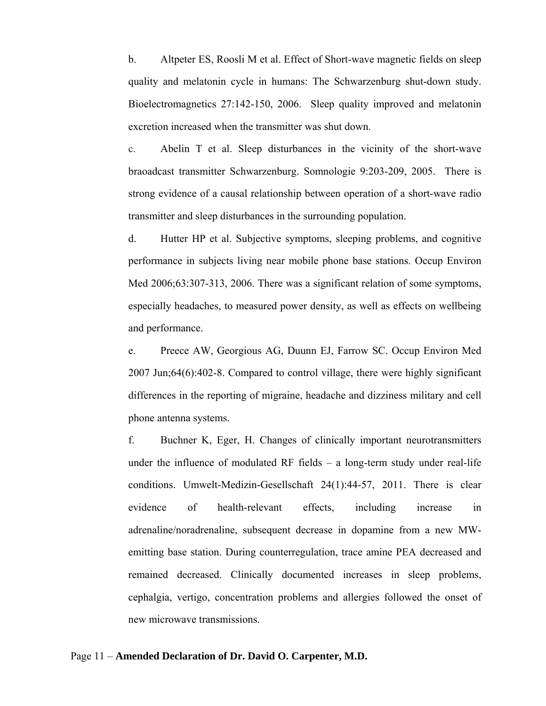b. Altpeter ES, Roosli M et al. Effect of Short-wave magnetic fields on sleep quality and melatonin cycle in humans: The Schwarzenburg shut-down study. Bioelectromagnetics 27:142-150, 2006. Sleep quality improved and melatonin excretion increased when the transmitter was shut down.

c. Abelin T et al. Sleep disturbances in the vicinity of the short-wave braoadcast transmitter Schwarzenburg. Somnologie 9:203-209, 2005. There is strong evidence of a causal relationship between operation of a short-wave radio transmitter and sleep disturbances in the surrounding population.

d. Hutter HP et al. Subjective symptoms, sleeping problems, and cognitive performance in subjects living near mobile phone base stations. Occup Environ Med 2006;63:307-313, 2006. There was a significant relation of some symptoms, especially headaches, to measured power density, as well as effects on wellbeing and performance.

e. Preece AW, Georgious AG, Duunn EJ, Farrow SC. Occup Environ Med 2007 Jun;64(6):402-8. Compared to control village, there were highly significant differences in the reporting of migraine, headache and dizziness military and cell phone antenna systems.

f. Buchner K, Eger, H. Changes of clinically important neurotransmitters under the influence of modulated RF fields – a long-term study under real-life conditions. Umwelt-Medizin-Gesellschaft 24(1):44-57, 2011. There is clear evidence of health-relevant effects, including increase in adrenaline/noradrenaline, subsequent decrease in dopamine from a new MWemitting base station. During counterregulation, trace amine PEA decreased and remained decreased. Clinically documented increases in sleep problems, cephalgia, vertigo, concentration problems and allergies followed the onset of new microwave transmissions.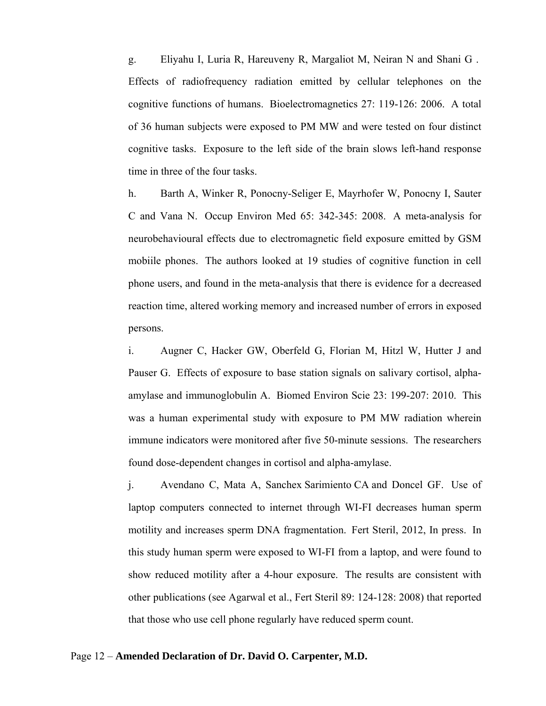g. Eliyahu I, Luria R, Hareuveny R, Margaliot M, Neiran N and Shani G . Effects of radiofrequency radiation emitted by cellular telephones on the cognitive functions of humans. Bioelectromagnetics 27: 119-126: 2006. A total of 36 human subjects were exposed to PM MW and were tested on four distinct cognitive tasks. Exposure to the left side of the brain slows left-hand response time in three of the four tasks.

h. Barth A, Winker R, Ponocny-Seliger E, Mayrhofer W, Ponocny I, Sauter C and Vana N. Occup Environ Med 65: 342-345: 2008. A meta-analysis for neurobehavioural effects due to electromagnetic field exposure emitted by GSM mobiile phones. The authors looked at 19 studies of cognitive function in cell phone users, and found in the meta-analysis that there is evidence for a decreased reaction time, altered working memory and increased number of errors in exposed persons.

i. Augner C, Hacker GW, Oberfeld G, Florian M, Hitzl W, Hutter J and Pauser G. Effects of exposure to base station signals on salivary cortisol, alphaamylase and immunoglobulin A. Biomed Environ Scie 23: 199-207: 2010. This was a human experimental study with exposure to PM MW radiation wherein immune indicators were monitored after five 50-minute sessions. The researchers found dose-dependent changes in cortisol and alpha-amylase.

j. Avendano C, Mata A, Sanchex Sarimiento CA and Doncel GF. Use of laptop computers connected to internet through WI-FI decreases human sperm motility and increases sperm DNA fragmentation. Fert Steril, 2012, In press. In this study human sperm were exposed to WI-FI from a laptop, and were found to show reduced motility after a 4-hour exposure. The results are consistent with other publications (see Agarwal et al., Fert Steril 89: 124-128: 2008) that reported that those who use cell phone regularly have reduced sperm count.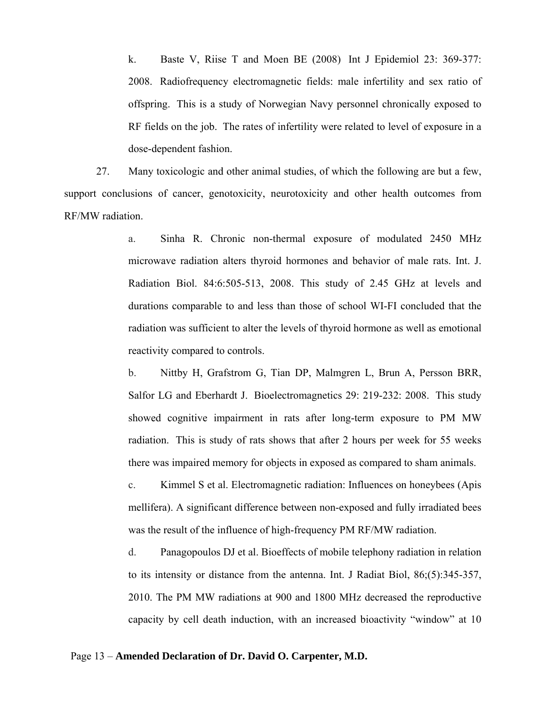k. Baste V, Riise T and Moen BE (2008) Int J Epidemiol 23: 369-377: 2008. Radiofrequency electromagnetic fields: male infertility and sex ratio of offspring. This is a study of Norwegian Navy personnel chronically exposed to RF fields on the job. The rates of infertility were related to level of exposure in a dose-dependent fashion.

27. Many toxicologic and other animal studies, of which the following are but a few, support conclusions of cancer, genotoxicity, neurotoxicity and other health outcomes from RF/MW radiation.

> a. Sinha R. Chronic non-thermal exposure of modulated 2450 MHz microwave radiation alters thyroid hormones and behavior of male rats. Int. J. Radiation Biol. 84:6:505-513, 2008. This study of 2.45 GHz at levels and durations comparable to and less than those of school WI-FI concluded that the radiation was sufficient to alter the levels of thyroid hormone as well as emotional reactivity compared to controls.

> b. Nittby H, Grafstrom G, Tian DP, Malmgren L, Brun A, Persson BRR, Salfor LG and Eberhardt J. Bioelectromagnetics 29: 219-232: 2008. This study showed cognitive impairment in rats after long-term exposure to PM MW radiation. This is study of rats shows that after 2 hours per week for 55 weeks there was impaired memory for objects in exposed as compared to sham animals.

> c. Kimmel S et al. Electromagnetic radiation: Influences on honeybees (Apis mellifera). A significant difference between non-exposed and fully irradiated bees was the result of the influence of high-frequency PM RF/MW radiation.

> d. Panagopoulos DJ et al. Bioeffects of mobile telephony radiation in relation to its intensity or distance from the antenna. Int. J Radiat Biol, 86;(5):345-357, 2010. The PM MW radiations at 900 and 1800 MHz decreased the reproductive capacity by cell death induction, with an increased bioactivity "window" at 10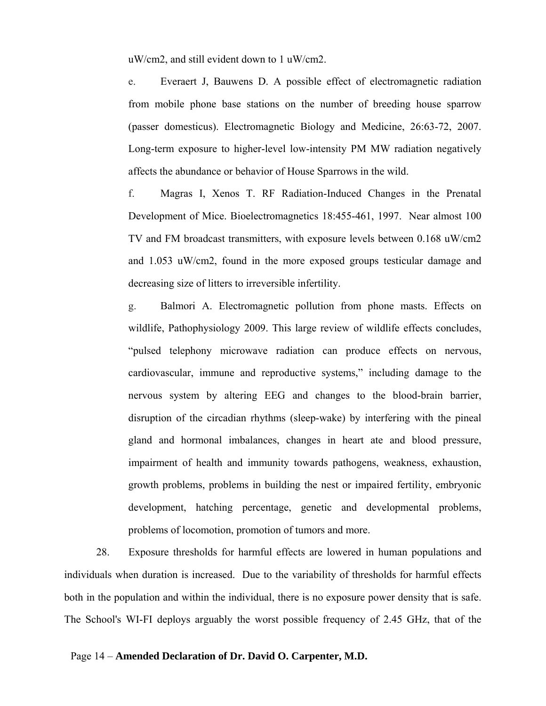uW/cm2, and still evident down to 1 uW/cm2.

e. Everaert J, Bauwens D. A possible effect of electromagnetic radiation from mobile phone base stations on the number of breeding house sparrow (passer domesticus). Electromagnetic Biology and Medicine, 26:63-72, 2007. Long-term exposure to higher-level low-intensity PM MW radiation negatively affects the abundance or behavior of House Sparrows in the wild.

f. Magras I, Xenos T. RF Radiation-Induced Changes in the Prenatal Development of Mice. Bioelectromagnetics 18:455-461, 1997. Near almost 100 TV and FM broadcast transmitters, with exposure levels between 0.168 uW/cm2 and 1.053 uW/cm2, found in the more exposed groups testicular damage and decreasing size of litters to irreversible infertility.

g. Balmori A. Electromagnetic pollution from phone masts. Effects on wildlife, Pathophysiology 2009. This large review of wildlife effects concludes, "pulsed telephony microwave radiation can produce effects on nervous, cardiovascular, immune and reproductive systems," including damage to the nervous system by altering EEG and changes to the blood-brain barrier, disruption of the circadian rhythms (sleep-wake) by interfering with the pineal gland and hormonal imbalances, changes in heart ate and blood pressure, impairment of health and immunity towards pathogens, weakness, exhaustion, growth problems, problems in building the nest or impaired fertility, embryonic development, hatching percentage, genetic and developmental problems, problems of locomotion, promotion of tumors and more.

28. Exposure thresholds for harmful effects are lowered in human populations and individuals when duration is increased. Due to the variability of thresholds for harmful effects both in the population and within the individual, there is no exposure power density that is safe. The School's WI-FI deploys arguably the worst possible frequency of 2.45 GHz, that of the

#### Page 14 – **Amended Declaration of Dr. David O. Carpenter, M.D.**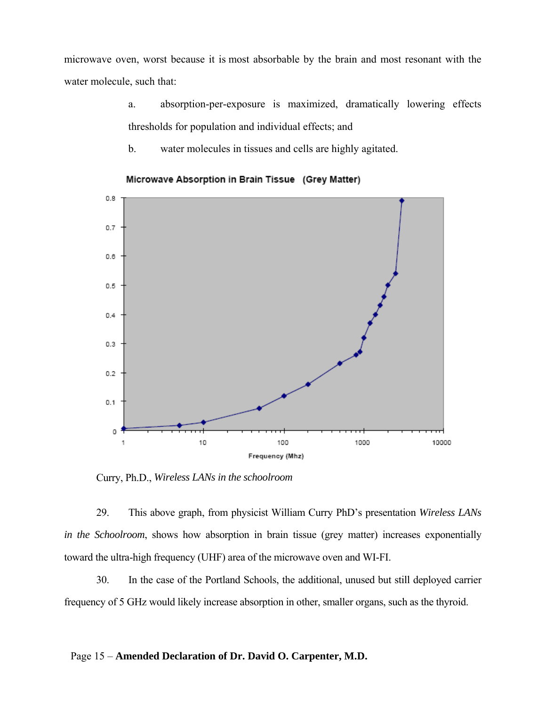microwave oven, worst because it is most absorbable by the brain and most resonant with the water molecule, such that:

- a. absorption-per-exposure is maximized, dramatically lowering effects thresholds for population and individual effects; and
- b. water molecules in tissues and cells are highly agitated.



Microwave Absorption in Brain Tissue (Grey Matter)

Curry, Ph.D., *Wireless LANs in the schoolroom*

29. This above graph, from physicist William Curry PhD's presentation *Wireless LANs in the Schoolroom*, shows how absorption in brain tissue (grey matter) increases exponentially toward the ultra-high frequency (UHF) area of the microwave oven and WI-FI.

30. In the case of the Portland Schools, the additional, unused but still deployed carrier frequency of 5 GHz would likely increase absorption in other, smaller organs, such as the thyroid.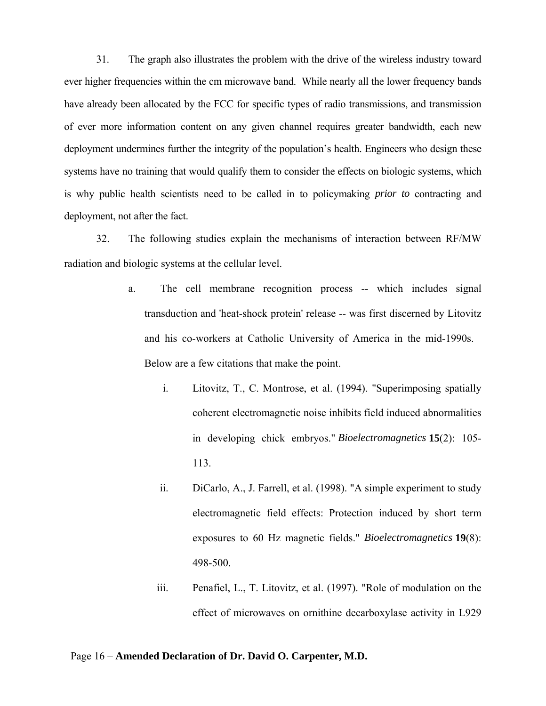31. The graph also illustrates the problem with the drive of the wireless industry toward ever higher frequencies within the cm microwave band. While nearly all the lower frequency bands have already been allocated by the FCC for specific types of radio transmissions, and transmission of ever more information content on any given channel requires greater bandwidth, each new deployment undermines further the integrity of the population's health. Engineers who design these systems have no training that would qualify them to consider the effects on biologic systems, which is why public health scientists need to be called in to policymaking *prior to* contracting and deployment, not after the fact.

32. The following studies explain the mechanisms of interaction between RF/MW radiation and biologic systems at the cellular level.

- a. The cell membrane recognition process -- which includes signal transduction and 'heat-shock protein' release -- was first discerned by Litovitz and his co-workers at Catholic University of America in the mid-1990s. Below are a few citations that make the point.
	- i. Litovitz, T., C. Montrose, et al. (1994). "Superimposing spatially coherent electromagnetic noise inhibits field induced abnormalities in developing chick embryos." *Bioelectromagnetics* **15**(2): 105- 113.
	- ii. DiCarlo, A., J. Farrell, et al. (1998). "A simple experiment to study electromagnetic field effects: Protection induced by short term exposures to 60 Hz magnetic fields." *Bioelectromagnetics* **19**(8): 498-500.
	- iii. Penafiel, L., T. Litovitz, et al. (1997). "Role of modulation on the effect of microwaves on ornithine decarboxylase activity in L929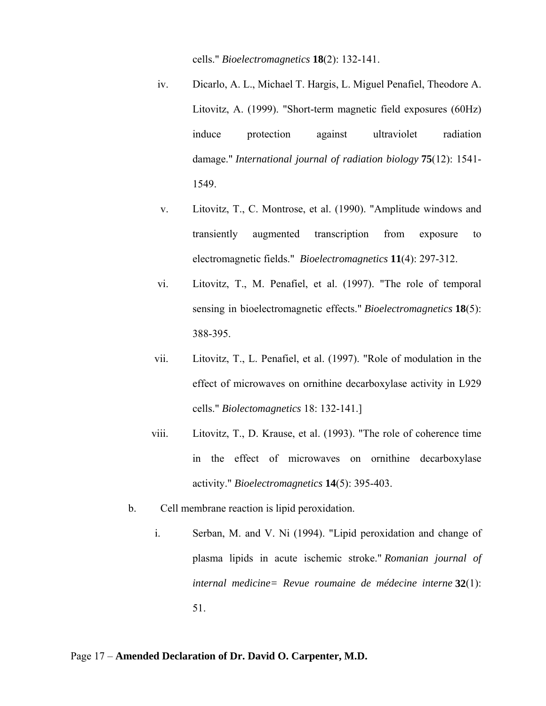cells." *Bioelectromagnetics* **18**(2): 132-141.

- iv. Dicarlo, A. L., Michael T. Hargis, L. Miguel Penafiel, Theodore A. Litovitz, A. (1999). "Short-term magnetic field exposures (60Hz) induce protection against ultraviolet radiation damage." *International journal of radiation biology* **75**(12): 1541- 1549.
- v. Litovitz, T., C. Montrose, et al. (1990). "Amplitude windows and transiently augmented transcription from exposure to electromagnetic fields." *Bioelectromagnetics* **11**(4): 297-312.
- vi. Litovitz, T., M. Penafiel, et al. (1997). "The role of temporal sensing in bioelectromagnetic effects." *Bioelectromagnetics* **18**(5): 388-395.
- vii. Litovitz, T., L. Penafiel, et al. (1997). "Role of modulation in the effect of microwaves on ornithine decarboxylase activity in L929 cells." *Biolectomagnetics* 18: 132-141.]
- viii. Litovitz, T., D. Krause, et al. (1993). "The role of coherence time in the effect of microwaves on ornithine decarboxylase activity." *Bioelectromagnetics* **14**(5): 395-403.
- b. Cell membrane reaction is lipid peroxidation.
	- i. Serban, M. and V. Ni (1994). "Lipid peroxidation and change of plasma lipids in acute ischemic stroke." *Romanian journal of internal medicine= Revue roumaine de médecine interne* **32**(1): 51.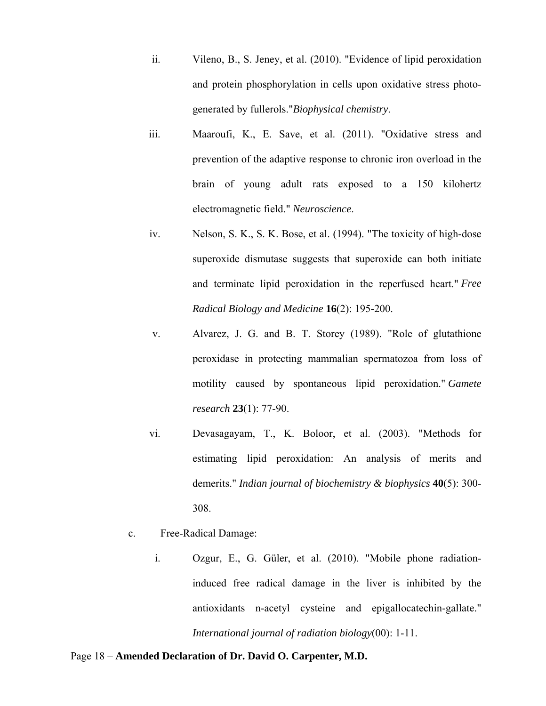- ii. Vileno, B., S. Jeney, et al. (2010). "Evidence of lipid peroxidation and protein phosphorylation in cells upon oxidative stress photogenerated by fullerols."*Biophysical chemistry*.
- iii. Maaroufi, K., E. Save, et al. (2011). "Oxidative stress and prevention of the adaptive response to chronic iron overload in the brain of young adult rats exposed to a 150 kilohertz electromagnetic field." *Neuroscience*.
- iv. Nelson, S. K., S. K. Bose, et al. (1994). "The toxicity of high-dose superoxide dismutase suggests that superoxide can both initiate and terminate lipid peroxidation in the reperfused heart." *Free Radical Biology and Medicine* **16**(2): 195-200.
- v. Alvarez, J. G. and B. T. Storey (1989). "Role of glutathione peroxidase in protecting mammalian spermatozoa from loss of motility caused by spontaneous lipid peroxidation." *Gamete research* **23**(1): 77-90.
- vi. Devasagayam, T., K. Boloor, et al. (2003). "Methods for estimating lipid peroxidation: An analysis of merits and demerits." *Indian journal of biochemistry & biophysics* **40**(5): 300- 308.
- c. Free-Radical Damage:
	- i. Ozgur, E., G. Güler, et al. (2010). "Mobile phone radiationinduced free radical damage in the liver is inhibited by the antioxidants n-acetyl cysteine and epigallocatechin-gallate." *International journal of radiation biology*(00): 1-11.

#### Page 18 – **Amended Declaration of Dr. David O. Carpenter, M.D.**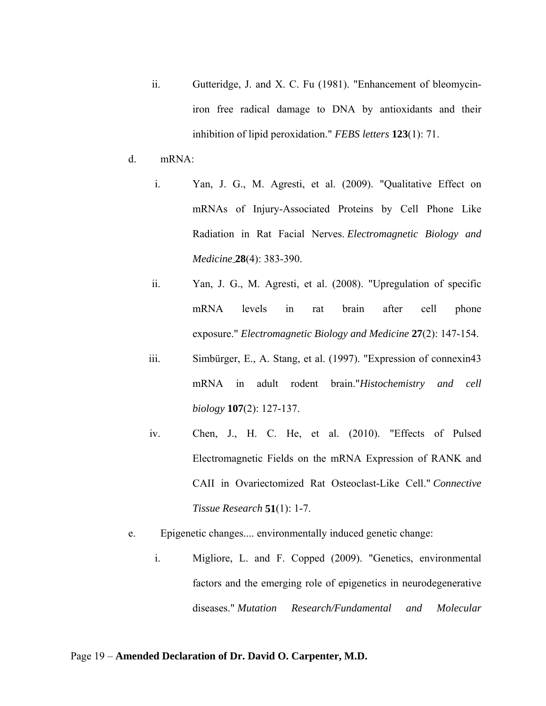- ii. Gutteridge, J. and X. C. Fu (1981). "Enhancement of bleomyciniron free radical damage to DNA by antioxidants and their inhibition of lipid peroxidation." *FEBS letters* **123**(1): 71.
- d. mRNA:
	- i. Yan, J. G., M. Agresti, et al. (2009). "Qualitative Effect on mRNAs of Injury-Associated Proteins by Cell Phone Like Radiation in Rat Facial Nerves. *Electromagnetic Biology and Medicine* **28**(4): 383-390.
	- ii. Yan, J. G., M. Agresti, et al. (2008). "Upregulation of specific mRNA levels in rat brain after cell phone exposure." *Electromagnetic Biology and Medicine* **27**(2): 147-154.
	- iii. Simbürger, E., A. Stang, et al. (1997). "Expression of connexin43 mRNA in adult rodent brain."*Histochemistry and cell biology* **107**(2): 127-137.
	- iv. Chen, J., H. C. He, et al. (2010). "Effects of Pulsed Electromagnetic Fields on the mRNA Expression of RANK and CAII in Ovariectomized Rat Osteoclast-Like Cell." *Connective Tissue Research* **51**(1): 1-7.
- e. Epigenetic changes.... environmentally induced genetic change:
	- i. Migliore, L. and F. Copped (2009). "Genetics, environmental factors and the emerging role of epigenetics in neurodegenerative diseases." *Mutation Research/Fundamental and Molecular*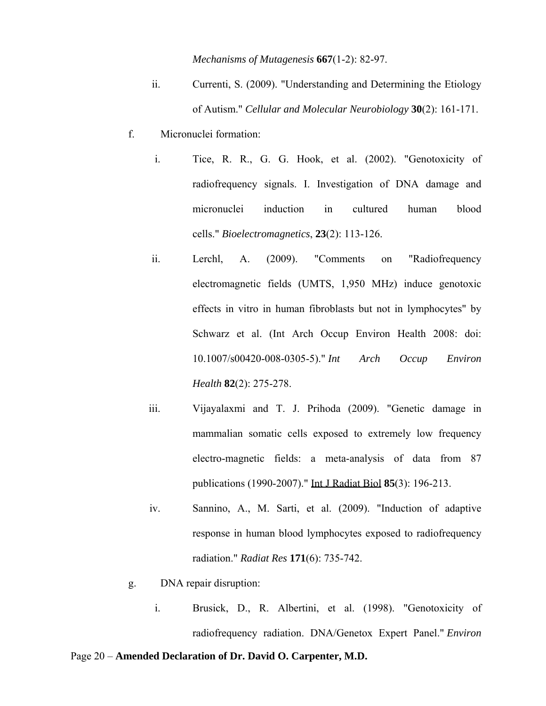*Mechanisms of Mutagenesis* **667**(1-2): 82-97.

- ii. Currenti, S. (2009). "Understanding and Determining the Etiology of Autism." *Cellular and Molecular Neurobiology* **30**(2): 161-171.
- f. Micronuclei formation:
	- i. Tice, R. R., G. G. Hook, et al. (2002). "Genotoxicity of radiofrequency signals. I. Investigation of DNA damage and micronuclei induction in cultured human blood cells." *Bioelectromagnetics*, **23**(2): 113-126.
	- ii. Lerchl, A. (2009). "Comments on "Radiofrequency electromagnetic fields (UMTS, 1,950 MHz) induce genotoxic effects in vitro in human fibroblasts but not in lymphocytes" by Schwarz et al. (Int Arch Occup Environ Health 2008: doi: 10.1007/s00420-008-0305-5)." *Int Arch Occup Environ Health* **82**(2): 275-278.
	- iii. Vijayalaxmi and T. J. Prihoda (2009). "Genetic damage in mammalian somatic cells exposed to extremely low frequency electro-magnetic fields: a meta-analysis of data from 87 publications (1990-2007)." Int J Radiat Biol **85**(3): 196-213.
	- iv. Sannino, A., M. Sarti, et al. (2009). "Induction of adaptive response in human blood lymphocytes exposed to radiofrequency radiation." *Radiat Res* **171**(6): 735-742.
- g. DNA repair disruption:
	- i. Brusick, D., R. Albertini, et al. (1998). "Genotoxicity of radiofrequency radiation. DNA/Genetox Expert Panel." *Environ*

#### Page 20 – **Amended Declaration of Dr. David O. Carpenter, M.D.**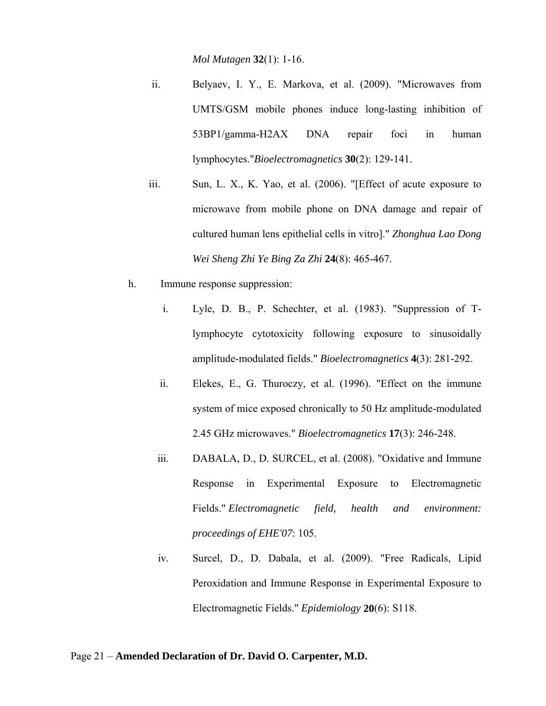*Mol Mutagen* **32**(1): 1-16.

- ii. Belyaev, I. Y., E. Markova, et al. (2009). "Microwaves from UMTS/GSM mobile phones induce long-lasting inhibition of 53BP1/gamma-H2AX DNA repair foci in human lymphocytes."*Bioelectromagnetics* **30**(2): 129-141.
- iii. Sun, L. X., K. Yao, et al. (2006). "[Effect of acute exposure to microwave from mobile phone on DNA damage and repair of cultured human lens epithelial cells in vitro]." *Zhonghua Lao Dong Wei Sheng Zhi Ye Bing Za Zhi* **24**(8): 465-467.
- h. Immune response suppression:
	- i. Lyle, D. B., P. Schechter, et al. (1983). "Suppression of Tlymphocyte cytotoxicity following exposure to sinusoidally amplitude-modulated fields." *Bioelectromagnetics* **4**(3): 281-292.
	- ii. Elekes, E., G. Thuroczy, et al. (1996). "Effect on the immune system of mice exposed chronically to 50 Hz amplitude-modulated 2.45 GHz microwaves." *Bioelectromagnetics* **17**(3): 246-248.
	- iii. DABALA, D., D. SURCEL, et al. (2008). "Oxidative and Immune Response in Experimental Exposure to Electromagnetic Fields." *Electromagnetic field, health and environment: proceedings of EHE'07*: 105.
	- iv. Surcel, D., D. Dabala, et al. (2009). "Free Radicals, Lipid Peroxidation and Immune Response in Experimental Exposure to Electromagnetic Fields." *Epidemiology* **20**(6): S118.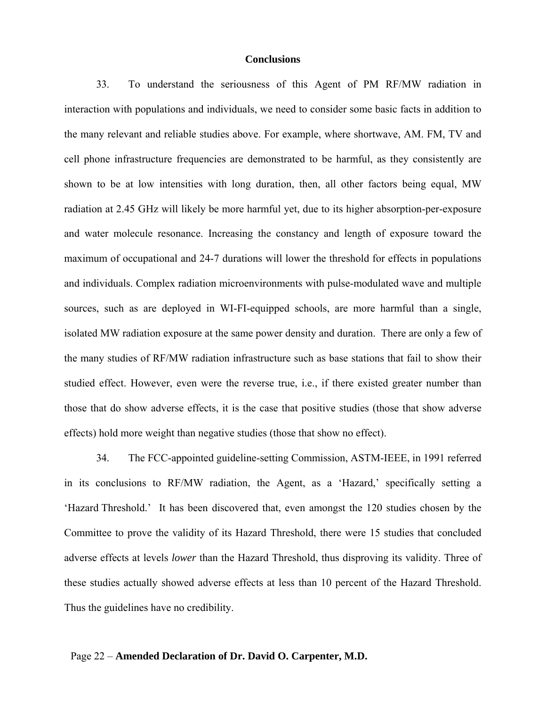#### **Conclusions**

33. To understand the seriousness of this Agent of PM RF/MW radiation in interaction with populations and individuals, we need to consider some basic facts in addition to the many relevant and reliable studies above. For example, where shortwave, AM. FM, TV and cell phone infrastructure frequencies are demonstrated to be harmful, as they consistently are shown to be at low intensities with long duration, then, all other factors being equal, MW radiation at 2.45 GHz will likely be more harmful yet, due to its higher absorption-per-exposure and water molecule resonance. Increasing the constancy and length of exposure toward the maximum of occupational and 24-7 durations will lower the threshold for effects in populations and individuals. Complex radiation microenvironments with pulse-modulated wave and multiple sources, such as are deployed in WI-FI-equipped schools, are more harmful than a single, isolated MW radiation exposure at the same power density and duration. There are only a few of the many studies of RF/MW radiation infrastructure such as base stations that fail to show their studied effect. However, even were the reverse true, i.e., if there existed greater number than those that do show adverse effects, it is the case that positive studies (those that show adverse effects) hold more weight than negative studies (those that show no effect).

34. The FCC-appointed guideline-setting Commission, ASTM-IEEE, in 1991 referred in its conclusions to RF/MW radiation, the Agent, as a 'Hazard,' specifically setting a 'Hazard Threshold.' It has been discovered that, even amongst the 120 studies chosen by the Committee to prove the validity of its Hazard Threshold, there were 15 studies that concluded adverse effects at levels *lower* than the Hazard Threshold, thus disproving its validity. Three of these studies actually showed adverse effects at less than 10 percent of the Hazard Threshold. Thus the guidelines have no credibility.

#### Page 22 – **Amended Declaration of Dr. David O. Carpenter, M.D.**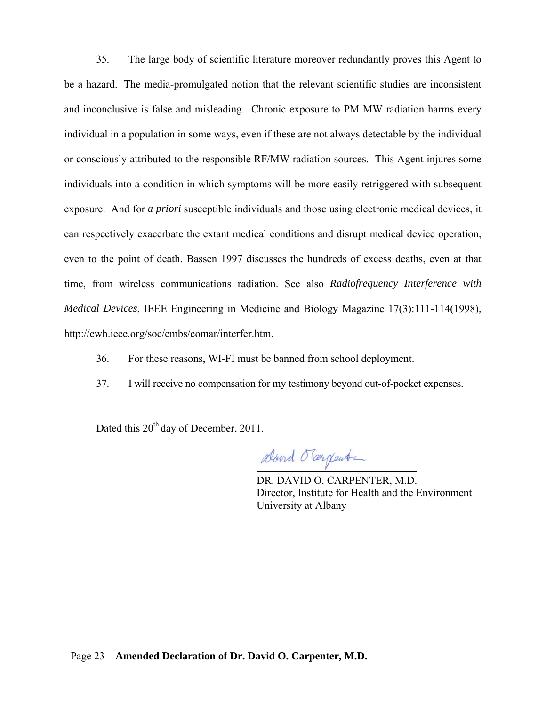35. The large body of scientific literature moreover redundantly proves this Agent to be a hazard. The media-promulgated notion that the relevant scientific studies are inconsistent and inconclusive is false and misleading. Chronic exposure to PM MW radiation harms every individual in a population in some ways, even if these are not always detectable by the individual or consciously attributed to the responsible RF/MW radiation sources. This Agent injures some individuals into a condition in which symptoms will be more easily retriggered with subsequent exposure. And for *a priori* susceptible individuals and those using electronic medical devices, it can respectively exacerbate the extant medical conditions and disrupt medical device operation, even to the point of death. Bassen 1997 discusses the hundreds of excess deaths, even at that time, from wireless communications radiation. See also *Radiofrequency Interference with Medical Devices*, IEEE Engineering in Medicine and Biology Magazine 17(3):111-114(1998), http://ewh.ieee.org/soc/embs/comar/interfer.htm.

- 36. For these reasons, WI-FI must be banned from school deployment.
- 37. I will receive no compensation for my testimony beyond out-of-pocket expenses.

Dated this 20<sup>th</sup> day of December, 2011.

alourd Targente  $\overline{a}$ 

DR. DAVID O. CARPENTER, M.D. Director, Institute for Health and the Environment University at Albany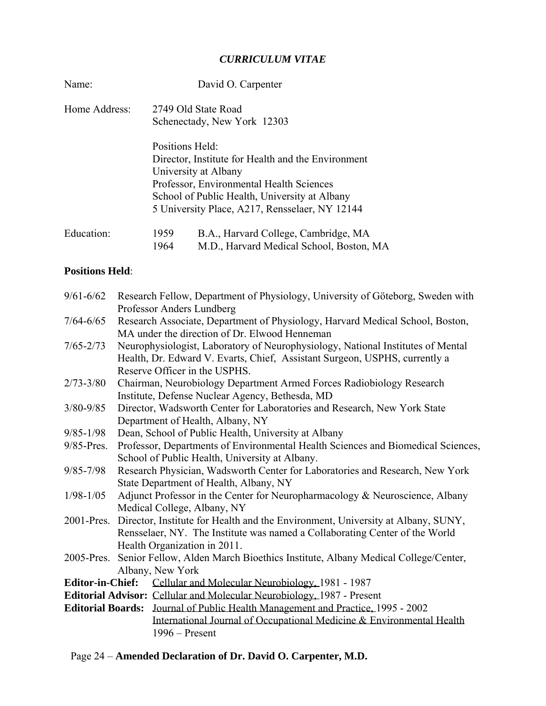### *CURRICULUM VITAE*

| Name:         | David O. Carpenter                                                                                                                                                                                                                           |
|---------------|----------------------------------------------------------------------------------------------------------------------------------------------------------------------------------------------------------------------------------------------|
| Home Address: | 2749 Old State Road<br>Schenectady, New York 12303                                                                                                                                                                                           |
|               | Positions Held:<br>Director, Institute for Health and the Environment<br>University at Albany<br>Professor, Environmental Health Sciences<br>School of Public Health, University at Albany<br>5 University Place, A217, Rensselaer, NY 12144 |
| Education:    | 1959<br>B.A., Harvard College, Cambridge, MA<br>1964<br>M.D., Harvard Medical School, Boston, MA                                                                                                                                             |

# **Positions Held**:

| $9/61 - 6/62$ | Research Fellow, Department of Physiology, University of Göteborg, Sweden with             |
|---------------|--------------------------------------------------------------------------------------------|
|               | Professor Anders Lundberg                                                                  |
| $7/64 - 6/65$ | Research Associate, Department of Physiology, Harvard Medical School, Boston,              |
|               | MA under the direction of Dr. Elwood Henneman                                              |
| $7/65 - 2/73$ | Neurophysiologist, Laboratory of Neurophysiology, National Institutes of Mental            |
|               | Health, Dr. Edward V. Evarts, Chief, Assistant Surgeon, USPHS, currently a                 |
|               | Reserve Officer in the USPHS.                                                              |
| $2/73 - 3/80$ | Chairman, Neurobiology Department Armed Forces Radiobiology Research                       |
|               | Institute, Defense Nuclear Agency, Bethesda, MD                                            |
| $3/80 - 9/85$ | Director, Wadsworth Center for Laboratories and Research, New York State                   |
|               | Department of Health, Albany, NY                                                           |
| $9/85 - 1/98$ | Dean, School of Public Health, University at Albany                                        |
| 9/85-Pres.    | Professor, Departments of Environmental Health Sciences and Biomedical Sciences,           |
|               | School of Public Health, University at Albany.                                             |
| $9/85 - 7/98$ | Research Physician, Wadsworth Center for Laboratories and Research, New York               |
|               | State Department of Health, Albany, NY                                                     |
| $1/98 - 1/05$ | Adjunct Professor in the Center for Neuropharmacology & Neuroscience, Albany               |
|               | Medical College, Albany, NY                                                                |
|               | 2001-Pres. Director, Institute for Health and the Environment, University at Albany, SUNY, |
|               | Rensselaer, NY. The Institute was named a Collaborating Center of the World                |
|               | Health Organization in 2011.                                                               |
|               | 2005-Pres. Senior Fellow, Alden March Bioethics Institute, Albany Medical College/Center,  |
|               | Albany, New York                                                                           |
|               | <b>Editor-in-Chief:</b> Cellular and Molecular Neurobiology, 1981 - 1987                   |
|               | Editorial Advisor: Cellular and Molecular Neurobiology, 1987 - Present                     |
|               | Editorial Boards: Journal of Public Health Management and Practice, 1995 - 2002            |
|               | International Journal of Occupational Medicine & Environmental Health                      |
|               | $1996 -$ Present                                                                           |

# Page 24 – **Amended Declaration of Dr. David O. Carpenter, M.D.**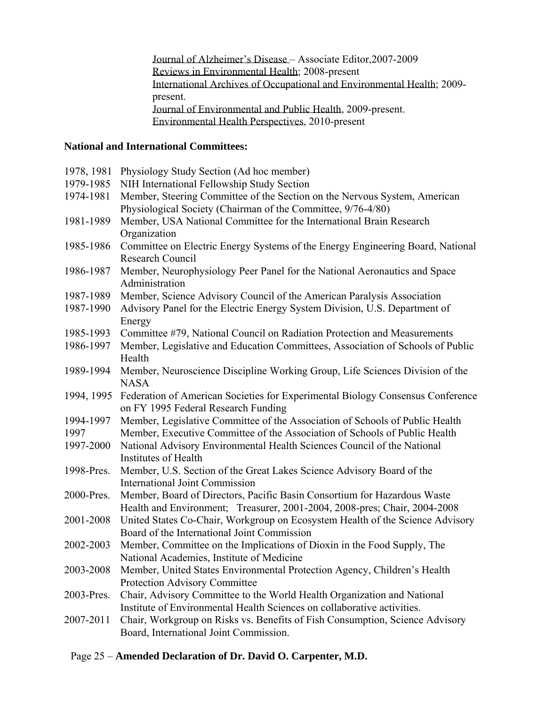Journal of Alzheimer's Disease – Associate Editor,2007-2009 Reviews in Environmental Health; 2008-present International Archives of Occupational and Environmental Health; 2009 present. Journal of Environmental and Public Health, 2009-present. Environmental Health Perspectives, 2010-present

# **National and International Committees:**

| 1978, 1981 | Physiology Study Section (Ad hoc member)                                                                                                  |
|------------|-------------------------------------------------------------------------------------------------------------------------------------------|
| 1979-1985  | NIH International Fellowship Study Section                                                                                                |
| 1974-1981  | Member, Steering Committee of the Section on the Nervous System, American<br>Physiological Society (Chairman of the Committee, 9/76-4/80) |
| 1981-1989  | Member, USA National Committee for the International Brain Research                                                                       |
|            | Organization                                                                                                                              |
| 1985-1986  | Committee on Electric Energy Systems of the Energy Engineering Board, National<br>Research Council                                        |
| 1986-1987  | Member, Neurophysiology Peer Panel for the National Aeronautics and Space                                                                 |
|            | Administration                                                                                                                            |
| 1987-1989  | Member, Science Advisory Council of the American Paralysis Association                                                                    |
| 1987-1990  | Advisory Panel for the Electric Energy System Division, U.S. Department of                                                                |
|            | Energy                                                                                                                                    |
| 1985-1993  | Committee #79, National Council on Radiation Protection and Measurements                                                                  |
| 1986-1997  | Member, Legislative and Education Committees, Association of Schools of Public<br>Health                                                  |
| 1989-1994  | Member, Neuroscience Discipline Working Group, Life Sciences Division of the<br><b>NASA</b>                                               |
| 1994, 1995 | Federation of American Societies for Experimental Biology Consensus Conference<br>on FY 1995 Federal Research Funding                     |
| 1994-1997  | Member, Legislative Committee of the Association of Schools of Public Health                                                              |
| 1997       | Member, Executive Committee of the Association of Schools of Public Health                                                                |
| 1997-2000  | National Advisory Environmental Health Sciences Council of the National                                                                   |
|            | Institutes of Health                                                                                                                      |
| 1998-Pres. | Member, U.S. Section of the Great Lakes Science Advisory Board of the                                                                     |
|            | <b>International Joint Commission</b>                                                                                                     |
| 2000-Pres. | Member, Board of Directors, Pacific Basin Consortium for Hazardous Waste                                                                  |
|            | Health and Environment; Treasurer, 2001-2004, 2008-pres; Chair, 2004-2008                                                                 |
| 2001-2008  | United States Co-Chair, Workgroup on Ecosystem Health of the Science Advisory                                                             |
|            | Board of the International Joint Commission                                                                                               |
| 2002-2003  | Member, Committee on the Implications of Dioxin in the Food Supply, The                                                                   |
|            | National Academies, Institute of Medicine                                                                                                 |
| 2003-2008  | Member, United States Environmental Protection Agency, Children's Health                                                                  |
|            | Protection Advisory Committee                                                                                                             |
| 2003-Pres. | Chair, Advisory Committee to the World Health Organization and National                                                                   |
|            | Institute of Environmental Health Sciences on collaborative activities.                                                                   |
| 2007-2011  | Chair, Workgroup on Risks vs. Benefits of Fish Consumption, Science Advisory                                                              |
|            | Board, International Joint Commission.                                                                                                    |

#### Page 25 – **Amended Declaration of Dr. David O. Carpenter, M.D.**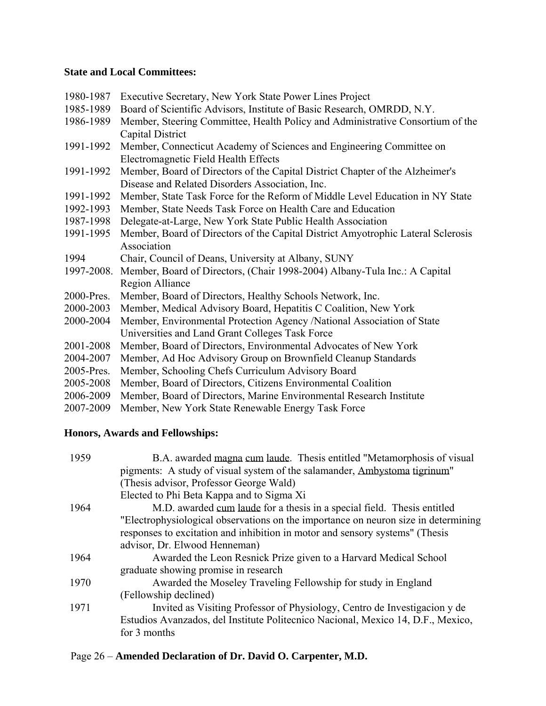#### **State and Local Committees:**

| 1980-1987  | Executive Secretary, New York State Power Lines Project                          |
|------------|----------------------------------------------------------------------------------|
| 1985-1989  | Board of Scientific Advisors, Institute of Basic Research, OMRDD, N.Y.           |
| 1986-1989  | Member, Steering Committee, Health Policy and Administrative Consortium of the   |
|            | Capital District                                                                 |
| 1991-1992  | Member, Connecticut Academy of Sciences and Engineering Committee on             |
|            | Electromagnetic Field Health Effects                                             |
| 1991-1992  | Member, Board of Directors of the Capital District Chapter of the Alzheimer's    |
|            | Disease and Related Disorders Association, Inc.                                  |
| 1991-1992  | Member, State Task Force for the Reform of Middle Level Education in NY State    |
| 1992-1993  | Member, State Needs Task Force on Health Care and Education                      |
| 1987-1998  | Delegate-at-Large, New York State Public Health Association                      |
| 1991-1995  | Member, Board of Directors of the Capital District Amyotrophic Lateral Sclerosis |
|            | Association                                                                      |
| 1994       | Chair, Council of Deans, University at Albany, SUNY                              |
| 1997-2008. | Member, Board of Directors, (Chair 1998-2004) Albany-Tula Inc.: A Capital        |
|            | Region Alliance                                                                  |
| 2000-Pres. | Member, Board of Directors, Healthy Schools Network, Inc.                        |
| 2000-2003  | Member, Medical Advisory Board, Hepatitis C Coalition, New York                  |
| 2000-2004  | Member, Environmental Protection Agency /National Association of State           |
|            | Universities and Land Grant Colleges Task Force                                  |
| 2001-2008  | Member, Board of Directors, Environmental Advocates of New York                  |
| 2004-2007  | Member, Ad Hoc Advisory Group on Brownfield Cleanup Standards                    |
| 2005-Pres. | Member, Schooling Chefs Curriculum Advisory Board                                |
| 2005-2008  | Member, Board of Directors, Citizens Environmental Coalition                     |
| 2006-2009  | Member, Board of Directors, Marine Environmental Research Institute              |
| 2007-2009  | Member, New York State Renewable Energy Task Force                               |
|            |                                                                                  |

# **Honors, Awards and Fellowships:**

| 1959<br>B.A. awarded magna cum laude. Thesis entitled "Metamorphosis of visual<br>pigments: A study of visual system of the salamander, Ambystoma tigrinum"<br>(Thesis advisor, Professor George Wald) |  |
|--------------------------------------------------------------------------------------------------------------------------------------------------------------------------------------------------------|--|
| Elected to Phi Beta Kappa and to Sigma Xi                                                                                                                                                              |  |
| 1964<br>M.D. awarded cum laude for a thesis in a special field. Thesis entitled                                                                                                                        |  |
| "Electrophysiological observations on the importance on neuron size in determining                                                                                                                     |  |
| responses to excitation and inhibition in motor and sensory systems" (Thesis                                                                                                                           |  |
| advisor, Dr. Elwood Henneman)                                                                                                                                                                          |  |
| 1964<br>Awarded the Leon Resnick Prize given to a Harvard Medical School                                                                                                                               |  |
| graduate showing promise in research                                                                                                                                                                   |  |
| 1970<br>Awarded the Moseley Traveling Fellowship for study in England                                                                                                                                  |  |
| (Fellowship declined)                                                                                                                                                                                  |  |
| 1971<br>Invited as Visiting Professor of Physiology, Centro de Investigacion y de                                                                                                                      |  |
| Estudios Avanzados, del Institute Politecnico Nacional, Mexico 14, D.F., Mexico,                                                                                                                       |  |
| for 3 months                                                                                                                                                                                           |  |

# Page 26 – **Amended Declaration of Dr. David O. Carpenter, M.D.**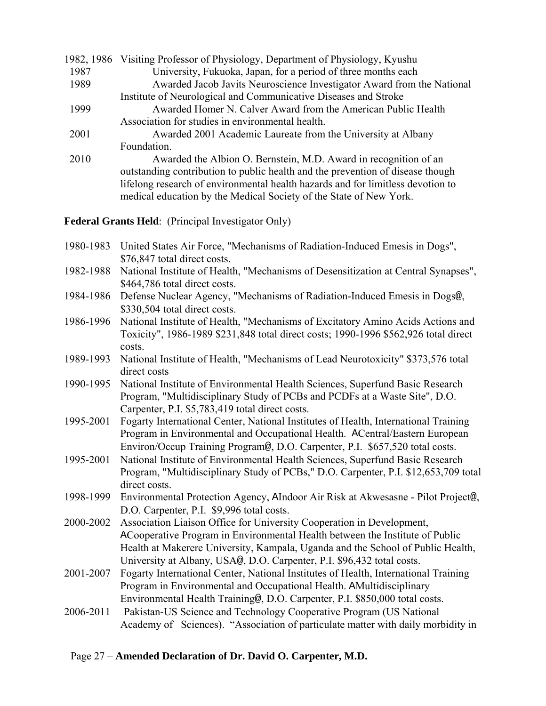|      | 1982, 1986 Visiting Professor of Physiology, Department of Physiology, Kyushu   |
|------|---------------------------------------------------------------------------------|
| 1987 | University, Fukuoka, Japan, for a period of three months each                   |
| 1989 | Awarded Jacob Javits Neuroscience Investigator Award from the National          |
|      | Institute of Neurological and Communicative Diseases and Stroke                 |
| 1999 | Awarded Homer N. Calver Award from the American Public Health                   |
|      | Association for studies in environmental health.                                |
| 2001 | Awarded 2001 Academic Laureate from the University at Albany                    |
|      | Foundation.                                                                     |
| 2010 | Awarded the Albion O. Bernstein, M.D. Award in recognition of an                |
|      | outstanding contribution to public health and the prevention of disease though  |
|      | lifelong research of environmental health hazards and for limitless devotion to |
|      | medical education by the Medical Society of the State of New York.              |

**Federal Grants Held**: (Principal Investigator Only)

| 1980-1983 United States Air Force, "Mechanisms of Radiation-Induced Emesis in Dogs", |
|--------------------------------------------------------------------------------------|
| \$76,847 total direct costs.                                                         |

- 1982-1988 National Institute of Health, "Mechanisms of Desensitization at Central Synapses", \$464,786 total direct costs.
- 1984-1986 Defense Nuclear Agency, "Mechanisms of Radiation-Induced Emesis in Dogs@, \$330,504 total direct costs.
- 1986-1996 National Institute of Health, "Mechanisms of Excitatory Amino Acids Actions and Toxicity", 1986-1989 \$231,848 total direct costs; 1990-1996 \$562,926 total direct costs.
- 1989-1993 National Institute of Health, "Mechanisms of Lead Neurotoxicity" \$373,576 total direct costs
- 1990-1995 National Institute of Environmental Health Sciences, Superfund Basic Research Program, "Multidisciplinary Study of PCBs and PCDFs at a Waste Site", D.O. Carpenter, P.I. \$5,783,419 total direct costs.
- 1995-2001 Fogarty International Center, National Institutes of Health, International Training Program in Environmental and Occupational Health. ACentral/Eastern European Environ/Occup Training Program@, D.O. Carpenter, P.I. \$657,520 total costs.
- 1995-2001 National Institute of Environmental Health Sciences, Superfund Basic Research Program, "Multidisciplinary Study of PCBs," D.O. Carpenter, P.I. \$12,653,709 total direct costs.
- 1998-1999 Environmental Protection Agency, AIndoor Air Risk at Akwesasne Pilot Project@, D.O. Carpenter, P.I. \$9,996 total costs.
- 2000-2002 Association Liaison Office for University Cooperation in Development, ACooperative Program in Environmental Health between the Institute of Public Health at Makerere University, Kampala, Uganda and the School of Public Health, University at Albany, USA@, D.O. Carpenter, P.I. \$96,432 total costs.
- 2001-2007 Fogarty International Center, National Institutes of Health, International Training Program in Environmental and Occupational Health. AMultidisciplinary Environmental Health Training@, D.O. Carpenter, P.I. \$850,000 total costs.
- 2006-2011 Pakistan-US Science and Technology Cooperative Program (US National Academy of Sciences). "Association of particulate matter with daily morbidity in

### Page 27 – **Amended Declaration of Dr. David O. Carpenter, M.D.**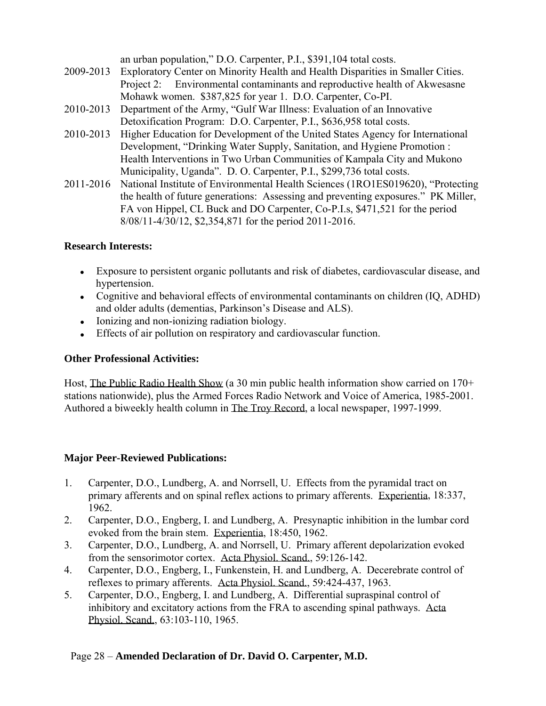an urban population," D.O. Carpenter, P.I., \$391,104 total costs.

- 2009-2013 Exploratory Center on Minority Health and Health Disparities in Smaller Cities. Project 2: Environmental contaminants and reproductive health of Akwesasne Mohawk women. \$387,825 for year 1. D.O. Carpenter, Co-PI.
- 2010-2013 Department of the Army, "Gulf War Illness: Evaluation of an Innovative Detoxification Program: D.O. Carpenter, P.I., \$636,958 total costs.
- 2010-2013 Higher Education for Development of the United States Agency for International Development, "Drinking Water Supply, Sanitation, and Hygiene Promotion : Health Interventions in Two Urban Communities of Kampala City and Mukono Municipality, Uganda". D. O. Carpenter, P.I., \$299,736 total costs.
- 2011-2016 National Institute of Environmental Health Sciences (1RO1ES019620), "Protecting the health of future generations: Assessing and preventing exposures." PK Miller, FA von Hippel, CL Buck and DO Carpenter, Co-P.I.s, \$471,521 for the period 8/08/11-4/30/12, \$2,354,871 for the period 2011-2016.

### **Research Interests:**

- Exposure to persistent organic pollutants and risk of diabetes, cardiovascular disease, and hypertension.
- Cognitive and behavioral effects of environmental contaminants on children (IQ, ADHD) and older adults (dementias, Parkinson's Disease and ALS).
- Ionizing and non-ionizing radiation biology.
- Effects of air pollution on respiratory and cardiovascular function.

### **Other Professional Activities:**

Host, The Public Radio Health Show (a 30 min public health information show carried on 170+ stations nationwide), plus the Armed Forces Radio Network and Voice of America, 1985-2001. Authored a biweekly health column in The Troy Record, a local newspaper, 1997-1999.

### **Major Peer-Reviewed Publications:**

- 1. Carpenter, D.O., Lundberg, A. and Norrsell, U. Effects from the pyramidal tract on primary afferents and on spinal reflex actions to primary afferents. Experientia, 18:337, 1962.
- 2. Carpenter, D.O., Engberg, I. and Lundberg, A. Presynaptic inhibition in the lumbar cord evoked from the brain stem. Experientia, 18:450, 1962.
- 3. Carpenter, D.O., Lundberg, A. and Norrsell, U. Primary afferent depolarization evoked from the sensorimotor cortex. Acta Physiol. Scand., 59:126-142.
- 4. Carpenter, D.O., Engberg, I., Funkenstein, H. and Lundberg, A. Decerebrate control of reflexes to primary afferents. Acta Physiol. Scand., 59:424-437, 1963.
- 5. Carpenter, D.O., Engberg, I. and Lundberg, A. Differential supraspinal control of inhibitory and excitatory actions from the FRA to ascending spinal pathways. Acta Physiol. Scand., 63:103-110, 1965.

### Page 28 – **Amended Declaration of Dr. David O. Carpenter, M.D.**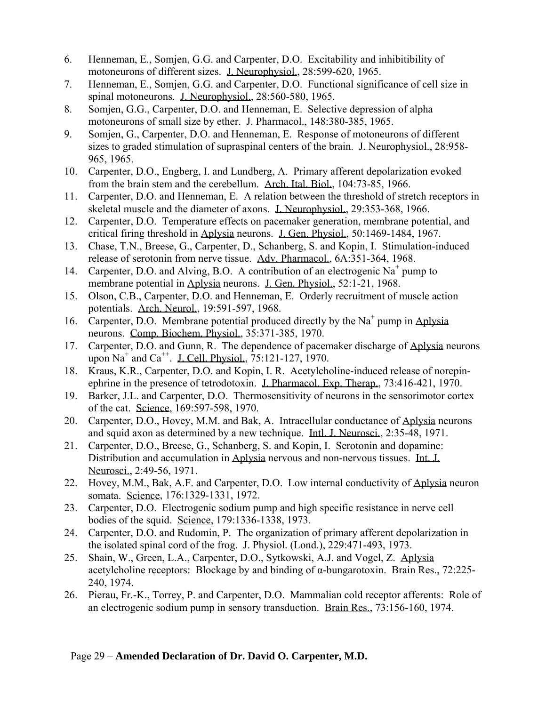- 6. Henneman, E., Somjen, G.G. and Carpenter, D.O. Excitability and inhibitibility of motoneurons of different sizes. J. Neurophysiol., 28:599-620, 1965.
- 7. Henneman, E., Somjen, G.G. and Carpenter, D.O. Functional significance of cell size in spinal motoneurons. J. Neurophysiol., 28:560-580, 1965.
- 8. Somjen, G.G., Carpenter, D.O. and Henneman, E. Selective depression of alpha motoneurons of small size by ether. J. Pharmacol., 148:380-385, 1965.
- 9. Somjen, G., Carpenter, D.O. and Henneman, E. Response of motoneurons of different sizes to graded stimulation of supraspinal centers of the brain. J. Neurophysiol., 28:958- 965, 1965.
- 10. Carpenter, D.O., Engberg, I. and Lundberg, A. Primary afferent depolarization evoked from the brain stem and the cerebellum. Arch. Ital. Biol., 104:73-85, 1966.
- 11. Carpenter, D.O. and Henneman, E. A relation between the threshold of stretch receptors in skeletal muscle and the diameter of axons. J. Neurophysiol., 29:353-368, 1966.
- 12. Carpenter, D.O. Temperature effects on pacemaker generation, membrane potential, and critical firing threshold in Aplysia neurons. J. Gen. Physiol., 50:1469-1484, 1967.
- 13. Chase, T.N., Breese, G., Carpenter, D., Schanberg, S. and Kopin, I. Stimulation-induced release of serotonin from nerve tissue. Adv. Pharmacol., 6A:351-364, 1968.
- 14. Carpenter, D.O. and Alving, B.O. A contribution of an electrogenic Na<sup>+</sup> pump to membrane potential in Aplysia neurons. J. Gen. Physiol., 52:1-21, 1968.
- 15. Olson, C.B., Carpenter, D.O. and Henneman, E. Orderly recruitment of muscle action potentials. Arch. Neurol., 19:591-597, 1968.
- 16. Carpenter, D.O. Membrane potential produced directly by the  $Na<sup>+</sup>$  pump in Aplysia neurons. Comp. Biochem. Physiol., 35:371-385, 1970.
- 17. Carpenter, D.O. and Gunn, R. The dependence of pacemaker discharge of Aplysia neurons upon Na<sup>+</sup> and Ca<sup>++</sup>. J. Cell. Physiol.,  $75:121-127$ , 1970.
- 18. Kraus, K.R., Carpenter, D.O. and Kopin, I. R. Acetylcholine-induced release of norepinephrine in the presence of tetrodotoxin. J. Pharmacol. Exp. Therap., 73:416-421, 1970.
- 19. Barker, J.L. and Carpenter, D.O. Thermosensitivity of neurons in the sensorimotor cortex of the cat. Science, 169:597-598, 1970.
- 20. Carpenter, D.O., Hovey, M.M. and Bak, A. Intracellular conductance of Aplysia neurons and squid axon as determined by a new technique. Intl. J. Neurosci., 2:35-48, 1971.
- 21. Carpenter, D.O., Breese, G., Schanberg, S. and Kopin, I. Serotonin and dopamine: Distribution and accumulation in Aplysia nervous and non-nervous tissues. Int. J. Neurosci., 2:49-56, 1971.
- 22. Hovey, M.M., Bak, A.F. and Carpenter, D.O. Low internal conductivity of Aplysia neuron somata. Science, 176:1329-1331, 1972.
- 23. Carpenter, D.O. Electrogenic sodium pump and high specific resistance in nerve cell bodies of the squid. Science, 179:1336-1338, 1973.
- 24. Carpenter, D.O. and Rudomin, P. The organization of primary afferent depolarization in the isolated spinal cord of the frog. J. Physiol. (Lond.), 229:471-493, 1973.
- 25. Shain, W., Green, L.A., Carpenter, D.O., Sytkowski, A.J. and Vogel, Z. Aplysia acetylcholine receptors: Blockage by and binding of  $\alpha$ -bungarotoxin. Brain Res., 72:225-240, 1974.
- 26. Pierau, Fr.-K., Torrey, P. and Carpenter, D.O. Mammalian cold receptor afferents: Role of an electrogenic sodium pump in sensory transduction. Brain Res., 73:156-160, 1974.

### Page 29 – **Amended Declaration of Dr. David O. Carpenter, M.D.**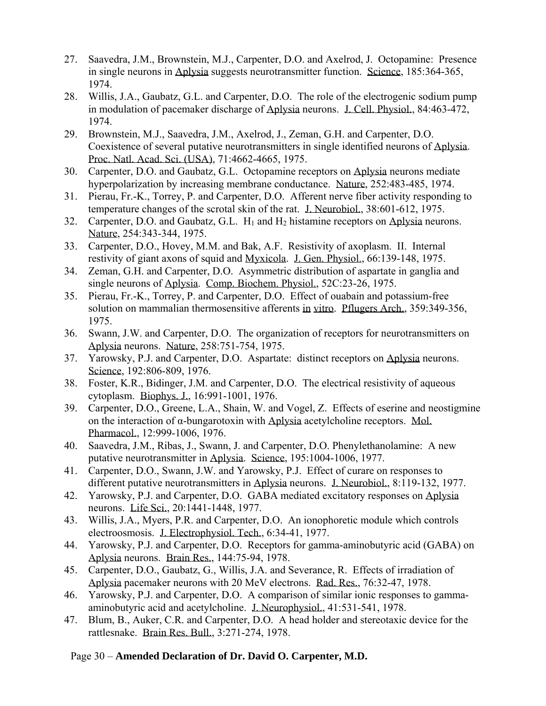- 27. Saavedra, J.M., Brownstein, M.J., Carpenter, D.O. and Axelrod, J. Octopamine: Presence in single neurons in Aplysia suggests neurotransmitter function. Science, 185:364-365, 1974.
- 28. Willis, J.A., Gaubatz, G.L. and Carpenter, D.O. The role of the electrogenic sodium pump in modulation of pacemaker discharge of Aplysia neurons. J. Cell. Physiol., 84:463-472, 1974.
- 29. Brownstein, M.J., Saavedra, J.M., Axelrod, J., Zeman, G.H. and Carpenter, D.O. Coexistence of several putative neurotransmitters in single identified neurons of Aplysia. Proc. Natl. Acad. Sci. (USA), 71:4662-4665, 1975.
- 30. Carpenter, D.O. and Gaubatz, G.L. Octopamine receptors on Aplysia neurons mediate hyperpolarization by increasing membrane conductance. Nature, 252:483-485, 1974.
- 31. Pierau, Fr.-K., Torrey, P. and Carpenter, D.O. Afferent nerve fiber activity responding to temperature changes of the scrotal skin of the rat. J. Neurobiol., 38:601-612, 1975.
- 32. Carpenter, D.O. and Gaubatz, G.L.  $H_1$  and  $H_2$  histamine receptors on Aplysia neurons. Nature, 254:343-344, 1975.
- 33. Carpenter, D.O., Hovey, M.M. and Bak, A.F. Resistivity of axoplasm. II. Internal restivity of giant axons of squid and Myxicola. J. Gen. Physiol., 66:139-148, 1975.
- 34. Zeman, G.H. and Carpenter, D.O. Asymmetric distribution of aspartate in ganglia and single neurons of Aplysia. Comp. Biochem. Physiol., 52C:23-26, 1975.
- 35. Pierau, Fr.-K., Torrey, P. and Carpenter, D.O. Effect of ouabain and potassium-free solution on mammalian thermosensitive afferents in vitro. Pflugers Arch., 359:349-356, 1975.
- 36. Swann, J.W. and Carpenter, D.O. The organization of receptors for neurotransmitters on Aplysia neurons. Nature, 258:751-754, 1975.
- 37. Yarowsky, P.J. and Carpenter, D.O. Aspartate: distinct receptors on Aplysia neurons. Science, 192:806-809, 1976.
- 38. Foster, K.R., Bidinger, J.M. and Carpenter, D.O. The electrical resistivity of aqueous cytoplasm. Biophys. J., 16:991-1001, 1976.
- 39. Carpenter, D.O., Greene, L.A., Shain, W. and Vogel, Z. Effects of eserine and neostigmine on the interaction of α-bungarotoxin with Aplysia acetylcholine receptors. Mol. Pharmacol., 12:999-1006, 1976.
- 40. Saavedra, J.M., Ribas, J., Swann, J. and Carpenter, D.O. Phenylethanolamine: A new putative neurotransmitter in Aplysia. Science, 195:1004-1006, 1977.
- 41. Carpenter, D.O., Swann, J.W. and Yarowsky, P.J. Effect of curare on responses to different putative neurotransmitters in Aplysia neurons. J. Neurobiol., 8:119-132, 1977.
- 42. Yarowsky, P.J. and Carpenter, D.O. GABA mediated excitatory responses on Aplysia neurons. Life Sci., 20:1441-1448, 1977.
- 43. Willis, J.A., Myers, P.R. and Carpenter, D.O. An ionophoretic module which controls electroosmosis. J. Electrophysiol. Tech., 6:34-41, 1977.
- 44. Yarowsky, P.J. and Carpenter, D.O. Receptors for gamma-aminobutyric acid (GABA) on Aplysia neurons. Brain Res., 144:75-94, 1978.
- 45. Carpenter, D.O., Gaubatz, G., Willis, J.A. and Severance, R. Effects of irradiation of Aplysia pacemaker neurons with 20 MeV electrons. Rad. Res., 76:32-47, 1978.
- 46. Yarowsky, P.J. and Carpenter, D.O. A comparison of similar ionic responses to gammaaminobutyric acid and acetylcholine. J. Neurophysiol., 41:531-541, 1978.
- 47. Blum, B., Auker, C.R. and Carpenter, D.O. A head holder and stereotaxic device for the rattlesnake. Brain Res. Bull., 3:271-274, 1978.

# Page 30 – **Amended Declaration of Dr. David O. Carpenter, M.D.**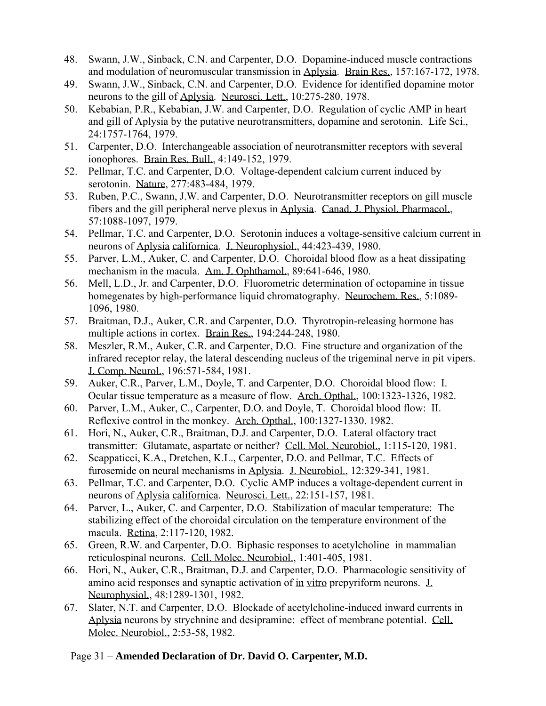- 48. Swann, J.W., Sinback, C.N. and Carpenter, D.O. Dopamine-induced muscle contractions and modulation of neuromuscular transmission in Aplysia. Brain Res., 157:167-172, 1978.
- 49. Swann, J.W., Sinback, C.N. and Carpenter, D.O. Evidence for identified dopamine motor neurons to the gill of Aplysia. Neurosci. Lett., 10:275-280, 1978.
- 50. Kebabian, P.R., Kebabian, J.W. and Carpenter, D.O. Regulation of cyclic AMP in heart and gill of Aplysia by the putative neurotransmitters, dopamine and serotonin. Life Sci., 24:1757-1764, 1979.
- 51. Carpenter, D.O. Interchangeable association of neurotransmitter receptors with several ionophores. Brain Res. Bull., 4:149-152, 1979.
- 52. Pellmar, T.C. and Carpenter, D.O. Voltage-dependent calcium current induced by serotonin. Nature, 277:483-484, 1979.
- 53. Ruben, P.C., Swann, J.W. and Carpenter, D.O. Neurotransmitter receptors on gill muscle fibers and the gill peripheral nerve plexus in Aplysia. Canad. J. Physiol. Pharmacol., 57:1088-1097, 1979.
- 54. Pellmar, T.C. and Carpenter, D.O. Serotonin induces a voltage-sensitive calcium current in neurons of Aplysia californica. J. Neurophysiol., 44:423-439, 1980.
- 55. Parver, L.M., Auker, C. and Carpenter, D.O. Choroidal blood flow as a heat dissipating mechanism in the macula. Am. J. Ophthamol., 89:641-646, 1980.
- 56. Mell, L.D., Jr. and Carpenter, D.O. Fluorometric determination of octopamine in tissue homegenates by high-performance liquid chromatography. Neurochem. Res., 5:1089- 1096, 1980.
- 57. Braitman, D.J., Auker, C.R. and Carpenter, D.O. Thyrotropin-releasing hormone has multiple actions in cortex. Brain Res., 194:244-248, 1980.
- 58. Meszler, R.M., Auker, C.R. and Carpenter, D.O. Fine structure and organization of the infrared receptor relay, the lateral descending nucleus of the trigeminal nerve in pit vipers. J. Comp. Neurol., 196:571-584, 1981.
- 59. Auker, C.R., Parver, L.M., Doyle, T. and Carpenter, D.O. Choroidal blood flow: I. Ocular tissue temperature as a measure of flow. Arch. Opthal., 100:1323-1326, 1982.
- 60. Parver, L.M., Auker, C., Carpenter, D.O. and Doyle, T. Choroidal blood flow: II. Reflexive control in the monkey. Arch. Opthal., 100:1327-1330. 1982.
- 61. Hori, N., Auker, C.R., Braitman, D.J. and Carpenter, D.O. Lateral olfactory tract transmitter: Glutamate, aspartate or neither? Cell. Mol. Neurobiol., 1:115-120, 1981.
- 62. Scappaticci, K.A., Dretchen, K.L., Carpenter, D.O. and Pellmar, T.C. Effects of furosemide on neural mechanisms in Aplysia. J. Neurobiol., 12:329-341, 1981.
- 63. Pellmar, T.C. and Carpenter, D.O. Cyclic AMP induces a voltage-dependent current in neurons of Aplysia californica. Neurosci. Lett., 22:151-157, 1981.
- 64. Parver, L., Auker, C. and Carpenter, D.O. Stabilization of macular temperature: The stabilizing effect of the choroidal circulation on the temperature environment of the macula. Retina, 2:117-120, 1982.
- 65. Green, R.W. and Carpenter, D.O. Biphasic responses to acetylcholine in mammalian reticulospinal neurons. Cell. Molec. Neurobiol., 1:401-405, 1981.
- 66. Hori, N., Auker, C.R., Braitman, D.J. and Carpenter, D.O. Pharmacologic sensitivity of amino acid responses and synaptic activation of in vitro prepyriform neurons. J. Neurophysiol., 48:1289-1301, 1982.
- 67. Slater, N.T. and Carpenter, D.O. Blockade of acetylcholine-induced inward currents in Aplysia neurons by strychnine and desipramine: effect of membrane potential. Cell. Molec. Neurobiol., 2:53-58, 1982.

### Page 31 – **Amended Declaration of Dr. David O. Carpenter, M.D.**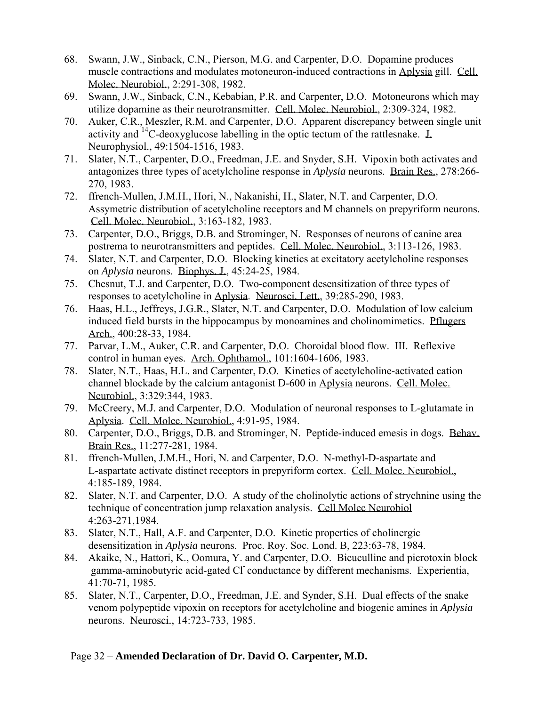- 68. Swann, J.W., Sinback, C.N., Pierson, M.G. and Carpenter, D.O. Dopamine produces muscle contractions and modulates motoneuron-induced contractions in Aplysia gill. Cell. Molec. Neurobiol., 2:291-308, 1982.
- 69. Swann, J.W., Sinback, C.N., Kebabian, P.R. and Carpenter, D.O. Motoneurons which may utilize dopamine as their neurotransmitter. Cell. Molec. Neurobiol., 2:309-324, 1982.
- 70. Auker, C.R., Meszler, R.M. and Carpenter, D.O. Apparent discrepancy between single unit activity and <sup>14</sup>C-deoxyglucose labelling in the optic tectum of the rattlesnake.  $\perp$ Neurophysiol., 49:1504-1516, 1983.
- 71. Slater, N.T., Carpenter, D.O., Freedman, J.E. and Snyder, S.H. Vipoxin both activates and antagonizes three types of acetylcholine response in *Aplysia* neurons. Brain Res., 278:266- 270, 1983.
- 72. ffrench-Mullen, J.M.H., Hori, N., Nakanishi, H., Slater, N.T. and Carpenter, D.O. Assymetric distribution of acetylcholine receptors and M channels on prepyriform neurons. Cell. Molec. Neurobiol., 3:163-182, 1983.
- 73. Carpenter, D.O., Briggs, D.B. and Strominger, N. Responses of neurons of canine area postrema to neurotransmitters and peptides. Cell. Molec. Neurobiol., 3:113-126, 1983.
- 74. Slater, N.T. and Carpenter, D.O. Blocking kinetics at excitatory acetylcholine responses on *Aplysia* neurons. Biophys. J., 45:24-25, 1984.
- 75. Chesnut, T.J. and Carpenter, D.O. Two-component desensitization of three types of responses to acetylcholine in Aplysia. Neurosci. Lett., 39:285-290, 1983.
- 76. Haas, H.L., Jeffreys, J.G.R., Slater, N.T. and Carpenter, D.O. Modulation of low calcium induced field bursts in the hippocampus by monoamines and cholinomimetics. Pflugers Arch., 400:28-33, 1984.
- 77. Parvar, L.M., Auker, C.R. and Carpenter, D.O. Choroidal blood flow. III. Reflexive control in human eyes. Arch. Ophthamol., 101:1604-1606, 1983.
- 78. Slater, N.T., Haas, H.L. and Carpenter, D.O. Kinetics of acetylcholine-activated cation channel blockade by the calcium antagonist D-600 in Aplysia neurons. Cell. Molec. Neurobiol., 3:329:344, 1983.
- 79. McCreery, M.J. and Carpenter, D.O. Modulation of neuronal responses to L-glutamate in Aplysia. Cell. Molec. Neurobiol., 4:91-95, 1984.
- 80. Carpenter, D.O., Briggs, D.B. and Strominger, N. Peptide-induced emesis in dogs. Behav. Brain Res., 11:277-281, 1984.
- 81. ffrench-Mullen, J.M.H., Hori, N. and Carpenter, D.O. N-methyl-D-aspartate and L-aspartate activate distinct receptors in prepyriform cortex. Cell. Molec. Neurobiol., 4:185-189, 1984.
- 82. Slater, N.T. and Carpenter, D.O. A study of the cholinolytic actions of strychnine using the technique of concentration jump relaxation analysis. Cell Molec Neurobiol 4:263-271,1984.
- 83. Slater, N.T., Hall, A.F. and Carpenter, D.O. Kinetic properties of cholinergic desensitization in *Aplysia* neurons. Proc. Roy. Soc. Lond. B, 223:63-78, 1984.
- 84. Akaike, N., Hattori, K., Oomura, Y. and Carpenter, D.O. Bicuculline and picrotoxin block gamma-aminobutyric acid-gated Cl- conductance by different mechanisms. Experientia, 41:70-71, 1985.
- 85. Slater, N.T., Carpenter, D.O., Freedman, J.E. and Synder, S.H. Dual effects of the snake venom polypeptide vipoxin on receptors for acetylcholine and biogenic amines in *Aplysia* neurons. Neurosci., 14:723-733, 1985.

### Page 32 – **Amended Declaration of Dr. David O. Carpenter, M.D.**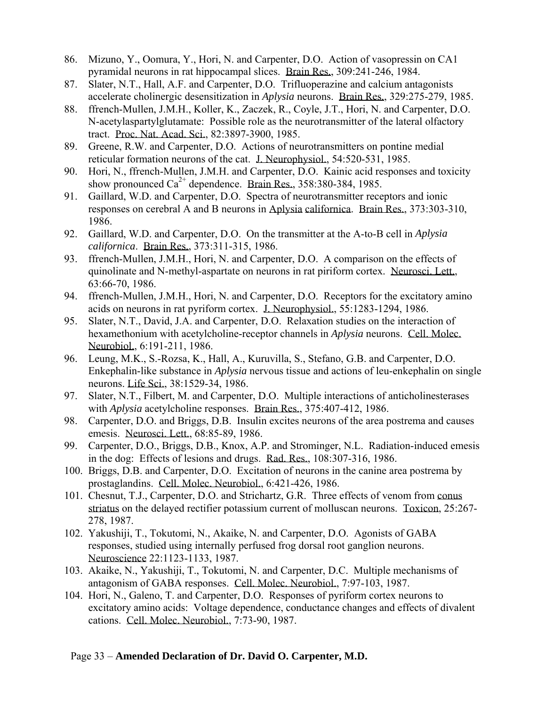- 86. Mizuno, Y., Oomura, Y., Hori, N. and Carpenter, D.O. Action of vasopressin on CA1 pyramidal neurons in rat hippocampal slices. Brain Res., 309:241-246, 1984.
- 87. Slater, N.T., Hall, A.F. and Carpenter, D.O. Trifluoperazine and calcium antagonists accelerate cholinergic desensitization in *Aplysia* neurons. Brain Res., 329:275-279, 1985.
- 88. ffrench-Mullen, J.M.H., Koller, K., Zaczek, R., Coyle, J.T., Hori, N. and Carpenter, D.O. N-acetylaspartylglutamate: Possible role as the neurotransmitter of the lateral olfactory tract. Proc. Nat. Acad. Sci., 82:3897-3900, 1985.
- 89. Greene, R.W. and Carpenter, D.O. Actions of neurotransmitters on pontine medial reticular formation neurons of the cat. J. Neurophysiol., 54:520-531, 1985.
- 90. Hori, N., ffrench-Mullen, J.M.H. and Carpenter, D.O. Kainic acid responses and toxicity show pronounced  $Ca^{2+}$  dependence. Brain Res., 358:380-384, 1985.
- 91. Gaillard, W.D. and Carpenter, D.O. Spectra of neurotransmitter receptors and ionic responses on cerebral A and B neurons in Aplysia californica. Brain Res., 373:303-310, 1986.
- 92. Gaillard, W.D. and Carpenter, D.O. On the transmitter at the A-to-B cell in *Aplysia californica*. Brain Res., 373:311-315, 1986.
- 93. ffrench-Mullen, J.M.H., Hori, N. and Carpenter, D.O. A comparison on the effects of quinolinate and N-methyl-aspartate on neurons in rat piriform cortex. Neurosci. Lett., 63:66-70, 1986.
- 94. ffrench-Mullen, J.M.H., Hori, N. and Carpenter, D.O. Receptors for the excitatory amino acids on neurons in rat pyriform cortex. J. Neurophysiol., 55:1283-1294, 1986.
- 95. Slater, N.T., David, J.A. and Carpenter, D.O. Relaxation studies on the interaction of hexamethonium with acetylcholine-receptor channels in *Aplysia* neurons. Cell. Molec. Neurobiol., 6:191-211, 1986.
- 96. Leung, M.K., S.-Rozsa, K., Hall, A., Kuruvilla, S., Stefano, G.B. and Carpenter, D.O. Enkephalin-like substance in *Aplysia* nervous tissue and actions of leu-enkephalin on single neurons. Life Sci., 38:1529-34, 1986.
- 97. Slater, N.T., Filbert, M. and Carpenter, D.O. Multiple interactions of anticholinesterases with *Aplysia* acetylcholine responses. Brain Res., 375:407-412, 1986.
- 98. Carpenter, D.O. and Briggs, D.B. Insulin excites neurons of the area postrema and causes emesis. Neurosci. Lett., 68:85-89, 1986.
- 99. Carpenter, D.O., Briggs, D.B., Knox, A.P. and Strominger, N.L. Radiation-induced emesis in the dog: Effects of lesions and drugs. Rad. Res., 108:307-316, 1986.
- 100. Briggs, D.B. and Carpenter, D.O. Excitation of neurons in the canine area postrema by prostaglandins. Cell. Molec. Neurobiol., 6:421-426, 1986.
- 101. Chesnut, T.J., Carpenter, D.O. and Strichartz, G.R. Three effects of venom from conus striatus on the delayed rectifier potassium current of molluscan neurons. Toxicon, 25:267- 278, 1987.
- 102. Yakushiji, T., Tokutomi, N., Akaike, N. and Carpenter, D.O. Agonists of GABA responses, studied using internally perfused frog dorsal root ganglion neurons. Neuroscience 22:1123-1133, 1987.
- 103. Akaike, N., Yakushiji, T., Tokutomi, N. and Carpenter, D.C. Multiple mechanisms of antagonism of GABA responses. Cell. Molec. Neurobiol., 7:97-103, 1987.
- 104. Hori, N., Galeno, T. and Carpenter, D.O. Responses of pyriform cortex neurons to excitatory amino acids: Voltage dependence, conductance changes and effects of divalent cations. Cell. Molec. Neurobiol., 7:73-90, 1987.

### Page 33 – **Amended Declaration of Dr. David O. Carpenter, M.D.**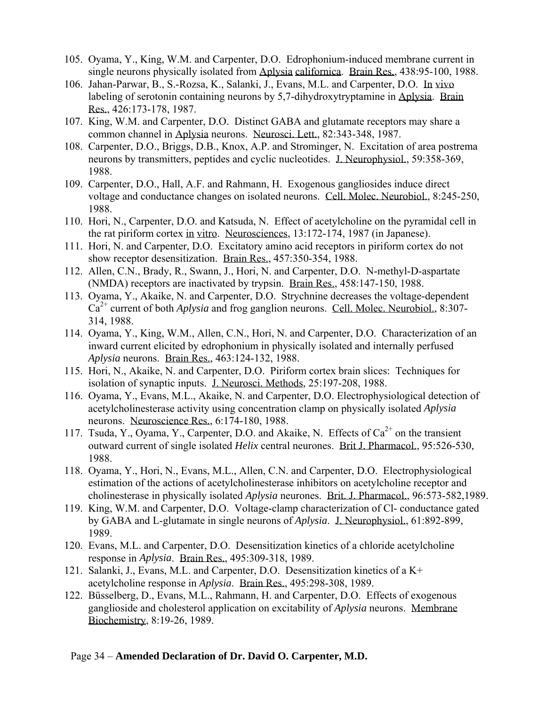- 105. Oyama, Y., King, W.M. and Carpenter, D.O. Edrophonium-induced membrane current in single neurons physically isolated from Aplysia californica. Brain Res., 438:95-100, 1988.
- 106. Jahan-Parwar, B., S.-Rozsa, K., Salanki, J., Evans, M.L. and Carpenter, D.O. In vivo labeling of serotonin containing neurons by 5,7-dihydroxytryptamine in Aplysia. Brain Res., 426:173-178, 1987.
- 107. King, W.M. and Carpenter, D.O. Distinct GABA and glutamate receptors may share a common channel in Aplysia neurons. Neurosci. Lett., 82:343-348, 1987.
- 108. Carpenter, D.O., Briggs, D.B., Knox, A.P. and Strominger, N. Excitation of area postrema neurons by transmitters, peptides and cyclic nucleotides. J. Neurophysiol., 59:358-369, 1988.
- 109. Carpenter, D.O., Hall, A.F. and Rahmann, H. Exogenous gangliosides induce direct voltage and conductance changes on isolated neurons. Cell. Molec. Neurobiol., 8:245-250, 1988.
- 110. Hori, N., Carpenter, D.O. and Katsuda, N. Effect of acetylcholine on the pyramidal cell in the rat piriform cortex in vitro. Neurosciences, 13:172-174, 1987 (in Japanese).
- 111. Hori, N. and Carpenter, D.O. Excitatory amino acid receptors in piriform cortex do not show receptor desensitization. Brain Res., 457:350-354, 1988.
- 112. Allen, C.N., Brady, R., Swann, J., Hori, N. and Carpenter, D.O. N-methyl-D-aspartate (NMDA) receptors are inactivated by trypsin. Brain Res., 458:147-150, 1988.
- 113. Oyama, Y., Akaike, N. and Carpenter, D.O. Strychnine decreases the voltage-dependent  $Ca<sup>2+</sup>$  current of both *Aplysia* and frog ganglion neurons. Cell. Molec. Neurobiol., 8:307-314, 1988.
- 114. Oyama, Y., King, W.M., Allen, C.N., Hori, N. and Carpenter, D.O. Characterization of an inward current elicited by edrophonium in physically isolated and internally perfused *Aplysia* neurons. Brain Res., 463:124-132, 1988.
- 115. Hori, N., Akaike, N. and Carpenter, D.O. Piriform cortex brain slices: Techniques for isolation of synaptic inputs. J. Neurosci. Methods, 25:197-208, 1988.
- 116. Oyama, Y., Evans, M.L., Akaike, N. and Carpenter, D.O. Electrophysiological detection of acetylcholinesterase activity using concentration clamp on physically isolated *Aplysia* neurons. Neuroscience Res., 6:174-180, 1988.
- 117. Tsuda, Y., Oyama, Y., Carpenter, D.O. and Akaike, N. Effects of  $Ca^{2+}$  on the transient outward current of single isolated *Helix* central neurones. Brit J. Pharmacol., 95:526-530, 1988.
- 118. Oyama, Y., Hori, N., Evans, M.L., Allen, C.N. and Carpenter, D.O. Electrophysiological estimation of the actions of acetylcholinesterase inhibitors on acetylcholine receptor and cholinesterase in physically isolated *Aplysia* neurones. Brit. J. Pharmacol., 96:573-582,1989.
- 119. King, W.M. and Carpenter, D.O. Voltage-clamp characterization of Cl- conductance gated by GABA and L-glutamate in single neurons of *Aplysia*. J. Neurophysiol., 61:892-899, 1989.
- 120. Evans, M.L. and Carpenter, D.O. Desensitization kinetics of a chloride acetylcholine response in *Aplysia*. Brain Res., 495:309-318, 1989.
- 121. Salanki, J., Evans, M.L. and Carpenter, D.O. Desensitization kinetics of a K+ acetylcholine response in *Aplysia*. Brain Res., 495:298-308, 1989.
- 122. Büsselberg, D., Evans, M.L., Rahmann, H. and Carpenter, D.O. Effects of exogenous ganglioside and cholesterol application on excitability of *Aplysia* neurons. Membrane Biochemistry, 8:19-26, 1989.

#### Page 34 – **Amended Declaration of Dr. David O. Carpenter, M.D.**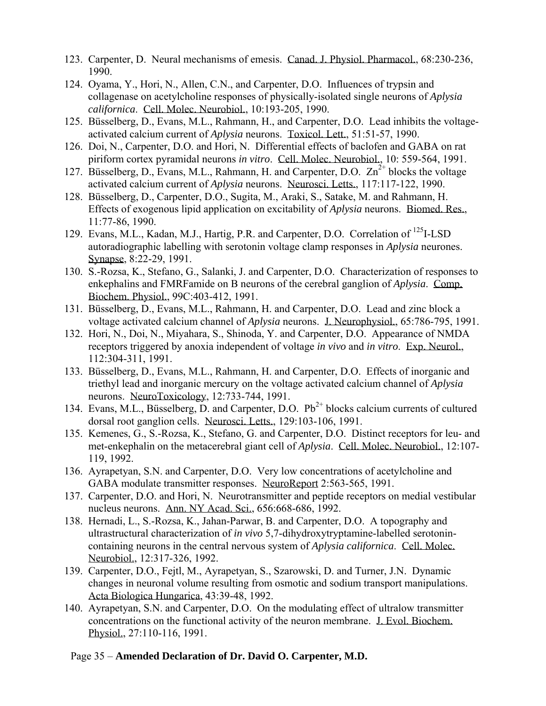- 123. Carpenter, D. Neural mechanisms of emesis. Canad. J. Physiol. Pharmacol., 68:230-236, 1990.
- 124. Oyama, Y., Hori, N., Allen, C.N., and Carpenter, D.O. Influences of trypsin and collagenase on acetylcholine responses of physically-isolated single neurons of *Aplysia californica*. Cell. Molec. Neurobiol., 10:193-205, 1990.
- 125. Büsselberg, D., Evans, M.L., Rahmann, H., and Carpenter, D.O. Lead inhibits the voltageactivated calcium current of *Aplysia* neurons. Toxicol. Lett., 51:51-57, 1990.
- 126. Doi, N., Carpenter, D.O. and Hori, N. Differential effects of baclofen and GABA on rat piriform cortex pyramidal neurons *in vitro*. Cell. Molec. Neurobiol., 10: 559-564, 1991.
- 127. Büsselberg, D., Evans, M.L., Rahmann, H. and Carpenter, D.O.  $Zn^{2+}$  blocks the voltage activated calcium current of *Aplysia* neurons. Neurosci. Letts., 117:117-122, 1990.
- 128. Büsselberg, D., Carpenter, D.O., Sugita, M., Araki, S., Satake, M. and Rahmann, H. Effects of exogenous lipid application on excitability of *Aplysia* neurons. Biomed. Res., 11:77-86, 1990.
- 129. Evans, M.L., Kadan, M.J., Hartig, P.R. and Carpenter, D.O. Correlation of <sup>125</sup>I-LSD autoradiographic labelling with serotonin voltage clamp responses in *Aplysia* neurones. Synapse, 8:22-29, 1991.
- 130. S.-Rozsa, K., Stefano, G., Salanki, J. and Carpenter, D.O. Characterization of responses to enkephalins and FMRFamide on B neurons of the cerebral ganglion of *Aplysia*. Comp. Biochem. Physiol., 99C:403-412, 1991.
- 131. Büsselberg, D., Evans, M.L., Rahmann, H. and Carpenter, D.O. Lead and zinc block a voltage activated calcium channel of *Aplysia* neurons. J. Neurophysiol., 65:786-795, 1991.
- 132. Hori, N., Doi, N., Miyahara, S., Shinoda, Y. and Carpenter, D.O. Appearance of NMDA receptors triggered by anoxia independent of voltage *in vivo* and *in vitro*. Exp. Neurol., 112:304-311, 1991.
- 133. Büsselberg, D., Evans, M.L., Rahmann, H. and Carpenter, D.O. Effects of inorganic and triethyl lead and inorganic mercury on the voltage activated calcium channel of *Aplysia* neurons. NeuroToxicology, 12:733-744, 1991.
- 134. Evans, M.L., Büsselberg, D. and Carpenter, D.O.  $Pb^{2+}$  blocks calcium currents of cultured dorsal root ganglion cells. Neurosci. Letts., 129:103-106, 1991.
- 135. Kemenes, G., S.-Rozsa, K., Stefano, G. and Carpenter, D.O. Distinct receptors for leu- and met-enkephalin on the metacerebral giant cell of *Aplysia*. Cell. Molec. Neurobiol., 12:107- 119, 1992.
- 136. Ayrapetyan, S.N. and Carpenter, D.O. Very low concentrations of acetylcholine and GABA modulate transmitter responses. NeuroReport 2:563-565, 1991.
- 137. Carpenter, D.O. and Hori, N. Neurotransmitter and peptide receptors on medial vestibular nucleus neurons. Ann. NY Acad. Sci., 656:668-686, 1992.
- 138. Hernadi, L., S.-Rozsa, K., Jahan-Parwar, B. and Carpenter, D.O. A topography and ultrastructural characterization of *in vivo* 5,7-dihydroxytryptamine-labelled serotonincontaining neurons in the central nervous system of *Aplysia californica*. Cell. Molec. Neurobiol., 12:317-326, 1992.
- 139. Carpenter, D.O., Fejtl, M., Ayrapetyan, S., Szarowski, D. and Turner, J.N. Dynamic changes in neuronal volume resulting from osmotic and sodium transport manipulations. Acta Biologica Hungarica, 43:39-48, 1992.
- 140. Ayrapetyan, S.N. and Carpenter, D.O. On the modulating effect of ultralow transmitter concentrations on the functional activity of the neuron membrane. J. Evol. Biochem. Physiol., 27:110-116, 1991.

### Page 35 – **Amended Declaration of Dr. David O. Carpenter, M.D.**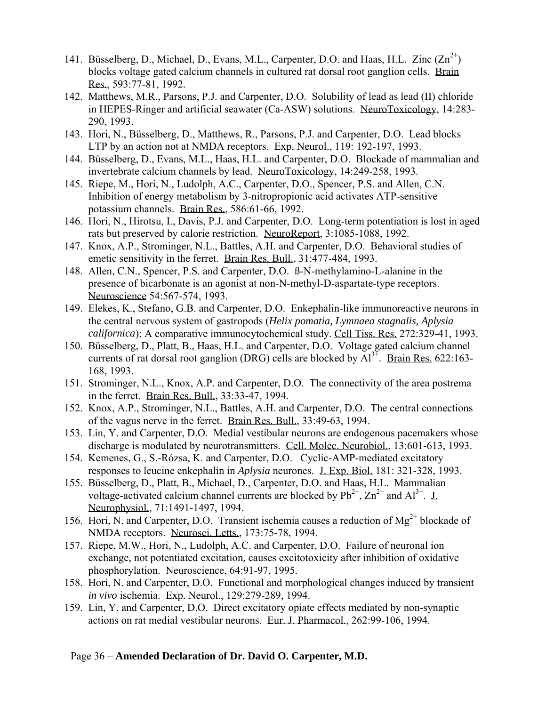- 141. Büsselberg, D., Michael, D., Evans, M.L., Carpenter, D.O. and Haas, H.L. Zinc  $(Zn^{2+})$ blocks voltage gated calcium channels in cultured rat dorsal root ganglion cells. Brain Res., 593:77-81, 1992.
- 142. Matthews, M.R., Parsons, P.J. and Carpenter, D.O. Solubility of lead as lead (II) chloride in HEPES-Ringer and artificial seawater (Ca-ASW) solutions. NeuroToxicology, 14:283- 290, 1993.
- 143. Hori, N., Büsselberg, D., Matthews, R., Parsons, P.J. and Carpenter, D.O. Lead blocks LTP by an action not at NMDA receptors. Exp. Neurol., 119: 192-197, 1993.
- 144. Büsselberg, D., Evans, M.L., Haas, H.L. and Carpenter, D.O. Blockade of mammalian and invertebrate calcium channels by lead. NeuroToxicology, 14:249-258, 1993.
- 145. Riepe, M., Hori, N., Ludolph, A.C., Carpenter, D.O., Spencer, P.S. and Allen, C.N. Inhibition of energy metabolism by 3-nitropropionic acid activates ATP-sensitive potassium channels. Brain Res., 586:61-66, 1992.
- 146. Hori, N., Hirotsu, I., Davis, P.J. and Carpenter, D.O. Long-term potentiation is lost in aged rats but preserved by calorie restriction. NeuroReport, 3:1085-1088, 1992.
- 147. Knox, A.P., Strominger, N.L., Battles, A.H. and Carpenter, D.O. Behavioral studies of emetic sensitivity in the ferret. Brain Res. Bull., 31:477-484, 1993.
- 148. Allen, C.N., Spencer, P.S. and Carpenter, D.O. ß-N-methylamino-L-alanine in the presence of bicarbonate is an agonist at non-N-methyl-D-aspartate-type receptors. Neuroscience 54:567-574, 1993.
- 149. Elekes, K., Stefano, G.B. and Carpenter, D.O. Enkephalin-like immunoreactive neurons in the central nervous system of gastropods (*Helix pomatia, Lymnaea stagnalis, Aplysia californica*): A comparative immunocytochemical study. Cell Tiss. Res. 272:329-41, 1993.
- 150. Büsselberg, D., Platt, B., Haas, H.L. and Carpenter, D.O. Voltage gated calcium channel currents of rat dorsal root ganglion (DRG) cells are blocked by  $Al^{3+}$ . Brain Res. 622:163-168, 1993.
- 151. Strominger, N.L., Knox, A.P. and Carpenter, D.O. The connectivity of the area postrema in the ferret. Brain Res. Bull., 33:33-47, 1994.
- 152. Knox, A.P., Strominger, N.L., Battles, A.H. and Carpenter, D.O. The central connections of the vagus nerve in the ferret. Brain Res. Bull., 33:49-63, 1994.
- 153. Lin, Y. and Carpenter, D.O. Medial vestibular neurons are endogenous pacemakers whose discharge is modulated by neurotransmitters. Cell. Molec. Neurobiol., 13:601-613, 1993.
- 154. Kemenes, G., S.-Rózsa, K. and Carpenter, D.O. Cyclic-AMP-mediated excitatory responses to leucine enkephalin in *Aplysia* neurones. J. Exp. Biol. 181: 321-328, 1993.
- 155. Büsselberg, D., Platt, B., Michael, D., Carpenter, D.O. and Haas, H.L. Mammalian voltage-activated calcium channel currents are blocked by  $Pb^{2+}$ ,  $Zn^{2+}$  and  $Al^{3+}$ .  $\bot$ Neurophysiol., 71:1491-1497, 1994.
- 156. Hori, N. and Carpenter, D.O. Transient ischemia causes a reduction of  $Mg^{2+}$  blockade of NMDA receptors. Neurosci. Letts., 173:75-78, 1994.
- 157. Riepe, M.W., Hori, N., Ludolph, A.C. and Carpenter, D.O. Failure of neuronal ion exchange, not potentiated excitation, causes excitotoxicity after inhibition of oxidative phosphorylation. Neuroscience, 64:91-97, 1995.
- 158. Hori, N. and Carpenter, D.O. Functional and morphological changes induced by transient *in vivo* ischemia. Exp. Neurol., 129:279-289, 1994.
- 159. Lin, Y. and Carpenter, D.O. Direct excitatory opiate effects mediated by non-synaptic actions on rat medial vestibular neurons. Eur. J. Pharmacol., 262:99-106, 1994.

#### Page 36 – **Amended Declaration of Dr. David O. Carpenter, M.D.**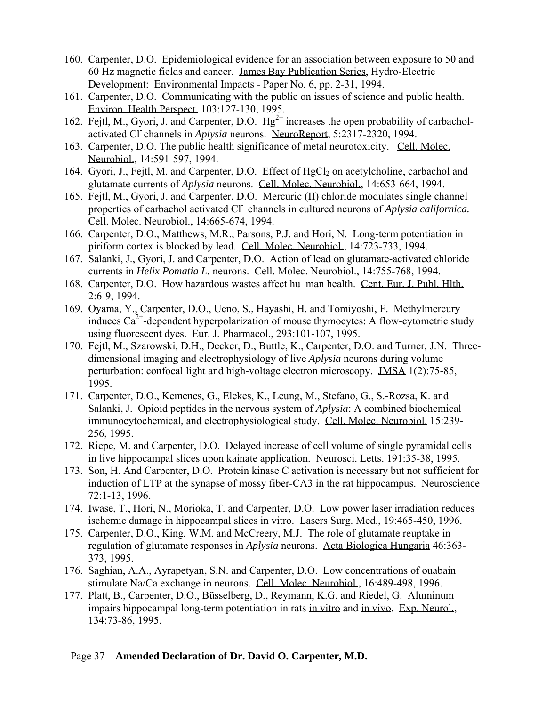- 160. Carpenter, D.O. Epidemiological evidence for an association between exposure to 50 and 60 Hz magnetic fields and cancer. James Bay Publication Series, Hydro-Electric Development: Environmental Impacts - Paper No. 6, pp. 2-31, 1994.
- 161. Carpenter, D.O. Communicating with the public on issues of science and public health. Environ. Health Perspect. 103:127-130, 1995.
- 162. Fejtl, M., Gyori, J. and Carpenter, D.O.  $Hg^{2+}$  increases the open probability of carbacholactivated Cl- channels in *Aplysia* neurons. NeuroReport, 5:2317-2320, 1994.
- 163. Carpenter, D.O. The public health significance of metal neurotoxicity. Cell. Molec. Neurobiol., 14:591-597, 1994.
- 164. Gyori, J., Fejtl, M. and Carpenter, D.O. Effect of HgCl<sub>2</sub> on acetylcholine, carbachol and glutamate currents of *Aplysia* neurons. Cell. Molec. Neurobiol., 14:653-664, 1994.
- 165. Fejtl, M., Gyori, J. and Carpenter, D.O. Mercuric (II) chloride modulates single channel properties of carbachol activated Cl- channels in cultured neurons of *Aplysia californica.*  Cell. Molec. Neurobiol., 14:665-674, 1994.
- 166. Carpenter, D.O., Matthews, M.R., Parsons, P.J. and Hori, N. Long-term potentiation in piriform cortex is blocked by lead. Cell. Molec. Neurobiol., 14:723-733, 1994.
- 167. Salanki, J., Gyori, J. and Carpenter, D.O. Action of lead on glutamate-activated chloride currents in *Helix Pomatia L.* neurons. Cell. Molec. Neurobiol., 14:755-768, 1994.
- 168. Carpenter, D.O. How hazardous wastes affect hu man health. Cent. Eur. J. Publ. Hlth. 2:6-9, 1994.
- 169. Oyama, Y., Carpenter, D.O., Ueno, S., Hayashi, H. and Tomiyoshi, F. Methylmercury induces  $Ca^{2+}$ -dependent hyperpolarization of mouse thymocytes: A flow-cytometric study using fluorescent dyes. Eur. J. Pharmacol., 293:101-107, 1995.
- 170. Fejtl, M., Szarowski, D.H., Decker, D., Buttle, K., Carpenter, D.O. and Turner, J.N. Threedimensional imaging and electrophysiology of live *Aplysia* neurons during volume perturbation: confocal light and high-voltage electron microscopy. JMSA 1(2):75-85, 1995.
- 171. Carpenter, D.O., Kemenes, G., Elekes, K., Leung, M., Stefano, G., S.-Rozsa, K. and Salanki, J. Opioid peptides in the nervous system of *Aplysia*: A combined biochemical immunocytochemical, and electrophysiological study. Cell. Molec. Neurobiol. 15:239- 256, 1995.
- 172. Riepe, M. and Carpenter, D.O. Delayed increase of cell volume of single pyramidal cells in live hippocampal slices upon kainate application. Neurosci. Letts. 191:35-38, 1995.
- 173. Son, H. And Carpenter, D.O. Protein kinase C activation is necessary but not sufficient for induction of LTP at the synapse of mossy fiber-CA3 in the rat hippocampus. Neuroscience 72:1-13, 1996.
- 174. Iwase, T., Hori, N., Morioka, T. and Carpenter, D.O. Low power laser irradiation reduces ischemic damage in hippocampal slices in vitro. Lasers Surg. Med., 19:465-450, 1996.
- 175. Carpenter, D.O., King, W.M. and McCreery, M.J. The role of glutamate reuptake in regulation of glutamate responses in *Aplysia* neurons. Acta Biologica Hungaria 46:363- 373, 1995.
- 176. Saghian, A.A., Ayrapetyan, S.N. and Carpenter, D.O. Low concentrations of ouabain stimulate Na/Ca exchange in neurons. Cell. Molec. Neurobiol., 16:489-498, 1996.
- 177. Platt, B., Carpenter, D.O., Büsselberg, D., Reymann, K.G. and Riedel, G. Aluminum impairs hippocampal long-term potentiation in rats in vitro and in vivo. Exp. Neurol., 134:73-86, 1995.

#### Page 37 – **Amended Declaration of Dr. David O. Carpenter, M.D.**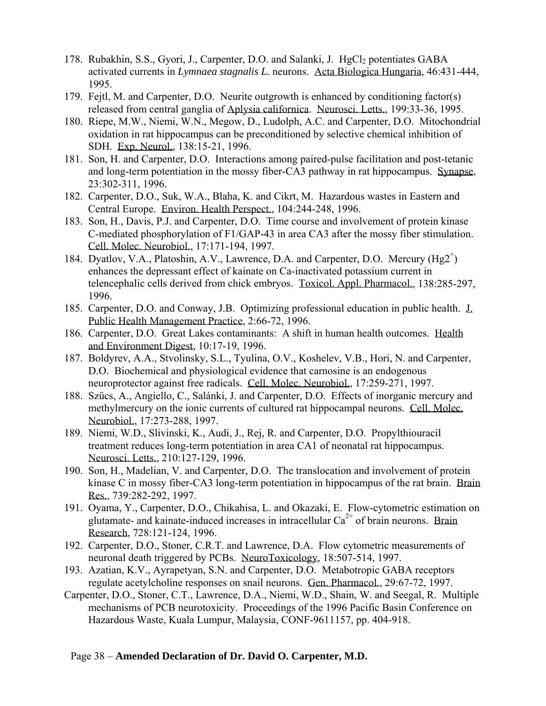- 178. Rubakhin, S.S., Gyori, J., Carpenter, D.O. and Salanki, J. HgCl<sub>2</sub> potentiates GABA activated currents in *Lymnaea stagnalis L.* neurons. Acta Biologica Hungaria, 46:431-444, 1995.
- 179. Fejtl, M. and Carpenter, D.O. Neurite outgrowth is enhanced by conditioning factor(s) released from central ganglia of Aplysia californica. Neurosci. Letts., 199:33-36, 1995.
- 180. Riepe, M.W., Niemi, W.N., Megow, D., Ludolph, A.C. and Carpenter, D.O. Mitochondrial oxidation in rat hippocampus can be preconditioned by selective chemical inhibition of SDH. Exp. Neurol., 138:15-21, 1996.
- 181. Son, H. and Carpenter, D.O. Interactions among paired-pulse facilitation and post-tetanic and long-term potentiation in the mossy fiber-CA3 pathway in rat hippocampus. Synapse, 23:302-311, 1996.
- 182. Carpenter, D.O., Suk, W.A., Blaha, K. and Cikrt, M. Hazardous wastes in Eastern and Central Europe. Environ. Health Perspect., 104:244-248, 1996.
- 183. Son, H., Davis, P.J. and Carpenter, D.O. Time course and involvement of protein kinase C-mediated phosphorylation of F1/GAP-43 in area CA3 after the mossy fiber stimulation. Cell. Molec. Neurobiol., 17:171-194, 1997.
- 184. Dyatlov, V.A., Platoshin, A.V., Lawrence, D.A. and Carpenter, D.O. Mercury (Hg2<sup>+</sup>) enhances the depressant effect of kainate on Ca-inactivated potassium current in telencephalic cells derived from chick embryos. Toxicol. Appl. Pharmacol., 138:285-297, 1996.
- 185. Carpenter, D.O. and Conway, J.B. Optimizing professional education in public health. J. Public Health Management Practice, 2:66-72, 1996.
- 186. Carpenter, D.O. Great Lakes contaminants: A shift in human health outcomes. Health and Environment Digest, 10:17-19, 1996.
- 187. Boldyrev, A.A., Stvolinsky, S.L., Tyulina, O.V., Koshelev, V.B., Hori, N. and Carpenter, D.O. Biochemical and physiological evidence that carnosine is an endogenous neuroprotector against free radicals. Cell. Molec. Neurobiol., 17:259-271, 1997.
- 188. Szücs, A., Angiello, C., Salánki, J. and Carpenter, D.O. Effects of inorganic mercury and methylmercury on the ionic currents of cultured rat hippocampal neurons. Cell. Molec. Neurobiol., 17:273-288, 1997.
- 189. Niemi, W.D., Slivinski, K., Audi, J., Rej, R. and Carpenter, D.O. Propylthiouracil treatment reduces long-term potentiation in area CA1 of neonatal rat hippocampus. Neurosci. Letts., 210:127-129, 1996.
- 190. Son, H., Madelian, V. and Carpenter, D.O. The translocation and involvement of protein kinase C in mossy fiber-CA3 long-term potentiation in hippocampus of the rat brain. Brain Res., 739:282-292, 1997.
- 191. Oyama, Y., Carpenter, D.O., Chikahisa, L. and Okazaki, E. Flow-cytometric estimation on glutamate- and kainate-induced increases in intracellular  $Ca^{2+}$  of brain neurons. Brain Research, 728:121-124, 1996.
- 192. Carpenter, D.O., Stoner, C.R.T. and Lawrence, D.A. Flow cytometric measurements of neuronal death triggered by PCBs. NeuroToxicology, 18:507-514, 1997.
- 193. Azatian, K.V., Ayrapetyan, S.N. and Carpenter, D.O. Metabotropic GABA receptors regulate acetylcholine responses on snail neurons. Gen. Pharmacol., 29:67-72, 1997.
- Carpenter, D.O., Stoner, C.T., Lawrence, D.A., Niemi, W.D., Shain, W. and Seegal, R. Multiple mechanisms of PCB neurotoxicity. Proceedings of the 1996 Pacific Basin Conference on Hazardous Waste, Kuala Lumpur, Malaysia, CONF-9611157, pp. 404-918.

#### Page 38 – **Amended Declaration of Dr. David O. Carpenter, M.D.**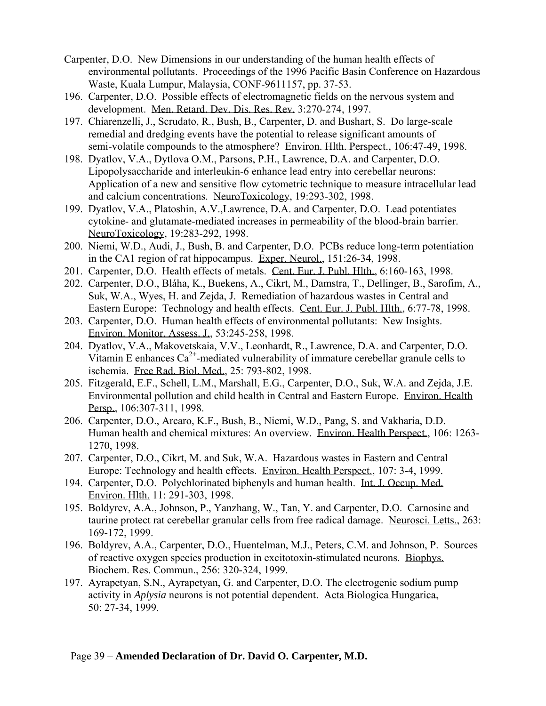- Carpenter, D.O. New Dimensions in our understanding of the human health effects of environmental pollutants. Proceedings of the 1996 Pacific Basin Conference on Hazardous Waste, Kuala Lumpur, Malaysia, CONF-9611157, pp. 37-53.
- 196. Carpenter, D.O. Possible effects of electromagnetic fields on the nervous system and development. Men. Retard. Dev. Dis. Res. Rev. 3:270-274, 1997.
- 197. Chiarenzelli, J., Scrudato, R., Bush, B., Carpenter, D. and Bushart, S. Do large-scale remedial and dredging events have the potential to release significant amounts of semi-volatile compounds to the atmosphere? Environ. Hlth. Perspect., 106:47-49, 1998.
- 198. Dyatlov, V.A., Dytlova O.M., Parsons, P.H., Lawrence, D.A. and Carpenter, D.O. Lipopolysaccharide and interleukin-6 enhance lead entry into cerebellar neurons: Application of a new and sensitive flow cytometric technique to measure intracellular lead and calcium concentrations. NeuroToxicology, 19:293-302, 1998.
- 199. Dyatlov, V.A., Platoshin, A.V.,Lawrence, D.A. and Carpenter, D.O. Lead potentiates cytokine- and glutamate-mediated increases in permeability of the blood-brain barrier. NeuroToxicology, 19:283-292, 1998.
- 200. Niemi, W.D., Audi, J., Bush, B. and Carpenter, D.O. PCBs reduce long-term potentiation in the CA1 region of rat hippocampus. Exper. Neurol., 151:26-34, 1998.
- 201. Carpenter, D.O. Health effects of metals. Cent. Eur. J. Publ. Hlth., 6:160-163, 1998.
- 202. Carpenter, D.O., Bláha, K., Buekens, A., Cikrt, M., Damstra, T., Dellinger, B., Sarofim, A., Suk, W.A., Wyes, H. and Zejda, J. Remediation of hazardous wastes in Central and Eastern Europe: Technology and health effects. Cent. Eur. J. Publ. Hlth., 6:77-78, 1998.
- 203. Carpenter, D.O. Human health effects of environmental pollutants: New Insights. Environ. Monitor. Assess. J., 53:245-258, 1998.
- 204. Dyatlov, V.A., Makovetskaia, V.V., Leonhardt, R., Lawrence, D.A. and Carpenter, D.O. Vitamin E enhances  $Ca^{2+}$ -mediated vulnerability of immature cerebellar granule cells to ischemia. Free Rad. Biol. Med., 25: 793-802, 1998.
- 205. Fitzgerald, E.F., Schell, L.M., Marshall, E.G., Carpenter, D.O., Suk, W.A. and Zejda, J.E. Environmental pollution and child health in Central and Eastern Europe. Environ. Health Persp., 106:307-311, 1998.
- 206. Carpenter, D.O., Arcaro, K.F., Bush, B., Niemi, W.D., Pang, S. and Vakharia, D.D. Human health and chemical mixtures: An overview. Environ. Health Perspect., 106: 1263- 1270, 1998.
- 207. Carpenter, D.O., Cikrt, M. and Suk, W.A. Hazardous wastes in Eastern and Central Europe: Technology and health effects. Environ. Health Perspect., 107: 3-4, 1999.
- 194. Carpenter, D.O. Polychlorinated biphenyls and human health. Int. J. Occup. Med. Environ. Hlth. 11: 291-303, 1998.
- 195. Boldyrev, A.A., Johnson, P., Yanzhang, W., Tan, Y. and Carpenter, D.O. Carnosine and taurine protect rat cerebellar granular cells from free radical damage. Neurosci. Letts., 263: 169-172, 1999.
- 196. Boldyrev, A.A., Carpenter, D.O., Huentelman, M.J., Peters, C.M. and Johnson, P. Sources of reactive oxygen species production in excitotoxin-stimulated neurons. Biophys. Biochem. Res. Commun., 256: 320-324, 1999.
- 197. Ayrapetyan, S.N., Ayrapetyan, G. and Carpenter, D.O. The electrogenic sodium pump activity in *Aplysia* neurons is not potential dependent. Acta Biologica Hungarica, 50: 27-34, 1999.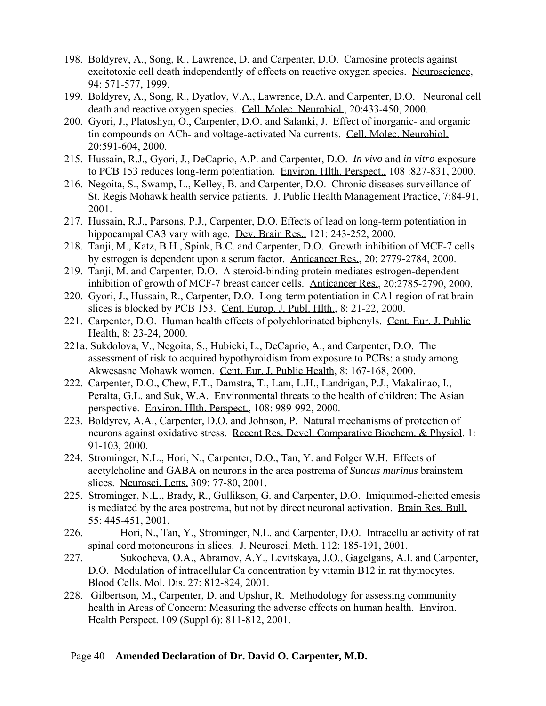- 198. Boldyrev, A., Song, R., Lawrence, D. and Carpenter, D.O. Carnosine protects against excitotoxic cell death independently of effects on reactive oxygen species. Neuroscience, 94: 571-577, 1999.
- 199. Boldyrev, A., Song, R., Dyatlov, V.A., Lawrence, D.A. and Carpenter, D.O. Neuronal cell death and reactive oxygen species. Cell. Molec. Neurobiol., 20:433-450, 2000.
- 200. Gyori, J., Platoshyn, O., Carpenter, D.O. and Salanki, J. Effect of inorganic- and organic tin compounds on ACh- and voltage-activated Na currents. Cell. Molec. Neurobiol. 20:591-604, 2000.
- 215. Hussain, R.J., Gyori, J., DeCaprio, A.P. and Carpenter, D.O. *In vivo* and *in vitro* exposure to PCB 153 reduces long-term potentiation. Environ. Hlth. Perspect., 108 :827-831, 2000.
- 216. Negoita, S., Swamp, L., Kelley, B. and Carpenter, D.O. Chronic diseases surveillance of St. Regis Mohawk health service patients. J. Public Health Management Practice, 7:84-91, 2001.
- 217. Hussain, R.J., Parsons, P.J., Carpenter, D.O. Effects of lead on long-term potentiation in hippocampal CA3 vary with age. Dev. Brain Res., 121: 243-252, 2000.
- 218. Tanji, M., Katz, B.H., Spink, B.C. and Carpenter, D.O. Growth inhibition of MCF-7 cells by estrogen is dependent upon a serum factor. Anticancer Res., 20: 2779-2784, 2000.
- 219. Tanji, M. and Carpenter, D.O. A steroid-binding protein mediates estrogen-dependent inhibition of growth of MCF-7 breast cancer cells. Anticancer Res., 20:2785-2790, 2000.
- 220. Gyori, J., Hussain, R., Carpenter, D.O. Long-term potentiation in CA1 region of rat brain slices is blocked by PCB 153. Cent. Europ. J. Publ. Hlth., 8: 21-22, 2000.
- 221. Carpenter, D.O. Human health effects of polychlorinated biphenyls. Cent. Eur. J. Public Health, 8: 23-24, 2000.
- 221a. Sukdolova, V., Negoita, S., Hubicki, L., DeCaprio, A., and Carpenter, D.O. The assessment of risk to acquired hypothyroidism from exposure to PCBs: a study among Akwesasne Mohawk women. Cent. Eur. J. Public Health, 8: 167-168, 2000.
- 222. Carpenter, D.O., Chew, F.T., Damstra, T., Lam, L.H., Landrigan, P.J., Makalinao, I., Peralta, G.L. and Suk, W.A. Environmental threats to the health of children: The Asian perspective. Environ. Hlth. Perspect., 108: 989-992, 2000.
- 223. Boldyrev, A.A., Carpenter, D.O. and Johnson, P. Natural mechanisms of protection of neurons against oxidative stress. Recent Res. Devel. Comparative Biochem. & Physiol. 1: 91-103, 2000.
- 224. Strominger, N.L., Hori, N., Carpenter, D.O., Tan, Y. and Folger W.H. Effects of acetylcholine and GABA on neurons in the area postrema of *Suncus murinus* brainstem slices. Neurosci. Letts. 309: 77-80, 2001.
- 225. Strominger, N.L., Brady, R., Gullikson, G. and Carpenter, D.O. Imiquimod-elicited emesis is mediated by the area postrema, but not by direct neuronal activation. Brain Res. Bull. 55: 445-451, 2001.
- 226. Hori, N., Tan, Y., Strominger, N.L. and Carpenter, D.O. Intracellular activity of rat spinal cord motoneurons in slices. J. Neurosci. Meth. 112: 185-191, 2001.
- 227. Sukocheva, O.A., Abramov, A.Y., Levitskaya, J.O., Gagelgans, A.I. and Carpenter, D.O. Modulation of intracellular Ca concentration by vitamin B12 in rat thymocytes. Blood Cells. Mol. Dis. 27: 812-824, 2001.
- 228. Gilbertson, M., Carpenter, D. and Upshur, R. Methodology for assessing community health in Areas of Concern: Measuring the adverse effects on human health. Environ. Health Perspect. 109 (Suppl 6): 811-812, 2001.

#### Page 40 – **Amended Declaration of Dr. David O. Carpenter, M.D.**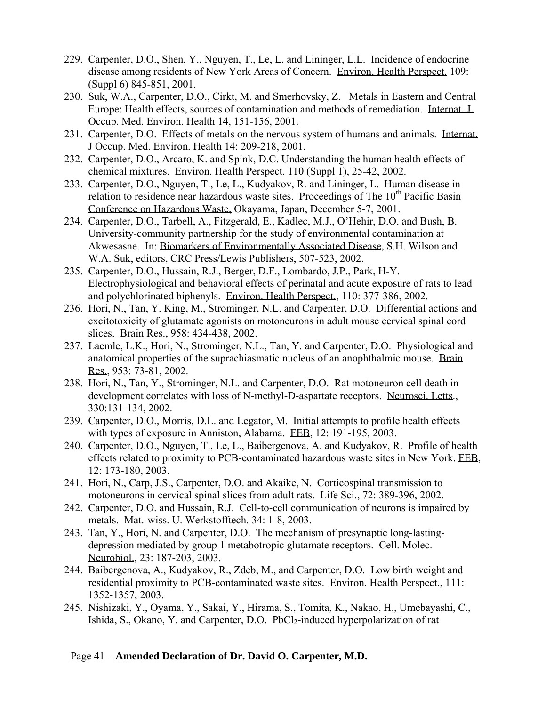- 229. Carpenter, D.O., Shen, Y., Nguyen, T., Le, L. and Lininger, L.L. Incidence of endocrine disease among residents of New York Areas of Concern. Environ. Health Perspect. 109: (Suppl 6) 845-851, 2001.
- 230. Suk, W.A., Carpenter, D.O., Cirkt, M. and Smerhovsky, Z. Metals in Eastern and Central Europe: Health effects, sources of contamination and methods of remediation. Internat. J. Occup. Med. Environ. Health 14, 151-156, 2001.
- 231. Carpenter, D.O. Effects of metals on the nervous system of humans and animals. Internat. J Occup. Med. Environ. Health 14: 209-218, 2001.
- 232. Carpenter, D.O., Arcaro, K. and Spink, D.C. Understanding the human health effects of chemical mixtures. Environ. Health Perspect. 110 (Suppl 1), 25-42, 2002.
- 233. Carpenter, D.O., Nguyen, T., Le, L., Kudyakov, R. and Lininger, L. Human disease in relation to residence near hazardous waste sites. Proceedings of The  $10^{th}$  Pacific Basin Conference on Hazardous Waste, Okayama, Japan, December 5-7, 2001.
- 234. Carpenter, D.O., Tarbell, A., Fitzgerald, E., Kadlec, M.J., O'Hehir, D.O. and Bush, B. University-community partnership for the study of environmental contamination at Akwesasne. In: Biomarkers of Environmentally Associated Disease, S.H. Wilson and W.A. Suk, editors, CRC Press/Lewis Publishers, 507-523, 2002.
- 235. Carpenter, D.O., Hussain, R.J., Berger, D.F., Lombardo, J.P., Park, H-Y. Electrophysiological and behavioral effects of perinatal and acute exposure of rats to lead and polychlorinated biphenyls. Environ. Health Perspect., 110: 377-386, 2002.
- 236. Hori, N., Tan, Y. King, M., Strominger, N.L. and Carpenter, D.O. Differential actions and excitotoxicity of glutamate agonists on motoneurons in adult mouse cervical spinal cord slices. Brain Res., 958: 434-438, 2002.
- 237. Laemle, L.K., Hori, N., Strominger, N.L., Tan, Y. and Carpenter, D.O. Physiological and anatomical properties of the suprachiasmatic nucleus of an anophthalmic mouse. Brain Res., 953: 73-81, 2002.
- 238. Hori, N., Tan, Y., Strominger, N.L. and Carpenter, D.O. Rat motoneuron cell death in development correlates with loss of N-methyl-D-aspartate receptors. Neurosci. Letts., 330:131-134, 2002.
- 239. Carpenter, D.O., Morris, D.L. and Legator, M. Initial attempts to profile health effects with types of exposure in Anniston, Alabama. FEB, 12: 191-195, 2003.
- 240. Carpenter, D.O., Nguyen, T., Le, L., Baibergenova, A. and Kudyakov, R. Profile of health effects related to proximity to PCB-contaminated hazardous waste sites in New York. FEB, 12: 173-180, 2003.
- 241. Hori, N., Carp, J.S., Carpenter, D.O. and Akaike, N. Corticospinal transmission to motoneurons in cervical spinal slices from adult rats. Life Sci., 72: 389-396, 2002.
- 242. Carpenter, D.O. and Hussain, R.J. Cell-to-cell communication of neurons is impaired by metals. Mat.-wiss. U. Werkstofftech. 34: 1-8, 2003.
- 243. Tan, Y., Hori, N. and Carpenter, D.O. The mechanism of presynaptic long-lastingdepression mediated by group 1 metabotropic glutamate receptors. Cell. Molec. Neurobiol., 23: 187-203, 2003.
- 244. Baibergenova, A., Kudyakov, R., Zdeb, M., and Carpenter, D.O. Low birth weight and residential proximity to PCB-contaminated waste sites. Environ. Health Perspect., 111: 1352-1357, 2003.
- 245. Nishizaki, Y., Oyama, Y., Sakai, Y., Hirama, S., Tomita, K., Nakao, H., Umebayashi, C., Ishida, S., Okano, Y. and Carpenter, D.O. PbCl<sub>2</sub>-induced hyperpolarization of rat

### Page 41 – **Amended Declaration of Dr. David O. Carpenter, M.D.**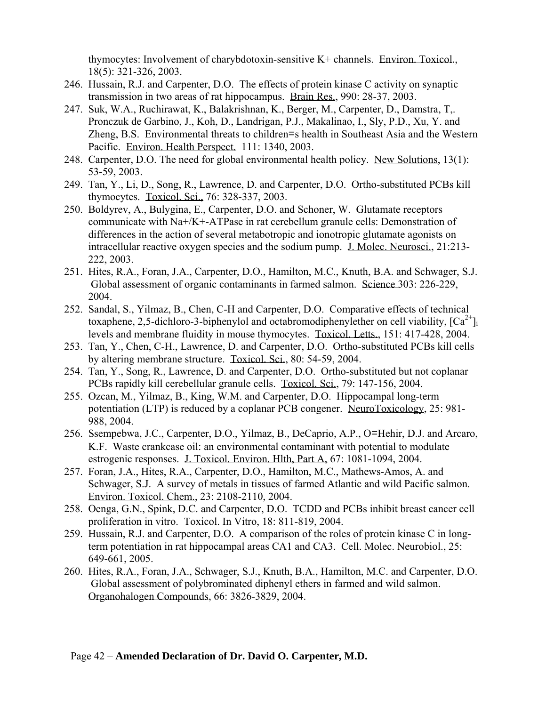thymocytes: Involvement of charybdotoxin-sensitive K+ channels. Environ. Toxicol*.*, 18(5): 321-326, 2003.

- 246. Hussain, R.J. and Carpenter, D.O. The effects of protein kinase C activity on synaptic transmission in two areas of rat hippocampus. Brain Res., 990: 28-37, 2003.
- 247. Suk, W.A., Ruchirawat, K., Balakrishnan, K., Berger, M., Carpenter, D., Damstra, T,. Pronczuk de Garbino, J., Koh, D., Landrigan, P.J., Makalinao, I., Sly, P.D., Xu, Y. and Zheng, B.S. Environmental threats to children=s health in Southeast Asia and the Western Pacific. Environ. Health Perspect. 111: 1340, 2003.
- 248. Carpenter, D.O. The need for global environmental health policy. New Solutions, 13(1): 53-59, 2003.
- 249. Tan, Y., Li, D., Song, R., Lawrence, D. and Carpenter, D.O. Ortho-substituted PCBs kill thymocytes. Toxicol. Sci., 76: 328-337, 2003.
- 250. Boldyrev, A., Bulygina, E., Carpenter, D.O. and Schoner, W. Glutamate receptors communicate with Na+/K+-ATPase in rat cerebellum granule cells: Demonstration of differences in the action of several metabotropic and ionotropic glutamate agonists on intracellular reactive oxygen species and the sodium pump. J. Molec. Neurosci., 21:213- 222, 2003.
- 251. Hites, R.A., Foran, J.A., Carpenter, D.O., Hamilton, M.C., Knuth, B.A. and Schwager, S.J. Global assessment of organic contaminants in farmed salmon. Science 303: 226-229, 2004.
- 252. Sandal, S., Yilmaz, B., Chen, C-H and Carpenter, D.O. Comparative effects of technical toxaphene, 2,5-dichloro-3-biphenylol and octabromodiphenylether on cell viability,  $[Ca^{2+}]_i$ levels and membrane fluidity in mouse thymocytes. Toxicol. Letts., 151: 417-428, 2004.
- 253. Tan, Y., Chen, C-H., Lawrence, D. and Carpenter, D.O. Ortho-substituted PCBs kill cells by altering membrane structure. Toxicol. Sci., 80: 54-59, 2004.
- 254. Tan, Y., Song, R., Lawrence, D. and Carpenter, D.O. Ortho-substituted but not coplanar PCBs rapidly kill cerebellular granule cells. Toxicol. Sci., 79: 147-156, 2004.
- 255. Ozcan, M., Yilmaz, B., King, W.M. and Carpenter, D.O. Hippocampal long-term potentiation (LTP) is reduced by a coplanar PCB congener. NeuroToxicology, 25: 981- 988, 2004.
- 256. Ssempebwa, J.C., Carpenter, D.O., Yilmaz, B., DeCaprio, A.P., O=Hehir, D.J. and Arcaro, K.F. Waste crankcase oil: an environmental contaminant with potential to modulate estrogenic responses. J. Toxicol. Environ. Hlth, Part A, 67: 1081-1094, 2004.
- 257. Foran, J.A., Hites, R.A., Carpenter, D.O., Hamilton, M.C., Mathews-Amos, A. and Schwager, S.J. A survey of metals in tissues of farmed Atlantic and wild Pacific salmon. Environ. Toxicol. Chem., 23: 2108-2110, 2004.
- 258. Oenga, G.N., Spink, D.C. and Carpenter, D.O. TCDD and PCBs inhibit breast cancer cell proliferation in vitro. Toxicol. In Vitro, 18: 811-819, 2004.
- 259. Hussain, R.J. and Carpenter, D.O. A comparison of the roles of protein kinase C in longterm potentiation in rat hippocampal areas CA1 and CA3. Cell. Molec. Neurobiol., 25: 649-661, 2005.
- 260. Hites, R.A., Foran, J.A., Schwager, S.J., Knuth, B.A., Hamilton, M.C. and Carpenter, D.O. Global assessment of polybrominated diphenyl ethers in farmed and wild salmon. Organohalogen Compounds, 66: 3826-3829, 2004.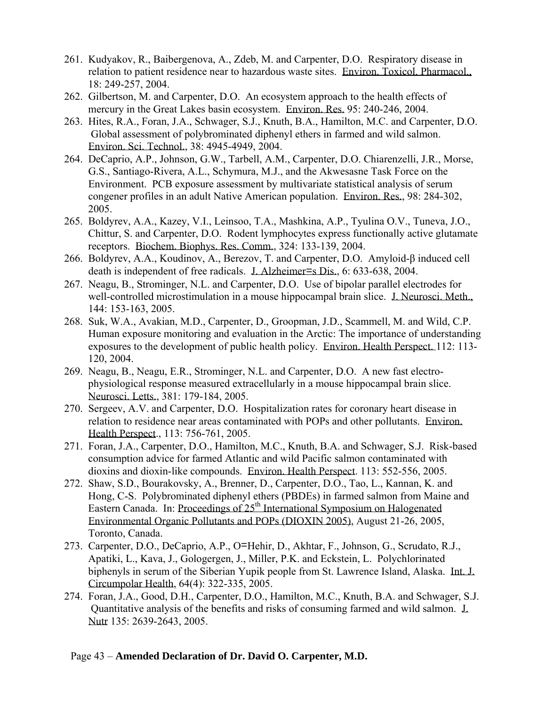- 261. Kudyakov, R., Baibergenova, A., Zdeb, M. and Carpenter, D.O. Respiratory disease in relation to patient residence near to hazardous waste sites. Environ. Toxicol. Pharmacol., 18: 249-257, 2004.
- 262. Gilbertson, M. and Carpenter, D.O. An ecosystem approach to the health effects of mercury in the Great Lakes basin ecosystem. Environ. Res. 95: 240-246, 2004.
- 263. Hites, R.A., Foran, J.A., Schwager, S.J., Knuth, B.A., Hamilton, M.C. and Carpenter, D.O. Global assessment of polybrominated diphenyl ethers in farmed and wild salmon. Environ. Sci. Technol., 38: 4945-4949, 2004.
- 264. DeCaprio, A.P., Johnson, G.W., Tarbell, A.M., Carpenter, D.O. Chiarenzelli, J.R., Morse, G.S., Santiago-Rivera, A.L., Schymura, M.J., and the Akwesasne Task Force on the Environment. PCB exposure assessment by multivariate statistical analysis of serum congener profiles in an adult Native American population. Environ. Res., 98: 284-302, 2005.
- 265. Boldyrev, A.A., Kazey, V.I., Leinsoo, T.A., Mashkina, A.P., Tyulina O.V., Tuneva, J.O., Chittur, S. and Carpenter, D.O. Rodent lymphocytes express functionally active glutamate receptors. Biochem. Biophys. Res. Comm., 324: 133-139, 2004.
- 266. Boldyrev, A.A., Koudinov, A., Berezov, T. and Carpenter, D.O. Amyloid-β induced cell death is independent of free radicals. J. Alzheimer=s Dis., 6: 633-638, 2004.
- 267. Neagu, B., Strominger, N.L. and Carpenter, D.O. Use of bipolar parallel electrodes for well-controlled microstimulation in a mouse hippocampal brain slice. J. Neurosci. Meth., 144: 153-163, 2005.
- 268. Suk, W.A., Avakian, M.D., Carpenter, D., Groopman, J.D., Scammell, M. and Wild, C.P. Human exposure monitoring and evaluation in the Arctic: The importance of understanding exposures to the development of public health policy. Environ. Health Perspect. 112: 113- 120, 2004.
- 269. Neagu, B., Neagu, E.R., Strominger, N.L. and Carpenter, D.O. A new fast electrophysiological response measured extracellularly in a mouse hippocampal brain slice. Neurosci. Letts., 381: 179-184, 2005.
- 270. Sergeev, A.V. and Carpenter, D.O. Hospitalization rates for coronary heart disease in relation to residence near areas contaminated with POPs and other pollutants. Environ. Health Perspect., 113: 756-761, 2005.
- 271. Foran, J.A., Carpenter, D.O., Hamilton, M.C., Knuth, B.A. and Schwager, S.J. Risk-based consumption advice for farmed Atlantic and wild Pacific salmon contaminated with dioxins and dioxin-like compounds. Environ. Health Perspect. 113: 552-556, 2005.
- 272. Shaw, S.D., Bourakovsky, A., Brenner, D., Carpenter, D.O., Tao, L., Kannan, K. and Hong, C-S. Polybrominated diphenyl ethers (PBDEs) in farmed salmon from Maine and Eastern Canada. In: Proceedings of  $25<sup>th</sup>$  International Symposium on Halogenated Environmental Organic Pollutants and POPs (DIOXIN 2005), August 21-26, 2005, Toronto, Canada.
- 273. Carpenter, D.O., DeCaprio, A.P., O=Hehir, D., Akhtar, F., Johnson, G., Scrudato, R.J., Apatiki, L., Kava, J., Gologergen, J., Miller, P.K. and Eckstein, L. Polychlorinated biphenyls in serum of the Siberian Yupik people from St. Lawrence Island, Alaska. Int. J. Circumpolar Health, 64(4): 322-335, 2005.
- 274. Foran, J.A., Good, D.H., Carpenter, D.O., Hamilton, M.C., Knuth, B.A. and Schwager, S.J. Quantitative analysis of the benefits and risks of consuming farmed and wild salmon. J. Nutr 135: 2639-2643, 2005.

### Page 43 – **Amended Declaration of Dr. David O. Carpenter, M.D.**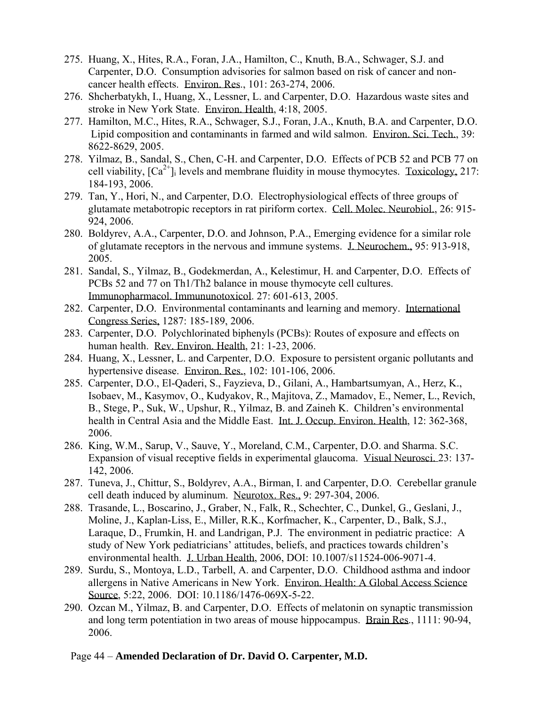- 275. Huang, X., Hites, R.A., Foran, J.A., Hamilton, C., Knuth, B.A., Schwager, S.J. and Carpenter, D.O. Consumption advisories for salmon based on risk of cancer and noncancer health effects. Environ. Res., 101: 263-274, 2006.
- 276. Shcherbatykh, I., Huang, X., Lessner, L. and Carpenter, D.O. Hazardous waste sites and stroke in New York State. Environ. Health, 4:18, 2005.
- 277. Hamilton, M.C., Hites, R.A., Schwager, S.J., Foran, J.A., Knuth, B.A. and Carpenter, D.O. Lipid composition and contaminants in farmed and wild salmon. Environ. Sci. Tech., 39: 8622-8629, 2005.
- 278. Yilmaz, B., Sandal, S., Chen, C-H. and Carpenter, D.O. Effects of PCB 52 and PCB 77 on cell viability,  $[Ca^{2+}]_i$  levels and membrane fluidity in mouse thymocytes. Toxicology, 217: 184-193, 2006.
- 279. Tan, Y., Hori, N., and Carpenter, D.O. Electrophysiological effects of three groups of glutamate metabotropic receptors in rat piriform cortex. Cell. Molec. Neurobiol., 26: 915- 924, 2006.
- 280. Boldyrev, A.A., Carpenter, D.O. and Johnson, P.A., Emerging evidence for a similar role of glutamate receptors in the nervous and immune systems. J. Neurochem., 95: 913-918, 2005.
- 281. Sandal, S., Yilmaz, B., Godekmerdan, A., Kelestimur, H. and Carpenter, D.O. Effects of PCBs 52 and 77 on Th1/Th2 balance in mouse thymocyte cell cultures. Immunopharmacol. Immununotoxicol. 27: 601-613, 2005.
- 282. Carpenter, D.O. Environmental contaminants and learning and memory. International Congress Series, 1287: 185-189, 2006.
- 283. Carpenter, D.O. Polychlorinated biphenyls (PCBs): Routes of exposure and effects on human health. Rev. Environ. Health, 21: 1-23, 2006.
- 284. Huang, X., Lessner, L. and Carpenter, D.O. Exposure to persistent organic pollutants and hypertensive disease. Environ. Res., 102: 101-106, 2006.
- 285. Carpenter, D.O., El-Qaderi, S., Fayzieva, D., Gilani, A., Hambartsumyan, A., Herz, K., Isobaev, M., Kasymov, O., Kudyakov, R., Majitova, Z., Mamadov, E., Nemer, L., Revich, B., Stege, P., Suk, W., Upshur, R., Yilmaz, B. and Zaineh K. Children's environmental health in Central Asia and the Middle East. Int. J. Occup. Environ. Health, 12: 362-368, 2006.
- 286. King, W.M., Sarup, V., Sauve, Y., Moreland, C.M., Carpenter, D.O. and Sharma. S.C. Expansion of visual receptive fields in experimental glaucoma. Visual Neurosci. 23: 137- 142, 2006.
- 287. Tuneva, J., Chittur, S., Boldyrev, A.A., Birman, I. and Carpenter, D.O. Cerebellar granule cell death induced by aluminum. Neurotox. Res., 9: 297-304, 2006.
- 288. Trasande, L., Boscarino, J., Graber, N., Falk, R., Schechter, C., Dunkel, G., Geslani, J., Moline, J., Kaplan-Liss, E., Miller, R.K., Korfmacher, K., Carpenter, D., Balk, S.J., Laraque, D., Frumkin, H. and Landrigan, P.J. The environment in pediatric practice: A study of New York pediatricians' attitudes, beliefs, and practices towards children's environmental health. J. Urban Health, 2006, DOI: 10.1007/s11524-006-9071-4.
- 289. Surdu, S., Montoya, L.D., Tarbell, A. and Carpenter, D.O. Childhood asthma and indoor allergens in Native Americans in New York. Environ. Health: A Global Access Science Source, 5:22, 2006. DOI: 10.1186/1476-069X-5-22.
- 290. Ozcan M., Yilmaz, B. and Carpenter, D.O. Effects of melatonin on synaptic transmission and long term potentiation in two areas of mouse hippocampus. Brain Res., 1111: 90-94, 2006.

### Page 44 – **Amended Declaration of Dr. David O. Carpenter, M.D.**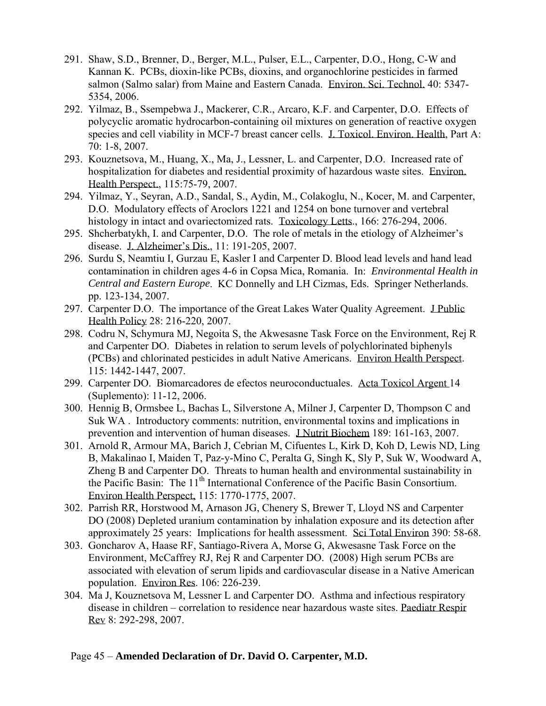- 291. Shaw, S.D., Brenner, D., Berger, M.L., Pulser, E.L., Carpenter, D.O., Hong, C-W and Kannan K. PCBs, dioxin-like PCBs, dioxins, and organochlorine pesticides in farmed salmon (Salmo salar) from Maine and Eastern Canada. Environ. Sci. Technol. 40: 5347- 5354, 2006.
- 292. Yilmaz, B., Ssempebwa J., Mackerer, C.R., Arcaro, K.F. and Carpenter, D.O. Effects of polycyclic aromatic hydrocarbon-containing oil mixtures on generation of reactive oxygen species and cell viability in MCF-7 breast cancer cells. J. Toxicol. Environ. Health, Part A: 70: 1-8, 2007.
- 293. Kouznetsova, M., Huang, X., Ma, J., Lessner, L. and Carpenter, D.O. Increased rate of hospitalization for diabetes and residential proximity of hazardous waste sites. Environ. Health Perspect., 115:75-79, 2007.
- 294. Yilmaz, Y., Seyran, A.D., Sandal, S., Aydin, M., Colakoglu, N., Kocer, M. and Carpenter, D.O. Modulatory effects of Aroclors 1221 and 1254 on bone turnover and vertebral histology in intact and ovariectomized rats. Toxicology Letts., 166: 276-294, 2006.
- 295. Shcherbatykh, I. and Carpenter, D.O. The role of metals in the etiology of Alzheimer's disease. J. Alzheimer's Dis., 11: 191-205, 2007.
- 296. Surdu S, Neamtiu I, Gurzau E, Kasler I and Carpenter D. Blood lead levels and hand lead contamination in children ages 4-6 in Copsa Mica, Romania. In: *Environmental Health in Central and Eastern Europe*. KC Donnelly and LH Cizmas, Eds. Springer Netherlands. pp. 123-134, 2007.
- 297. Carpenter D.O. The importance of the Great Lakes Water Quality Agreement. J Public Health Policy 28: 216-220, 2007.
- 298. Codru N, Schymura MJ, Negoita S, the Akwesasne Task Force on the Environment, Rej R and Carpenter DO. Diabetes in relation to serum levels of polychlorinated biphenyls (PCBs) and chlorinated pesticides in adult Native Americans. Environ Health Perspect. 115: 1442-1447, 2007.
- 299. Carpenter DO. Biomarcadores de efectos neuroconductuales. Acta Toxicol Argent 14 (Suplemento): 11-12, 2006.
- 300. Hennig B, Ormsbee L, Bachas L, Silverstone A, Milner J, Carpenter D, Thompson C and Suk WA . Introductory comments: nutrition, environmental toxins and implications in prevention and intervention of human diseases. J Nutrit Biochem 189: 161-163, 2007.
- 301. Arnold R, Armour MA, Barich J, Cebrian M, Cifuentes L, Kirk D, Koh D, Lewis ND, Ling B, Makalinao I, Maiden T, Paz-y-Mino C, Peralta G, Singh K, Sly P, Suk W, Woodward A, Zheng B and Carpenter DO. Threats to human health and environmental sustainability in the Pacific Basin: The 11<sup>th</sup> International Conference of the Pacific Basin Consortium. Environ Health Perspect, 115: 1770-1775, 2007.
- 302. Parrish RR, Horstwood M, Arnason JG, Chenery S, Brewer T, Lloyd NS and Carpenter DO (2008) Depleted uranium contamination by inhalation exposure and its detection after approximately 25 years: Implications for health assessment. Sci Total Environ 390: 58-68.
- 303. Goncharov A, Haase RF, Santiago-Rivera A, Morse G, Akwesasne Task Force on the Environment, McCaffrey RJ, Rej R and Carpenter DO. (2008) High serum PCBs are associated with elevation of serum lipids and cardiovascular disease in a Native American population. Environ Res. 106: 226-239.
- 304. Ma J, Kouznetsova M, Lessner L and Carpenter DO. Asthma and infectious respiratory disease in children – correlation to residence near hazardous waste sites. Paediatr Respir Rev 8: 292-298, 2007.

### Page 45 – **Amended Declaration of Dr. David O. Carpenter, M.D.**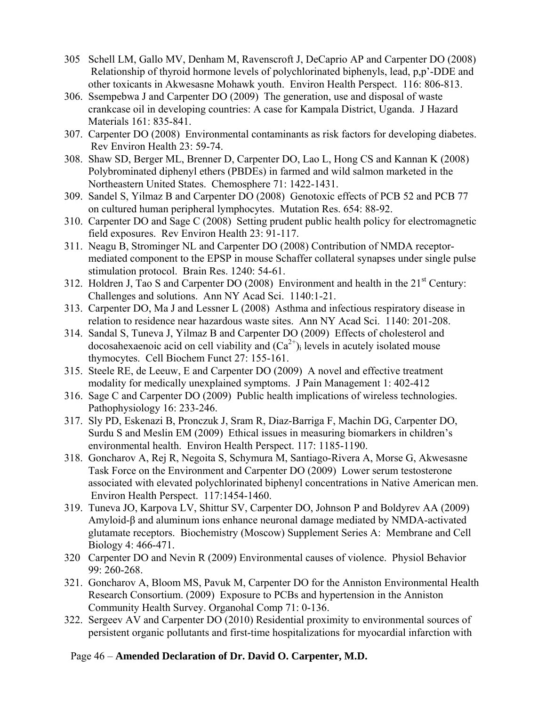- 305 Schell LM, Gallo MV, Denham M, Ravenscroft J, DeCaprio AP and Carpenter DO (2008) Relationship of thyroid hormone levels of polychlorinated biphenyls, lead, p,p'-DDE and other toxicants in Akwesasne Mohawk youth. Environ Health Perspect. 116: 806-813.
- 306. Ssempebwa J and Carpenter DO (2009) The generation, use and disposal of waste crankcase oil in developing countries: A case for Kampala District, Uganda. J Hazard Materials 161: 835-841.
- 307. Carpenter DO (2008) Environmental contaminants as risk factors for developing diabetes. Rev Environ Health 23: 59-74.
- 308. Shaw SD, Berger ML, Brenner D, Carpenter DO, Lao L, Hong CS and Kannan K (2008) Polybrominated diphenyl ethers (PBDEs) in farmed and wild salmon marketed in the Northeastern United States. Chemosphere 71: 1422-1431.
- 309. Sandel S, Yilmaz B and Carpenter DO (2008) Genotoxic effects of PCB 52 and PCB 77 on cultured human peripheral lymphocytes. Mutation Res. 654: 88-92.
- 310. Carpenter DO and Sage C (2008) Setting prudent public health policy for electromagnetic field exposures. Rev Environ Health 23: 91-117.
- 311. Neagu B, Strominger NL and Carpenter DO (2008) Contribution of NMDA receptormediated component to the EPSP in mouse Schaffer collateral synapses under single pulse stimulation protocol. Brain Res. 1240: 54-61.
- 312. Holdren J, Tao S and Carpenter DO (2008) Environment and health in the  $21<sup>st</sup>$  Century: Challenges and solutions. Ann NY Acad Sci. 1140:1-21.
- 313. Carpenter DO, Ma J and Lessner L (2008) Asthma and infectious respiratory disease in relation to residence near hazardous waste sites. Ann NY Acad Sci. 1140: 201-208.
- 314. Sandal S, Tuneva J, Yilmaz B and Carpenter DO (2009) Effects of cholesterol and docosahexaenoic acid on cell viability and  $(Ca^{2+})$  levels in acutely isolated mouse thymocytes. Cell Biochem Funct 27: 155-161.
- 315. Steele RE, de Leeuw, E and Carpenter DO (2009) A novel and effective treatment modality for medically unexplained symptoms. J Pain Management 1: 402-412
- 316. Sage C and Carpenter DO (2009) Public health implications of wireless technologies. Pathophysiology 16: 233-246.
- 317. Sly PD, Eskenazi B, Pronczuk J, Sram R, Diaz-Barriga F, Machin DG, Carpenter DO, Surdu S and Meslin EM (2009) Ethical issues in measuring biomarkers in children's environmental health. Environ Health Perspect. 117: 1185-1190.
- 318. Goncharov A, Rej R, Negoita S, Schymura M, Santiago-Rivera A, Morse G, Akwesasne Task Force on the Environment and Carpenter DO (2009) Lower serum testosterone associated with elevated polychlorinated biphenyl concentrations in Native American men. Environ Health Perspect. 117:1454-1460.
- 319. Tuneva JO, Karpova LV, Shittur SV, Carpenter DO, Johnson P and Boldyrev AA (2009) Amyloid-β and aluminum ions enhance neuronal damage mediated by NMDA-activated glutamate receptors. Biochemistry (Moscow) Supplement Series A: Membrane and Cell Biology 4: 466-471.
- 320 Carpenter DO and Nevin R (2009) Environmental causes of violence. Physiol Behavior 99: 260-268.
- 321. Goncharov A, Bloom MS, Pavuk M, Carpenter DO for the Anniston Environmental Health Research Consortium. (2009) Exposure to PCBs and hypertension in the Anniston Community Health Survey. Organohal Comp 71: 0-136.
- 322. Sergeev AV and Carpenter DO (2010) Residential proximity to environmental sources of persistent organic pollutants and first-time hospitalizations for myocardial infarction with

# Page 46 – **Amended Declaration of Dr. David O. Carpenter, M.D.**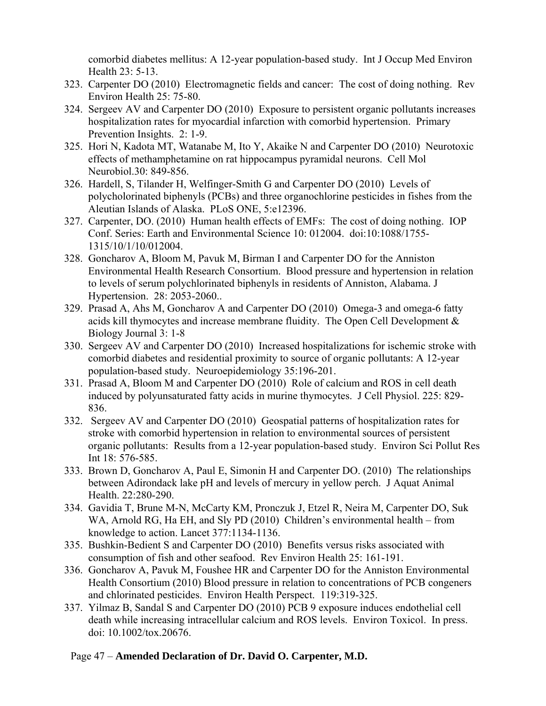comorbid diabetes mellitus: A 12-year population-based study. Int J Occup Med Environ Health 23: 5-13.

- 323. Carpenter DO (2010) Electromagnetic fields and cancer: The cost of doing nothing. Rev Environ Health 25: 75-80.
- 324. Sergeev AV and Carpenter DO (2010) Exposure to persistent organic pollutants increases hospitalization rates for myocardial infarction with comorbid hypertension. Primary Prevention Insights. 2: 1-9.
- 325. Hori N, Kadota MT, Watanabe M, Ito Y, Akaike N and Carpenter DO (2010) Neurotoxic effects of methamphetamine on rat hippocampus pyramidal neurons. Cell Mol Neurobiol.30: 849-856.
- 326. Hardell, S, Tilander H, Welfinger-Smith G and Carpenter DO (2010) Levels of polycholorinated biphenyls (PCBs) and three organochlorine pesticides in fishes from the Aleutian Islands of Alaska. PLoS ONE, 5:e12396.
- 327. Carpenter, DO. (2010) Human health effects of EMFs: The cost of doing nothing. IOP Conf. Series: Earth and Environmental Science 10: 012004. doi:10:1088/1755- 1315/10/1/10/012004.
- 328. Goncharov A, Bloom M, Pavuk M, Birman I and Carpenter DO for the Anniston Environmental Health Research Consortium. Blood pressure and hypertension in relation to levels of serum polychlorinated biphenyls in residents of Anniston, Alabama. J Hypertension. 28: 2053-2060..
- 329. Prasad A, Ahs M, Goncharov A and Carpenter DO (2010) Omega-3 and omega-6 fatty acids kill thymocytes and increase membrane fluidity. The Open Cell Development & Biology Journal 3: 1-8
- 330. Sergeev AV and Carpenter DO (2010) Increased hospitalizations for ischemic stroke with comorbid diabetes and residential proximity to source of organic pollutants: A 12-year population-based study. Neuroepidemiology 35:196-201.
- 331. Prasad A, Bloom M and Carpenter DO (2010) Role of calcium and ROS in cell death induced by polyunsaturated fatty acids in murine thymocytes. J Cell Physiol. 225: 829- 836.
- 332. Sergeev AV and Carpenter DO (2010) Geospatial patterns of hospitalization rates for stroke with comorbid hypertension in relation to environmental sources of persistent organic pollutants: Results from a 12-year population-based study. Environ Sci Pollut Res Int 18: 576-585.
- 333. Brown D, Goncharov A, Paul E, Simonin H and Carpenter DO. (2010) The relationships between Adirondack lake pH and levels of mercury in yellow perch. J Aquat Animal Health. 22:280-290.
- 334. Gavidia T, Brune M-N, McCarty KM, Pronczuk J, Etzel R, Neira M, Carpenter DO, Suk WA, Arnold RG, Ha EH, and Sly PD (2010) Children's environmental health – from knowledge to action. Lancet 377:1134-1136.
- 335. Bushkin-Bedient S and Carpenter DO (2010) Benefits versus risks associated with consumption of fish and other seafood. Rev Environ Health 25: 161-191.
- 336. Goncharov A, Pavuk M, Foushee HR and Carpenter DO for the Anniston Environmental Health Consortium (2010) Blood pressure in relation to concentrations of PCB congeners and chlorinated pesticides. Environ Health Perspect. 119:319-325.
- 337. Yilmaz B, Sandal S and Carpenter DO (2010) PCB 9 exposure induces endothelial cell death while increasing intracellular calcium and ROS levels. Environ Toxicol. In press. doi: 10.1002/tox.20676.

### Page 47 – **Amended Declaration of Dr. David O. Carpenter, M.D.**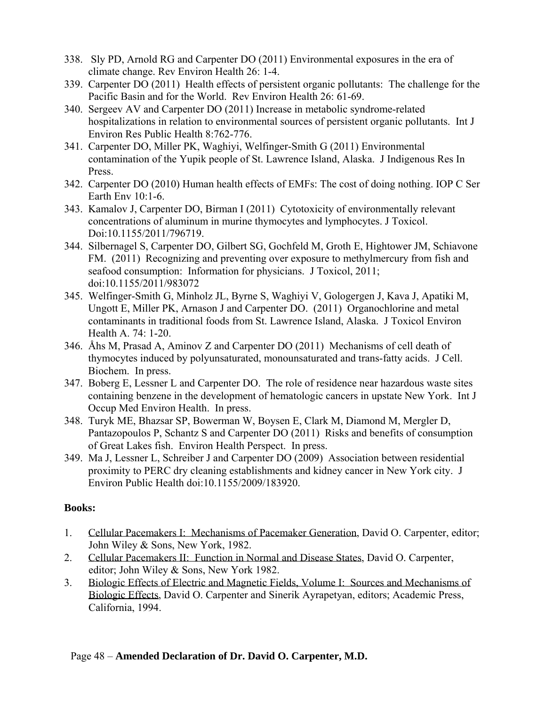- 338. Sly PD, Arnold RG and Carpenter DO (2011) Environmental exposures in the era of climate change. Rev Environ Health 26: 1-4.
- 339. Carpenter DO (2011) Health effects of persistent organic pollutants: The challenge for the Pacific Basin and for the World. Rev Environ Health 26: 61-69.
- 340. Sergeev AV and Carpenter DO (2011) Increase in metabolic syndrome-related hospitalizations in relation to environmental sources of persistent organic pollutants. Int J Environ Res Public Health 8:762-776.
- 341. Carpenter DO, Miller PK, Waghiyi, Welfinger-Smith G (2011) Environmental contamination of the Yupik people of St. Lawrence Island, Alaska. J Indigenous Res In Press.
- 342. Carpenter DO (2010) Human health effects of EMFs: The cost of doing nothing. IOP C Ser Earth Env 10:1-6.
- 343. Kamalov J, Carpenter DO, Birman I (2011) Cytotoxicity of environmentally relevant concentrations of aluminum in murine thymocytes and lymphocytes. J Toxicol. Doi:10.1155/2011/796719.
- 344. Silbernagel S, Carpenter DO, Gilbert SG, Gochfeld M, Groth E, Hightower JM, Schiavone FM. (2011) Recognizing and preventing over exposure to methylmercury from fish and seafood consumption: Information for physicians. J Toxicol, 2011; doi:10.1155/2011/983072
- 345. Welfinger-Smith G, Minholz JL, Byrne S, Waghiyi V, Gologergen J, Kava J, Apatiki M, Ungott E, Miller PK, Arnason J and Carpenter DO. (2011) Organochlorine and metal contaminants in traditional foods from St. Lawrence Island, Alaska. J Toxicol Environ Health A. 74: 1-20.
- 346. Åhs M, Prasad A, Aminov Z and Carpenter DO (2011) Mechanisms of cell death of thymocytes induced by polyunsaturated, monounsaturated and trans-fatty acids. J Cell. Biochem. In press.
- 347. Boberg E, Lessner L and Carpenter DO. The role of residence near hazardous waste sites containing benzene in the development of hematologic cancers in upstate New York. Int J Occup Med Environ Health. In press.
- 348. Turyk ME, Bhazsar SP, Bowerman W, Boysen E, Clark M, Diamond M, Mergler D, Pantazopoulos P, Schantz S and Carpenter DO (2011) Risks and benefits of consumption of Great Lakes fish. Environ Health Perspect. In press.
- 349. Ma J, Lessner L, Schreiber J and Carpenter DO (2009) Association between residential proximity to PERC dry cleaning establishments and kidney cancer in New York city. J Environ Public Health doi:10.1155/2009/183920.

### **Books:**

- 1. Cellular Pacemakers I: Mechanisms of Pacemaker Generation, David O. Carpenter, editor; John Wiley & Sons, New York, 1982.
- 2. Cellular Pacemakers II: Function in Normal and Disease States, David O. Carpenter, editor; John Wiley & Sons, New York 1982.
- 3. Biologic Effects of Electric and Magnetic Fields, Volume I: Sources and Mechanisms of Biologic Effects, David O. Carpenter and Sinerik Ayrapetyan, editors; Academic Press, California, 1994.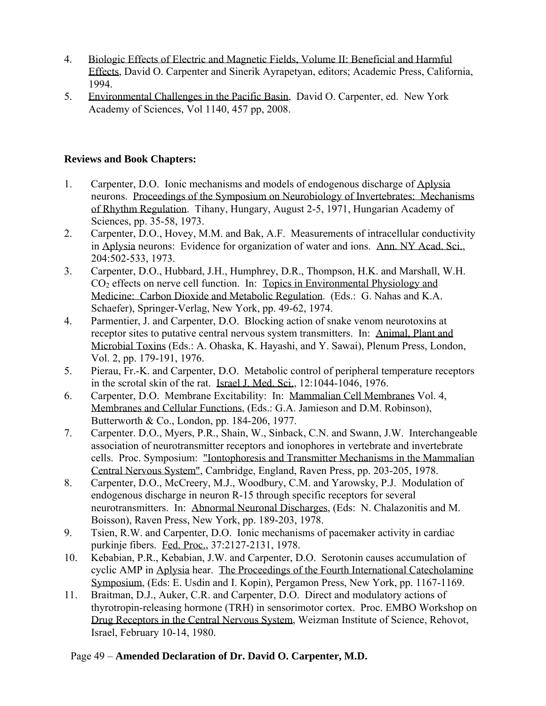- 4. Biologic Effects of Electric and Magnetic Fields, Volume II: Beneficial and Harmful Effects, David O. Carpenter and Sinerik Ayrapetyan, editors; Academic Press, California, 1994.
- 5. Environmental Challenges in the Pacific Basin, David O. Carpenter, ed. New York Academy of Sciences, Vol 1140, 457 pp, 2008.

### **Reviews and Book Chapters:**

- 1. Carpenter, D.O. Ionic mechanisms and models of endogenous discharge of Aplysia neurons. Proceedings of the Symposium on Neurobiology of Invertebrates: Mechanisms of Rhythm Regulation. Tihany, Hungary, August 2-5, 1971, Hungarian Academy of Sciences, pp. 35-58, 1973.
- 2. Carpenter, D.O., Hovey, M.M. and Bak, A.F. Measurements of intracellular conductivity in Aplysia neurons: Evidence for organization of water and ions. Ann. NY Acad. Sci., 204:502-533, 1973.
- 3. Carpenter, D.O., Hubbard, J.H., Humphrey, D.R., Thompson, H.K. and Marshall, W.H. CO2 effects on nerve cell function. In: Topics in Environmental Physiology and Medicine: Carbon Dioxide and Metabolic Regulation. (Eds.: G. Nahas and K.A. Schaefer), Springer-Verlag, New York, pp. 49-62, 1974.
- 4. Parmentier, J. and Carpenter, D.O. Blocking action of snake venom neurotoxins at receptor sites to putative central nervous system transmitters. In: Animal, Plant and Microbial Toxins (Eds.: A. Ohaska, K. Hayashi, and Y. Sawai), Plenum Press, London, Vol. 2, pp. 179-191, 1976.
- 5. Pierau, Fr.-K. and Carpenter, D.O. Metabolic control of peripheral temperature receptors in the scrotal skin of the rat. Israel J. Med. Sci., 12:1044-1046, 1976.
- 6. Carpenter, D.O. Membrane Excitability: In: Mammalian Cell Membranes Vol. 4, Membranes and Cellular Functions, (Eds.: G.A. Jamieson and D.M. Robinson), Butterworth & Co., London, pp. 184-206, 1977.
- 7. Carpenter. D.O., Myers, P.R., Shain, W., Sinback, C.N. and Swann, J.W. Interchangeable association of neurotransmitter receptors and ionophores in vertebrate and invertebrate cells. Proc. Symposium: "Iontophoresis and Transmitter Mechanisms in the Mammalian Central Nervous System", Cambridge, England, Raven Press, pp. 203-205, 1978.
- 8. Carpenter, D.O., McCreery, M.J., Woodbury, C.M. and Yarowsky, P.J. Modulation of endogenous discharge in neuron R-15 through specific receptors for several neurotransmitters. In: Abnormal Neuronal Discharges, (Eds: N. Chalazonitis and M. Boisson), Raven Press, New York, pp. 189-203, 1978.
- 9. Tsien, R.W. and Carpenter, D.O. Ionic mechanisms of pacemaker activity in cardiac purkinje fibers. Fed. Proc., 37:2127-2131, 1978.
- 10. Kebabian, P.R., Kebabian, J.W. and Carpenter, D.O. Serotonin causes accumulation of cyclic AMP in Aplysia hear. The Proceedings of the Fourth International Catecholamine Symposium, (Eds: E. Usdin and I. Kopin), Pergamon Press, New York, pp. 1167-1169.
- 11. Braitman, D.J., Auker, C.R. and Carpenter, D.O. Direct and modulatory actions of thyrotropin-releasing hormone (TRH) in sensorimotor cortex. Proc. EMBO Workshop on Drug Receptors in the Central Nervous System, Weizman Institute of Science, Rehovot, Israel, February 10-14, 1980.

# Page 49 – **Amended Declaration of Dr. David O. Carpenter, M.D.**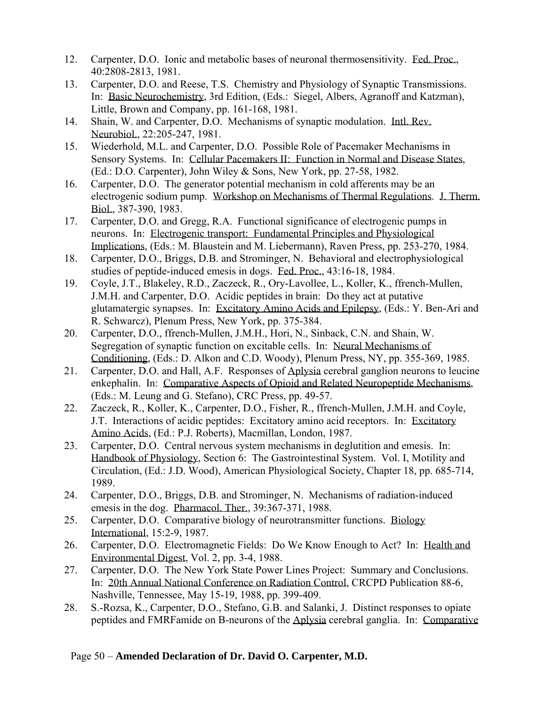- 12. Carpenter, D.O. Ionic and metabolic bases of neuronal thermosensitivity. Fed. Proc., 40:2808-2813, 1981.
- 13. Carpenter, D.O. and Reese, T.S. Chemistry and Physiology of Synaptic Transmissions. In: Basic Neurochemistry, 3rd Edition, (Eds.: Siegel, Albers, Agranoff and Katzman), Little, Brown and Company, pp. 161-168, 1981.
- 14. Shain, W. and Carpenter, D.O. Mechanisms of synaptic modulation. Intl. Rev. Neurobiol., 22:205-247, 1981.
- 15. Wiederhold, M.L. and Carpenter, D.O. Possible Role of Pacemaker Mechanisms in Sensory Systems. In: Cellular Pacemakers II: Function in Normal and Disease States, (Ed.: D.O. Carpenter), John Wiley & Sons, New York, pp. 27-58, 1982.
- 16. Carpenter, D.O. The generator potential mechanism in cold afferents may be an electrogenic sodium pump. Workshop on Mechanisms of Thermal Regulations. J. Therm. Biol., 387-390, 1983.
- 17. Carpenter, D.O. and Gregg, R.A. Functional significance of electrogenic pumps in neurons. In: Electrogenic transport: Fundamental Principles and Physiological Implications, (Eds.: M. Blaustein and M. Liebermann), Raven Press, pp. 253-270, 1984.
- 18. Carpenter, D.O., Briggs, D.B. and Strominger, N. Behavioral and electrophysiological studies of peptide-induced emesis in dogs. Fed. Proc., 43:16-18, 1984.
- 19. Coyle, J.T., Blakeley, R.D., Zaczeck, R., Ory-Lavollee, L., Koller, K., ffrench-Mullen, J.M.H. and Carpenter, D.O. Acidic peptides in brain: Do they act at putative glutamatergic synapses. In: Excitatory Amino Acids and Epilepsy, (Eds.: Y. Ben-Ari and R. Schwarcz), Plenum Press, New York, pp. 375-384.
- 20. Carpenter, D.O., ffrench-Mullen, J.M.H., Hori, N., Sinback, C.N. and Shain, W. Segregation of synaptic function on excitable cells. In: Neural Mechanisms of Conditioning, (Eds.: D. Alkon and C.D. Woody), Plenum Press, NY, pp. 355-369, 1985.
- 21. Carpenter, D.O. and Hall, A.F. Responses of Aplysia cerebral ganglion neurons to leucine enkephalin. In: Comparative Aspects of Opioid and Related Neuropeptide Mechanisms, (Eds.: M. Leung and G. Stefano), CRC Press, pp. 49-57.
- 22. Zaczeck, R., Koller, K., Carpenter, D.O., Fisher, R., ffrench-Mullen, J.M.H. and Coyle, J.T. Interactions of acidic peptides: Excitatory amino acid receptors. In: Excitatory Amino Acids, (Ed.: P.J. Roberts), Macmillan, London, 1987.
- 23. Carpenter, D.O. Central nervous system mechanisms in deglutition and emesis. In: Handbook of Physiology, Section 6: The Gastrointestinal System. Vol. I, Motility and Circulation, (Ed.: J.D. Wood), American Physiological Society, Chapter 18, pp. 685-714, 1989.
- 24. Carpenter, D.O., Briggs, D.B. and Strominger, N. Mechanisms of radiation-induced emesis in the dog. Pharmacol. Ther., 39:367-371, 1988.
- 25. Carpenter, D.O. Comparative biology of neurotransmitter functions. Biology International, 15:2-9, 1987.
- 26. Carpenter, D.O. Electromagnetic Fields: Do We Know Enough to Act? In: Health and Environmental Digest, Vol. 2, pp. 3-4, 1988.
- 27. Carpenter, D.O. The New York State Power Lines Project: Summary and Conclusions. In: 20th Annual National Conference on Radiation Control, CRCPD Publication 88-6, Nashville, Tennessee, May 15-19, 1988, pp. 399-409.
- 28. S.-Rozsa, K., Carpenter, D.O., Stefano, G.B. and Salanki, J. Distinct responses to opiate peptides and FMRFamide on B-neurons of the Aplysia cerebral ganglia. In: Comparative

### Page 50 – **Amended Declaration of Dr. David O. Carpenter, M.D.**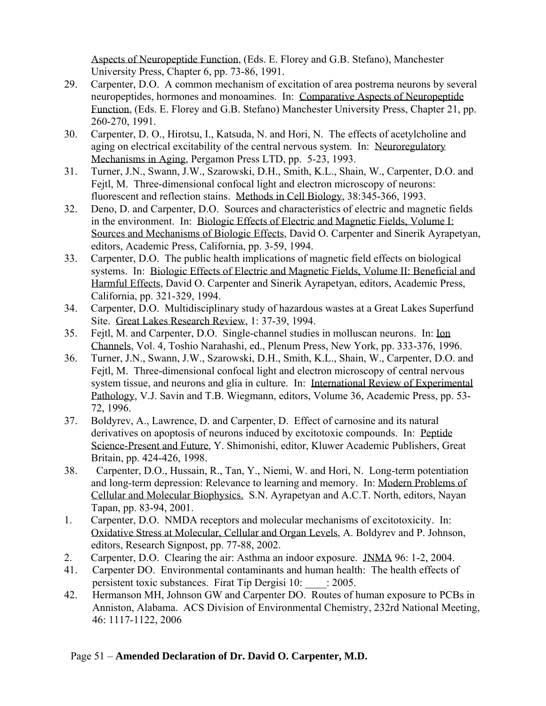Aspects of Neuropeptide Function, (Eds. E. Florey and G.B. Stefano), Manchester University Press, Chapter 6, pp. 73-86, 1991.

- 29. Carpenter, D.O. A common mechanism of excitation of area postrema neurons by several neuropeptides, hormones and monoamines. In: Comparative Aspects of Neuropeptide Function, (Eds. E. Florey and G.B. Stefano) Manchester University Press, Chapter 21, pp. 260-270, 1991.
- 30. Carpenter, D. O., Hirotsu, I., Katsuda, N. and Hori, N. The effects of acetylcholine and aging on electrical excitability of the central nervous system. In: Neuroregulatory Mechanisms in Aging, Pergamon Press LTD, pp. 5-23, 1993.
- 31. Turner, J.N., Swann, J.W., Szarowski, D.H., Smith, K.L., Shain, W., Carpenter, D.O. and Fejtl, M. Three-dimensional confocal light and electron microscopy of neurons: fluorescent and reflection stains. Methods in Cell Biology, 38:345-366, 1993.
- 32. Deno, D. and Carpenter, D.O. Sources and characteristics of electric and magnetic fields in the environment. In: Biologic Effects of Electric and Magnetic Fields, Volume I: Sources and Mechanisms of Biologic Effects, David O. Carpenter and Sinerik Ayrapetyan, editors, Academic Press, California, pp. 3-59, 1994.
- 33. Carpenter, D.O. The public health implications of magnetic field effects on biological systems. In: Biologic Effects of Electric and Magnetic Fields, Volume II: Beneficial and Harmful Effects, David O. Carpenter and Sinerik Ayrapetyan, editors, Academic Press, California, pp. 321-329, 1994.
- 34. Carpenter, D.O. Multidisciplinary study of hazardous wastes at a Great Lakes Superfund Site. Great Lakes Research Review, 1: 37-39, 1994.
- 35. Fejtl, M. and Carpenter, D.O. Single-channel studies in molluscan neurons. In: Ion Channels, Vol. 4, Toshio Narahashi, ed., Plenum Press, New York, pp. 333-376, 1996.
- 36. Turner, J.N., Swann, J.W., Szarowski, D.H., Smith, K.L., Shain, W., Carpenter, D.O. and Fejtl, M. Three-dimensional confocal light and electron microscopy of central nervous system tissue, and neurons and glia in culture. In: International Review of Experimental Pathology, V.J. Savin and T.B. Wiegmann, editors, Volume 36, Academic Press, pp. 53- 72, 1996.
- 37. Boldyrev, A., Lawrence, D. and Carpenter, D. Effect of carnosine and its natural derivatives on apoptosis of neurons induced by excitotoxic compounds. In: Pentide Science-Present and Future, Y. Shimonishi, editor, Kluwer Academic Publishers, Great Britain, pp. 424-426, 1998.
- 38. Carpenter, D.O., Hussain, R., Tan, Y., Niemi, W. and Hori, N. Long-term potentiation and long-term depression: Relevance to learning and memory. In: Modern Problems of Cellular and Molecular Biophysics. S.N. Ayrapetyan and A.C.T. North, editors, Nayan Tapan, pp. 83-94, 2001.
- 1. Carpenter, D.O. NMDA receptors and molecular mechanisms of excitotoxicity. In: Oxidative Stress at Molecular, Cellular and Organ Levels, A. Boldyrev and P. Johnson, editors, Research Signpost, pp. 77-88, 2002.
- 2. Carpenter, D.O. Clearing the air: Asthma an indoor exposure. JNMA 96: 1-2, 2004.
- 41. Carpenter DO. Environmental contaminants and human health: The health effects of persistent toxic substances. Firat Tip Dergisi 10: \_\_\_\_: 2005.
- 42. Hermanson MH, Johnson GW and Carpenter DO. Routes of human exposure to PCBs in Anniston, Alabama. ACS Division of Environmental Chemistry, 232rd National Meeting, 46: 1117-1122, 2006

### Page 51 – **Amended Declaration of Dr. David O. Carpenter, M.D.**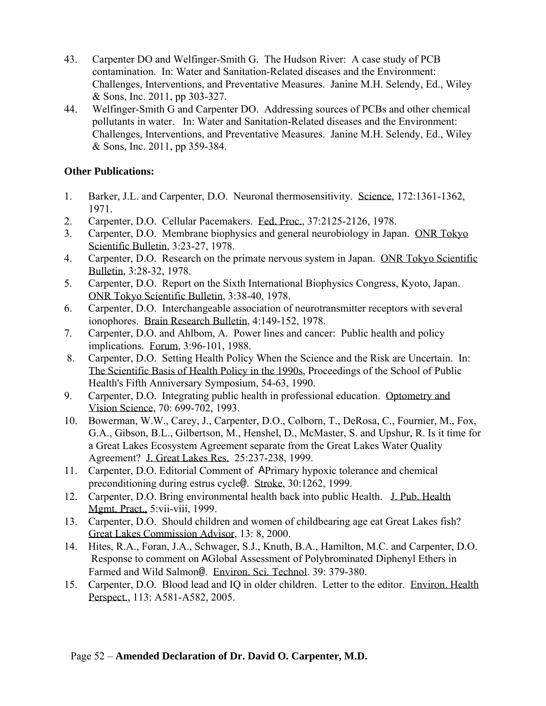- 43. Carpenter DO and Welfinger-Smith G. The Hudson River: A case study of PCB contamination. In: Water and Sanitation-Related diseases and the Environment: Challenges, Interventions, and Preventative Measures. Janine M.H. Selendy, Ed., Wiley & Sons, Inc. 2011, pp 303-327.
- 44. Welfinger-Smith G and Carpenter DO. Addressing sources of PCBs and other chemical pollutants in water. In: Water and Sanitation-Related diseases and the Environment: Challenges, Interventions, and Preventative Measures. Janine M.H. Selendy, Ed., Wiley & Sons, Inc. 2011, pp 359-384.

# **Other Publications:**

- 1. Barker, J.L. and Carpenter, D.O. Neuronal thermosensitivity. Science, 172:1361-1362, 1971.
- 2. Carpenter, D.O. Cellular Pacemakers. Fed. Proc., 37:2125-2126, 1978.
- 3. Carpenter, D.O. Membrane biophysics and general neurobiology in Japan. ONR Tokyo Scientific Bulletin, 3:23-27, 1978.
- 4. Carpenter, D.O. Research on the primate nervous system in Japan. ONR Tokyo Scientific Bulletin, 3:28-32, 1978.
- 5. Carpenter, D.O. Report on the Sixth International Biophysics Congress, Kyoto, Japan. ONR Tokyo Scientific Bulletin, 3:38-40, 1978.
- 6. Carpenter, D.O. Interchangeable association of neurotransmitter receptors with several ionophores. Brain Research Bulletin, 4:149-152, 1978.
- 7. Carpenter, D.O. and Ahlbom, A. Power lines and cancer: Public health and policy implications. Forum, 3:96-101, 1988.
- 8. Carpenter, D.O. Setting Health Policy When the Science and the Risk are Uncertain. In: The Scientific Basis of Health Policy in the 1990s, Proceedings of the School of Public Health's Fifth Anniversary Symposium, 54-63, 1990.
- 9. Carpenter, D.O. Integrating public health in professional education. Optometry and Vision Science, 70: 699-702, 1993.
- 10. Bowerman, W.W., Carey, J., Carpenter, D.O., Colborn, T., DeRosa, C., Fournier, M., Fox, G.A., Gibson, B.L., Gilbertson, M., Henshel, D., McMaster, S. and Upshur, R. Is it time for a Great Lakes Ecosystem Agreement separate from the Great Lakes Water Quality Agreement? J. Great Lakes Res. 25:237-238, 1999.
- 11. Carpenter, D.O. Editorial Comment of APrimary hypoxic tolerance and chemical preconditioning during estrus cycle@. Stroke, 30:1262, 1999.
- 12. Carpenter, D.O. Bring environmental health back into public Health. J. Pub. Health Mgmt. Pract., 5:vii-viii, 1999.
- 13. Carpenter, D.O. Should children and women of childbearing age eat Great Lakes fish? Great Lakes Commission Advisor, 13: 8, 2000.
- 14. Hites, R.A., Foran, J.A., Schwager, S.J., Knuth, B.A., Hamilton, M.C. and Carpenter, D.O. Response to comment on AGlobal Assessment of Polybrominated Diphenyl Ethers in Farmed and Wild Salmon@. Environ. Sci. Technol. 39: 379-380.
- 15. Carpenter, D.O. Blood lead and IQ in older children. Letter to the editor. Environ. Health Perspect., 113: A581-A582, 2005.

### Page 52 – **Amended Declaration of Dr. David O. Carpenter, M.D.**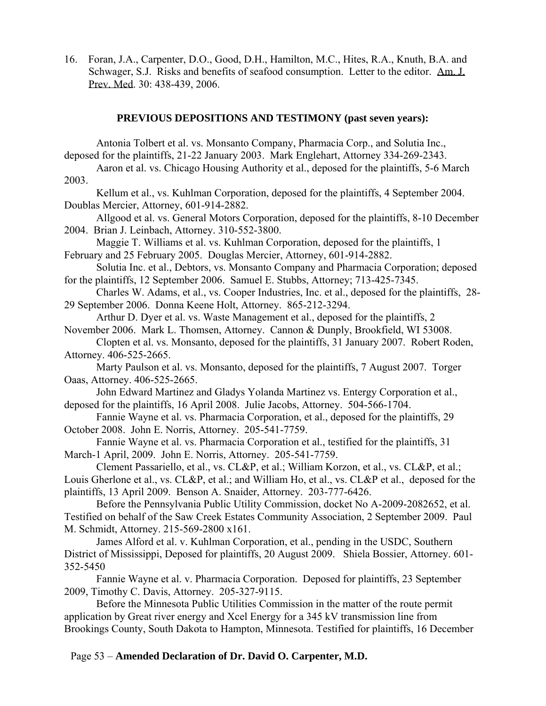16. Foran, J.A., Carpenter, D.O., Good, D.H., Hamilton, M.C., Hites, R.A., Knuth, B.A. and Schwager, S.J. Risks and benefits of seafood consumption. Letter to the editor. Am. J. Prev. Med. 30: 438-439, 2006.

#### **PREVIOUS DEPOSITIONS AND TESTIMONY (past seven years):**

Antonia Tolbert et al. vs. Monsanto Company, Pharmacia Corp., and Solutia Inc., deposed for the plaintiffs, 21-22 January 2003. Mark Englehart, Attorney 334-269-2343. Aaron et al. vs. Chicago Housing Authority et al., deposed for the plaintiffs, 5-6 March 2003. Kellum et al., vs. Kuhlman Corporation, deposed for the plaintiffs, 4 September 2004. Doublas Mercier, Attorney, 601-914-2882. Allgood et al. vs. General Motors Corporation, deposed for the plaintiffs, 8-10 December 2004. Brian J. Leinbach, Attorney. 310-552-3800. Maggie T. Williams et al. vs. Kuhlman Corporation, deposed for the plaintiffs, 1 February and 25 February 2005. Douglas Mercier, Attorney, 601-914-2882. Solutia Inc. et al., Debtors, vs. Monsanto Company and Pharmacia Corporation; deposed for the plaintiffs, 12 September 2006. Samuel E. Stubbs, Attorney; 713-425-7345. Charles W. Adams, et al., vs. Cooper Industries, Inc. et al., deposed for the plaintiffs, 28- 29 September 2006. Donna Keene Holt, Attorney. 865-212-3294. Arthur D. Dyer et al. vs. Waste Management et al., deposed for the plaintiffs, 2 November 2006. Mark L. Thomsen, Attorney. Cannon & Dunply, Brookfield, WI 53008. Clopten et al. vs. Monsanto, deposed for the plaintiffs, 31 January 2007. Robert Roden, Attorney. 406-525-2665. Marty Paulson et al. vs. Monsanto, deposed for the plaintiffs, 7 August 2007. Torger Oaas, Attorney. 406-525-2665. John Edward Martinez and Gladys Yolanda Martinez vs. Entergy Corporation et al., deposed for the plaintiffs, 16 April 2008. Julie Jacobs, Attorney. 504-566-1704. Fannie Wayne et al. vs. Pharmacia Corporation, et al., deposed for the plaintiffs, 29 October 2008. John E. Norris, Attorney. 205-541-7759. Fannie Wayne et al. vs. Pharmacia Corporation et al., testified for the plaintiffs, 31 March-1 April, 2009. John E. Norris, Attorney. 205-541-7759. Clement Passariello, et al., vs. CL&P, et al.; William Korzon, et al., vs. CL&P, et al.; Louis Gherlone et al., vs. CL&P, et al.; and William Ho, et al., vs. CL&P et al., deposed for the plaintiffs, 13 April 2009. Benson A. Snaider, Attorney. 203-777-6426. Before the Pennsylvania Public Utility Commission, docket No A-2009-2082652, et al. Testified on behalf of the Saw Creek Estates Community Association, 2 September 2009. Paul M. Schmidt, Attorney. 215-569-2800 x161. James Alford et al. v. Kuhlman Corporation, et al., pending in the USDC, Southern District of Mississippi, Deposed for plaintiffs, 20 August 2009. Shiela Bossier, Attorney. 601- 352-5450 Fannie Wayne et al. v. Pharmacia Corporation. Deposed for plaintiffs, 23 September 2009, Timothy C. Davis, Attorney. 205-327-9115. Before the Minnesota Public Utilities Commission in the matter of the route permit

application by Great river energy and Xcel Energy for a 345 kV transmission line from Brookings County, South Dakota to Hampton, Minnesota. Testified for plaintiffs, 16 December

Page 53 – **Amended Declaration of Dr. David O. Carpenter, M.D.**